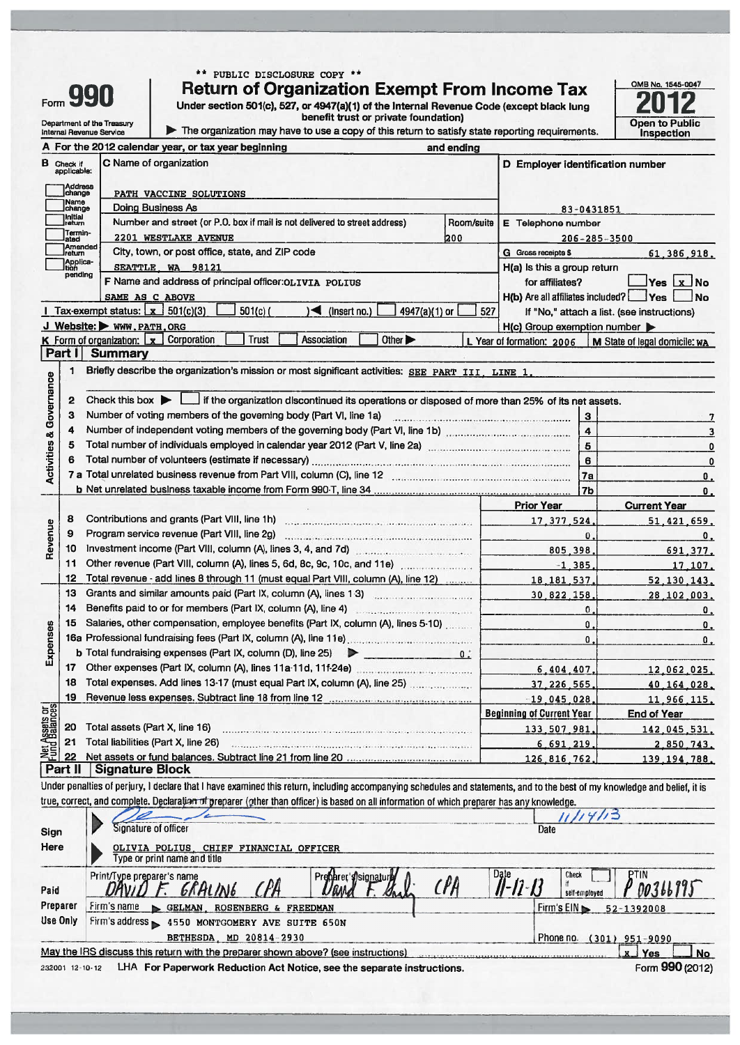|                                |                             | Form 990                   | PUBLIC DISCLOSURE COPY **<br>**<br><b>Return of Organization Exempt From Income Tax</b><br>Under section 501(c), 527, or 4947(a)(1) of the Internal Revenue Code (except black lung |                                                                                |                | OMB No. 1545-0047                                 |
|--------------------------------|-----------------------------|----------------------------|-------------------------------------------------------------------------------------------------------------------------------------------------------------------------------------|--------------------------------------------------------------------------------|----------------|---------------------------------------------------|
|                                |                             | Department of the Treasury | benefit trust or private foundation)                                                                                                                                                |                                                                                |                | <b>Open to Public</b>                             |
|                                |                             | Internal Revenue Service   | The organization may have to use a copy of this return to satisfy state reporting requirements.                                                                                     |                                                                                |                | Inspection                                        |
|                                |                             |                            | A For the 2012 calendar year, or tax year beginning<br>and ending                                                                                                                   |                                                                                |                |                                                   |
| в                              | Check if<br>applicable:     |                            | C Name of organization                                                                                                                                                              |                                                                                |                | D Employer identification number                  |
|                                | )Address<br> change         |                            |                                                                                                                                                                                     |                                                                                |                |                                                   |
|                                | Name                        |                            | PATH VACCINE SOLUTIONS<br>Doing Business As                                                                                                                                         |                                                                                |                |                                                   |
|                                | change<br>Initial<br>return |                            | Number and street (or P.O. box if mail is not delivered to street address)<br>Room/suite                                                                                            | E Telephone number                                                             | 83-0431851     |                                                   |
|                                | Termin-                     |                            | 2201 WESTLAKE AVENUE<br>200                                                                                                                                                         |                                                                                |                |                                                   |
|                                | ated<br>Amended<br>Ireturn  |                            | City, town, or post office, state, and ZIP code                                                                                                                                     | <b>G</b> Gross receipts \$                                                     |                | $206 - 285 - 3500$<br>61.386.918.                 |
|                                | Applica-<br>Ition           |                            | SEATTLE WA 98121                                                                                                                                                                    | H(a) Is this a group return                                                    |                |                                                   |
|                                | pending                     |                            | F Name and address of principal officer: OLIVIA POLIUS                                                                                                                              | for affiliates?                                                                |                | $Yes \mid x$<br><b>No</b>                         |
|                                |                             |                            | SAME AS C ABOVE                                                                                                                                                                     | H(b) Are all affiliates included?                                              |                | ∐Yes ∣<br><b>No</b>                               |
|                                |                             |                            | Tax-exempt status: $x$ 501(c)(3)<br>$501(c)$ (<br>$\blacksquare$ (Insert no.)<br>4947(a)(1) or                                                                                      | 527                                                                            |                | If "No," attach a list. (see instructions)        |
|                                |                             |                            | J Website: WWW.PATH.ORG                                                                                                                                                             | H(c) Group exemption number                                                    |                |                                                   |
|                                |                             |                            | Corporation<br><b>Trust</b><br><b>K</b> Form of organization: $\mathbf{x}$<br><b>Association</b><br>Other $\blacktriangleright$                                                     | L Year of formation: 2006                                                      |                | M State of legal domicile: WA                     |
|                                | Part II                     |                            | <b>Summary</b>                                                                                                                                                                      |                                                                                |                |                                                   |
| & Governance                   | 1                           |                            | Briefly describe the organization's mission or most significant activities: SEE PART III, LINE 1,                                                                                   |                                                                                |                |                                                   |
|                                | 2                           |                            | Check this box $\blacktriangleright$ $\Box$ if the organization discontinued its operations or disposed of more than 25% of its net assets.                                         |                                                                                |                |                                                   |
|                                | 3                           |                            |                                                                                                                                                                                     |                                                                                | $\mathbf{3}$   | 7                                                 |
|                                | 4                           |                            |                                                                                                                                                                                     |                                                                                | $\overline{4}$ | 3                                                 |
| Activities                     | 5                           |                            |                                                                                                                                                                                     |                                                                                | $\overline{5}$ | $\mathbf 0$                                       |
|                                | 6                           |                            |                                                                                                                                                                                     |                                                                                | $6\phantom{a}$ | $\mathbf 0$                                       |
|                                |                             |                            |                                                                                                                                                                                     |                                                                                | 7a             | 0.                                                |
|                                |                             |                            |                                                                                                                                                                                     |                                                                                | 7 <sub>b</sub> | 0.                                                |
|                                | 8                           |                            |                                                                                                                                                                                     | <b>Prior Year</b>                                                              |                | <b>Current Year</b>                               |
| Revenue                        | 9                           |                            | Program service revenue (Part VIII, line 2g)                                                                                                                                        | 17.377.524                                                                     | $\bf{0}$       | 51,421,659.                                       |
|                                | 10                          |                            |                                                                                                                                                                                     |                                                                                | 805.398        | 0.<br>691.377.                                    |
|                                | 11                          |                            |                                                                                                                                                                                     | <u> 1999 - Andrea A</u>                                                        | $-1, 385$      | 17.107.                                           |
|                                | 12                          |                            | Total revenue - add lines 8 through 11 (must equal Part VIII, column (A), line 12)                                                                                                  | 18, 181, 537,                                                                  |                | 52, 130, 143.                                     |
|                                | 13                          |                            | Grants and similar amounts paid (Part IX, column (A), lines 1-3)                                                                                                                    | 30.822.158.                                                                    |                | 28,102,003.                                       |
|                                | 14                          |                            | Benefits paid to or for members (Part IX, column (A), line 4)                                                                                                                       |                                                                                | 0              | $\mathbf{0}$ .                                    |
|                                | 15                          |                            | Salaries, other compensation, employee benefits (Part IX, column (A), lines 5-10)                                                                                                   |                                                                                | 0              | 0.                                                |
| Expenses                       |                             |                            | 16a Professional fundraising fees (Part IX, column (A), line 11e).                                                                                                                  |                                                                                | 0              | 0.                                                |
|                                |                             |                            | <b>b</b> Total fundraising expenses (Part IX, column (D), line 25)<br>0.1<br>⋗                                                                                                      |                                                                                |                |                                                   |
|                                | 17                          |                            | Other expenses (Part IX, column (A), lines 11a 11d, 11f-24e) [11] [24]                                                                                                              | 6.404.407                                                                      |                | 12.062.025.                                       |
|                                | 18                          |                            | Total expenses. Add lines 13-17 (must equal Part IX, column (A), line 25)                                                                                                           | 37.226.565                                                                     |                | 40 164 028.                                       |
|                                | 19                          |                            |                                                                                                                                                                                     | $-19,045,028$                                                                  |                | 11,966,115,                                       |
| Net Assets or<br>Fund Balances |                             |                            |                                                                                                                                                                                     | <b>Beginning of Current Year</b>                                               |                | <b>End of Year</b>                                |
|                                | 20                          |                            | Total assets (Part X, line 16)                                                                                                                                                      | 133,507,981                                                                    |                | 142,045,531.                                      |
|                                | 21                          |                            | Total liabilities (Part X, line 26)                                                                                                                                                 | 6 691 219                                                                      |                | 2.850.743.                                        |
|                                | 22                          |                            | Net assets or fund balances. Subtract line 21 from line 20 [10] [10] Net assets or fund balances. Subtract line 21 from line 20                                                     | 126 816 762                                                                    |                | <u>139 194 788.</u>                               |
|                                | Part II                     |                            | <b>Signature Block</b>                                                                                                                                                              |                                                                                |                |                                                   |
|                                |                             |                            | Under penalties of perjury, I declare that I have examined this return, including accompanying schedules and statements, and to the best of my knowledge and belief, it is          |                                                                                |                |                                                   |
|                                |                             |                            | true, correct, and complete. Declaration of preparer (other than officer) is based on all information of which preparer has any knowledge.                                          |                                                                                |                |                                                   |
|                                |                             |                            | Signature of officer                                                                                                                                                                | Date                                                                           | 11/14/13       |                                                   |
| Sign                           |                             |                            |                                                                                                                                                                                     |                                                                                |                |                                                   |
| Here                           |                             |                            | <u>OLIVIA POLIUS, CHIEF FINANCIAL OFFICER</u><br>Type or print name and title                                                                                                       |                                                                                |                |                                                   |
|                                |                             |                            |                                                                                                                                                                                     |                                                                                | Check          | <b>PTIN</b>                                       |
|                                |                             |                            | Print/Type preparer's name<br>Preparer   Signature<br>$\mathcal{C}$ pa<br>GRALING                                                                                                   | $\overline{\mathscr{U}}$ - $\overline{\mathscr{U}}$ - $\overline{\mathscr{U}}$ |                | P 00366995                                        |
| Paid<br>Preparer               |                             |                            |                                                                                                                                                                                     |                                                                                | self-employed  |                                                   |
| Use Only                       |                             |                            | Firm's name<br>GELMAN, ROSENBERG & FREEDMAN                                                                                                                                         | Firm's EIN                                                                     |                | $52 - 1392008$                                    |
|                                |                             |                            | Firm's address > 4550 MONTGOMERY AVE SUITE 650N                                                                                                                                     |                                                                                |                |                                                   |
|                                |                             |                            | BETHESDA, MD 20814-2930                                                                                                                                                             | Phone no.                                                                      |                | $(301)$ 951-9090                                  |
|                                |                             |                            | May the IRS discuss this return with the preparer shown above? (see instructions)                                                                                                   |                                                                                |                | <u>x J</u><br>Yes<br><b>No</b><br>Form 990 (2012) |
|                                | 232001 12-10-12             |                            | LHA For Paperwork Reduction Act Notice, see the separate instructions.                                                                                                              |                                                                                |                |                                                   |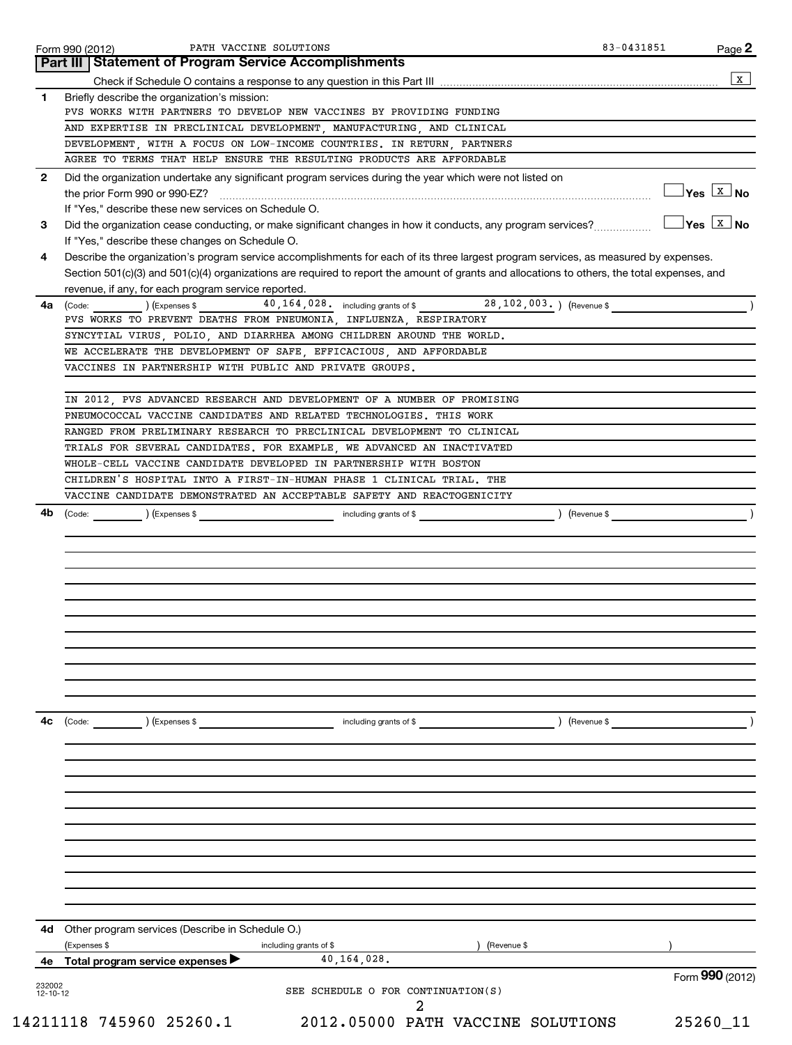|              | Part III   Statement of Program Service Accomplishments                                                                                         |                                               |
|--------------|-------------------------------------------------------------------------------------------------------------------------------------------------|-----------------------------------------------|
|              |                                                                                                                                                 | $\mathbf{x}$                                  |
| 1            | Briefly describe the organization's mission:                                                                                                    |                                               |
|              | PVS WORKS WITH PARTNERS TO DEVELOP NEW VACCINES BY PROVIDING FUNDING                                                                            |                                               |
|              | AND EXPERTISE IN PRECLINICAL DEVELOPMENT, MANUFACTURING, AND CLINICAL                                                                           |                                               |
|              | DEVELOPMENT, WITH A FOCUS ON LOW-INCOME COUNTRIES. IN RETURN, PARTNERS<br>AGREE TO TERMS THAT HELP ENSURE THE RESULTING PRODUCTS ARE AFFORDABLE |                                               |
|              |                                                                                                                                                 |                                               |
| $\mathbf{2}$ | Did the organization undertake any significant program services during the year which were not listed on                                        | $\Box$ Yes $\boxed{\text{x}}$ No              |
|              | If "Yes," describe these new services on Schedule O.                                                                                            |                                               |
| 3            | Did the organization cease conducting, or make significant changes in how it conducts, any program services?                                    | $\sqrt{\mathsf{Yes}}$ $\boxed{\mathsf{X}}$ No |
|              | If "Yes," describe these changes on Schedule O.                                                                                                 |                                               |
| 4            | Describe the organization's program service accomplishments for each of its three largest program services, as measured by expenses.            |                                               |
|              | Section 501(c)(3) and 501(c)(4) organizations are required to report the amount of grants and allocations to others, the total expenses, and    |                                               |
|              | revenue, if any, for each program service reported.                                                                                             |                                               |
| 4a           | 40, 164, 028. including grants of \$28, 102, 003. ) (Revenue \$<br>(Code: ) (Expenses \$                                                        |                                               |
|              | PVS WORKS TO PREVENT DEATHS FROM PNEUMONIA, INFLUENZA, RESPIRATORY                                                                              |                                               |
|              | SYNCYTIAL VIRUS, POLIO, AND DIARRHEA AMONG CHILDREN AROUND THE WORLD.                                                                           |                                               |
|              | WE ACCELERATE THE DEVELOPMENT OF SAFE, EFFICACIOUS, AND AFFORDABLE                                                                              |                                               |
|              | VACCINES IN PARTNERSHIP WITH PUBLIC AND PRIVATE GROUPS.                                                                                         |                                               |
|              | IN 2012, PVS ADVANCED RESEARCH AND DEVELOPMENT OF A NUMBER OF PROMISING                                                                         |                                               |
|              | PNEUMOCOCCAL VACCINE CANDIDATES AND RELATED TECHNOLOGIES. THIS WORK                                                                             |                                               |
|              | RANGED FROM PRELIMINARY RESEARCH TO PRECLINICAL DEVELOPMENT TO CLINICAL                                                                         |                                               |
|              | TRIALS FOR SEVERAL CANDIDATES. FOR EXAMPLE, WE ADVANCED AN INACTIVATED                                                                          |                                               |
|              | WHOLE-CELL VACCINE CANDIDATE DEVELOPED IN PARTNERSHIP WITH BOSTON                                                                               |                                               |
|              | CHILDREN'S HOSPITAL INTO A FIRST-IN-HUMAN PHASE 1 CLINICAL TRIAL. THE                                                                           |                                               |
|              | VACCINE CANDIDATE DEMONSTRATED AN ACCEPTABLE SAFETY AND REACTOGENICITY                                                                          |                                               |
|              | $\left(\text{Code:}\right)$ $\left(\text{Expenses $}\right)$<br>including grants of \$                                                          | ) (Revenue \$                                 |
|              |                                                                                                                                                 |                                               |
|              |                                                                                                                                                 |                                               |
|              |                                                                                                                                                 |                                               |
|              | (Code:<br>) (Expenses \$<br>including grants of \$<br>) (Revenue \$                                                                             |                                               |
|              |                                                                                                                                                 |                                               |
|              |                                                                                                                                                 |                                               |
|              |                                                                                                                                                 |                                               |
|              |                                                                                                                                                 |                                               |
|              |                                                                                                                                                 |                                               |
|              | Other program services (Describe in Schedule O.)<br>(Expenses \$<br>including grants of \$<br>(Revenue \$                                       |                                               |
| 4с<br>4d     | 40, 164, 028.<br>4e Total program service expenses                                                                                              |                                               |
| 232002       |                                                                                                                                                 | Form 990 (2012)                               |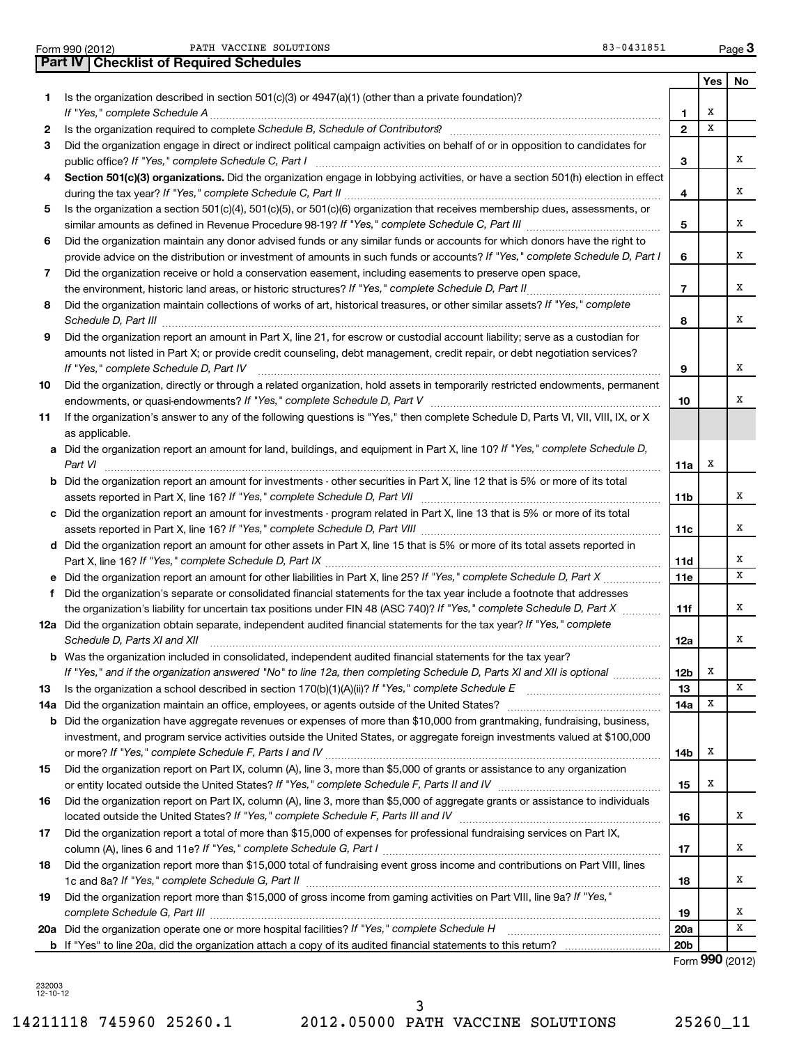Form 990 (2012) Page PATH VACCINE SOLUTIONS 83-0431851

**Part IV Checklist of Required Schedules**

**1** Is the organization described in section 501(c)(3) or 4947(a)(1) (other than a private foundation)?

|     | If "Yes," complete Schedule A                                                                                                                                                                                                                                  | 1               | Х           |   |
|-----|----------------------------------------------------------------------------------------------------------------------------------------------------------------------------------------------------------------------------------------------------------------|-----------------|-------------|---|
| 2   | Is the organization required to complete Schedule B, Schedule of Contributors? [11] The organization required to complete Schedule B, Schedule of Contributors?                                                                                                | $\mathbf{2}$    | X           |   |
| 3   | Did the organization engage in direct or indirect political campaign activities on behalf of or in opposition to candidates for<br>public office? If "Yes," complete Schedule C, Part I                                                                        | 3               |             | х |
| 4   | Section 501(c)(3) organizations. Did the organization engage in lobbying activities, or have a section 501(h) election in effect                                                                                                                               | 4               |             | x |
| 5   | Is the organization a section 501(c)(4), 501(c)(5), or 501(c)(6) organization that receives membership dues, assessments, or                                                                                                                                   | 5               |             | x |
| 6   | Did the organization maintain any donor advised funds or any similar funds or accounts for which donors have the right to                                                                                                                                      |                 |             |   |
|     | provide advice on the distribution or investment of amounts in such funds or accounts? If "Yes," complete Schedule D, Part I                                                                                                                                   | 6               |             | x |
| 7   | Did the organization receive or hold a conservation easement, including easements to preserve open space,                                                                                                                                                      |                 |             |   |
|     | the environment, historic land areas, or historic structures? If "Yes," complete Schedule D, Part II                                                                                                                                                           | $\overline{7}$  |             | x |
| 8   | Did the organization maintain collections of works of art, historical treasures, or other similar assets? If "Yes," complete                                                                                                                                   | 8               |             | x |
| 9   | Did the organization report an amount in Part X, line 21, for escrow or custodial account liability; serve as a custodian for                                                                                                                                  |                 |             |   |
|     | amounts not listed in Part X; or provide credit counseling, debt management, credit repair, or debt negotiation services?<br>If "Yes," complete Schedule D, Part IV                                                                                            | 9               |             | х |
| 10  | Did the organization, directly or through a related organization, hold assets in temporarily restricted endowments, permanent                                                                                                                                  | 10              |             | x |
| 11  | If the organization's answer to any of the following questions is "Yes," then complete Schedule D, Parts VI, VIII, VIII, IX, or X                                                                                                                              |                 |             |   |
|     | as applicable.                                                                                                                                                                                                                                                 |                 |             |   |
|     | a Did the organization report an amount for land, buildings, and equipment in Part X, line 10? If "Yes," complete Schedule D,<br>Part VI                                                                                                                       | 11a             | х           |   |
|     | <b>b</b> Did the organization report an amount for investments - other securities in Part X, line 12 that is 5% or more of its total                                                                                                                           | 11b             |             | х |
|     | c Did the organization report an amount for investments - program related in Part X, line 13 that is 5% or more of its total                                                                                                                                   | 11c             |             | х |
|     | d Did the organization report an amount for other assets in Part X, line 15 that is 5% or more of its total assets reported in                                                                                                                                 | 11d             |             | х |
|     | e Did the organization report an amount for other liabilities in Part X, line 25? If "Yes," complete Schedule D, Part X                                                                                                                                        | 11e             |             | x |
| f   | Did the organization's separate or consolidated financial statements for the tax year include a footnote that addresses                                                                                                                                        |                 |             |   |
|     | the organization's liability for uncertain tax positions under FIN 48 (ASC 740)? If "Yes," complete Schedule D, Part X                                                                                                                                         | 11f             |             | х |
|     | 12a Did the organization obtain separate, independent audited financial statements for the tax year? If "Yes," complete<br>Schedule D, Parts XI and XII                                                                                                        | 12a             |             | х |
|     | <b>b</b> Was the organization included in consolidated, independent audited financial statements for the tax year?                                                                                                                                             |                 |             |   |
|     | If "Yes," and if the organization answered "No" to line 12a, then completing Schedule D, Parts XI and XII is optional                                                                                                                                          | 12b             | Х           |   |
| 13. | Is the organization a school described in section $170(b)(1)(A)(ii)$ ? If "Yes," complete Schedule E                                                                                                                                                           | 13              |             | x |
|     |                                                                                                                                                                                                                                                                | 14a             | $\mathbf X$ |   |
|     | <b>b</b> Did the organization have aggregate revenues or expenses of more than \$10,000 from grantmaking, fundraising, business,<br>investment, and program service activities outside the United States, or aggregate foreign investments valued at \$100,000 | 14b             | х           |   |
| 15  | Did the organization report on Part IX, column (A), line 3, more than \$5,000 of grants or assistance to any organization                                                                                                                                      | 15              | х           |   |
| 16  | Did the organization report on Part IX, column (A), line 3, more than \$5,000 of aggregate grants or assistance to individuals                                                                                                                                 |                 |             |   |
|     |                                                                                                                                                                                                                                                                | 16              |             | x |
| 17  | Did the organization report a total of more than \$15,000 of expenses for professional fundraising services on Part IX,                                                                                                                                        | 17              |             | х |
| 18  | Did the organization report more than \$15,000 total of fundraising event gross income and contributions on Part VIII, lines                                                                                                                                   | 18              |             | х |
| 19  | Did the organization report more than \$15,000 of gross income from gaming activities on Part VIII, line 9a? If "Yes,"                                                                                                                                         |                 |             |   |
|     | complete Schedule G, Part III                                                                                                                                                                                                                                  | 19              |             | х |
|     | 20a Did the organization operate one or more hospital facilities? If "Yes," complete Schedule H                                                                                                                                                                | 20a             |             | х |
|     |                                                                                                                                                                                                                                                                | 20 <sub>b</sub> |             |   |
|     |                                                                                                                                                                                                                                                                | Form 990 (2012) |             |   |

232003 12-10-12

14211118 745960 25260.1 2012.05000 PATH VACCINE SOLUTIONS 25260\_11 3

**3**

**Yes No**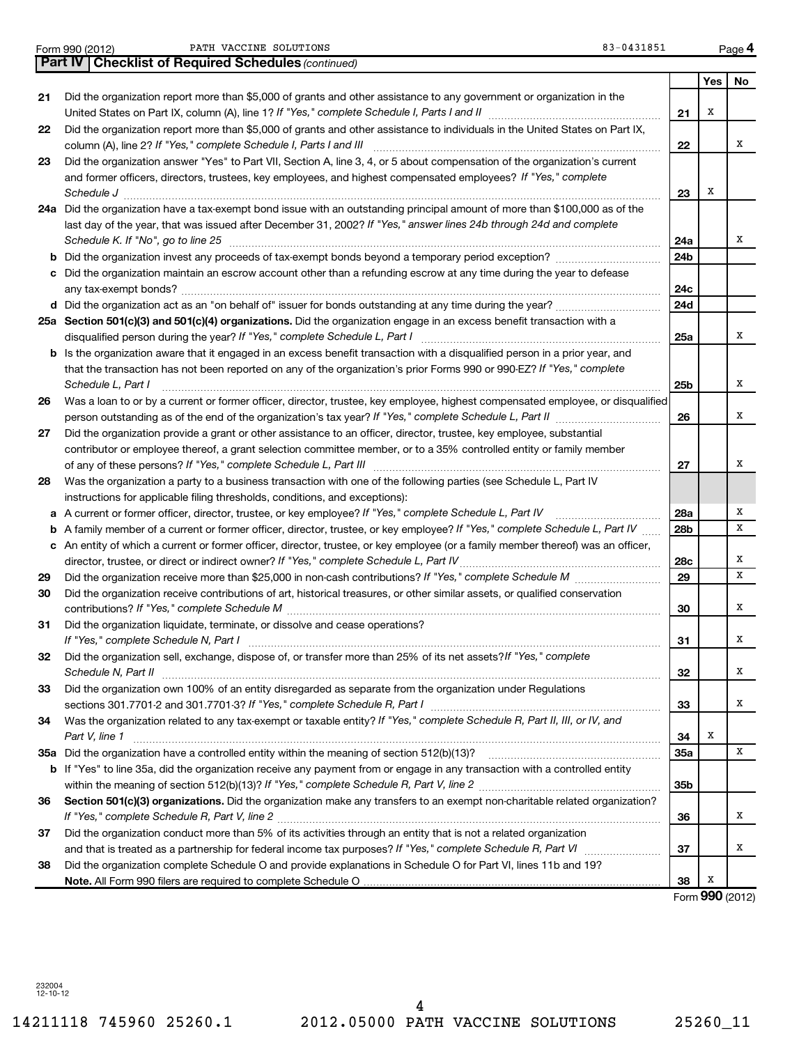| Form 990 (201 |  |  |
|---------------|--|--|
|               |  |  |

Form 990 (2012) Page PATH VACCINE SOLUTIONS 83-0431851

|    | Part IV   Checklist of Required Schedules (continued)                                                                             |                 |                 |    |
|----|-----------------------------------------------------------------------------------------------------------------------------------|-----------------|-----------------|----|
|    |                                                                                                                                   |                 | Yes             | No |
| 21 | Did the organization report more than \$5,000 of grants and other assistance to any government or organization in the             |                 |                 |    |
|    |                                                                                                                                   | 21              | Х               |    |
| 22 | Did the organization report more than \$5,000 of grants and other assistance to individuals in the United States on Part IX,      |                 |                 |    |
|    | column (A), line 2? If "Yes," complete Schedule I, Parts I and III                                                                | 22              |                 | х  |
| 23 | Did the organization answer "Yes" to Part VII, Section A, line 3, 4, or 5 about compensation of the organization's current        |                 |                 |    |
|    | and former officers, directors, trustees, key employees, and highest compensated employees? If "Yes," complete                    |                 |                 |    |
|    | Schedule J                                                                                                                        | 23              | х               |    |
|    | 24a Did the organization have a tax-exempt bond issue with an outstanding principal amount of more than \$100,000 as of the       |                 |                 |    |
|    | last day of the year, that was issued after December 31, 2002? If "Yes," answer lines 24b through 24d and complete                |                 |                 |    |
|    | Schedule K. If "No", go to line 25                                                                                                | 24a             |                 | х  |
|    |                                                                                                                                   | 24 <sub>b</sub> |                 |    |
| b  |                                                                                                                                   |                 |                 |    |
|    | Did the organization maintain an escrow account other than a refunding escrow at any time during the year to defease              |                 |                 |    |
|    |                                                                                                                                   | 24c             |                 |    |
|    |                                                                                                                                   | 24d             |                 |    |
|    | 25a Section 501(c)(3) and 501(c)(4) organizations. Did the organization engage in an excess benefit transaction with a            |                 |                 | х  |
|    |                                                                                                                                   | 25a             |                 |    |
|    | b Is the organization aware that it engaged in an excess benefit transaction with a disqualified person in a prior year, and      |                 |                 |    |
|    | that the transaction has not been reported on any of the organization's prior Forms 990 or 990-EZ? If "Yes," complete             |                 |                 |    |
|    | Schedule L. Part I                                                                                                                | 25 <sub>b</sub> |                 | х  |
| 26 | Was a loan to or by a current or former officer, director, trustee, key employee, highest compensated employee, or disqualified   |                 |                 |    |
|    |                                                                                                                                   | 26              |                 | х  |
| 27 | Did the organization provide a grant or other assistance to an officer, director, trustee, key employee, substantial              |                 |                 |    |
|    | contributor or employee thereof, a grant selection committee member, or to a 35% controlled entity or family member               |                 |                 |    |
|    |                                                                                                                                   | 27              |                 | х  |
| 28 | Was the organization a party to a business transaction with one of the following parties (see Schedule L, Part IV                 |                 |                 |    |
|    | instructions for applicable filing thresholds, conditions, and exceptions):                                                       |                 |                 |    |
| а  | A current or former officer, director, trustee, or key employee? If "Yes," complete Schedule L, Part IV                           | 28a             |                 | Х  |
| b  | A family member of a current or former officer, director, trustee, or key employee? If "Yes," complete Schedule L, Part IV        | 28 <sub>b</sub> |                 | х  |
|    | c An entity of which a current or former officer, director, trustee, or key employee (or a family member thereof) was an officer, |                 |                 |    |
|    | director, trustee, or direct or indirect owner? If "Yes," complete Schedule L, Part IV                                            | 28c             |                 | х  |
| 29 |                                                                                                                                   | 29              |                 | х  |
| 30 | Did the organization receive contributions of art, historical treasures, or other similar assets, or qualified conservation       |                 |                 |    |
|    |                                                                                                                                   | 30              |                 | х  |
| 31 | Did the organization liquidate, terminate, or dissolve and cease operations?                                                      |                 |                 |    |
|    |                                                                                                                                   | 31              |                 | х  |
| 32 | Did the organization sell, exchange, dispose of, or transfer more than 25% of its net assets? If "Yes," complete                  |                 |                 |    |
|    | Schedule N, Part II                                                                                                               | 32              |                 | х  |
| 33 | Did the organization own 100% of an entity disregarded as separate from the organization under Regulations                        |                 |                 |    |
|    |                                                                                                                                   | 33              |                 | x  |
| 34 | Was the organization related to any tax-exempt or taxable entity? If "Yes," complete Schedule R, Part II, III, or IV, and         |                 |                 |    |
|    | Part V, line 1                                                                                                                    | 34              | х               |    |
|    |                                                                                                                                   | <b>35a</b>      |                 | х  |
|    | b If "Yes" to line 35a, did the organization receive any payment from or engage in any transaction with a controlled entity       |                 |                 |    |
|    |                                                                                                                                   | 35b             |                 |    |
| 36 | Section 501(c)(3) organizations. Did the organization make any transfers to an exempt non-charitable related organization?        |                 |                 |    |
|    |                                                                                                                                   | 36              |                 | x  |
| 37 | Did the organization conduct more than 5% of its activities through an entity that is not a related organization                  |                 |                 |    |
|    |                                                                                                                                   | 37              |                 | х  |
| 38 | Did the organization complete Schedule O and provide explanations in Schedule O for Part VI, lines 11b and 19?                    |                 |                 |    |
|    |                                                                                                                                   | 38              | х               |    |
|    |                                                                                                                                   |                 | Form 990 (2012) |    |

232004 12-10-12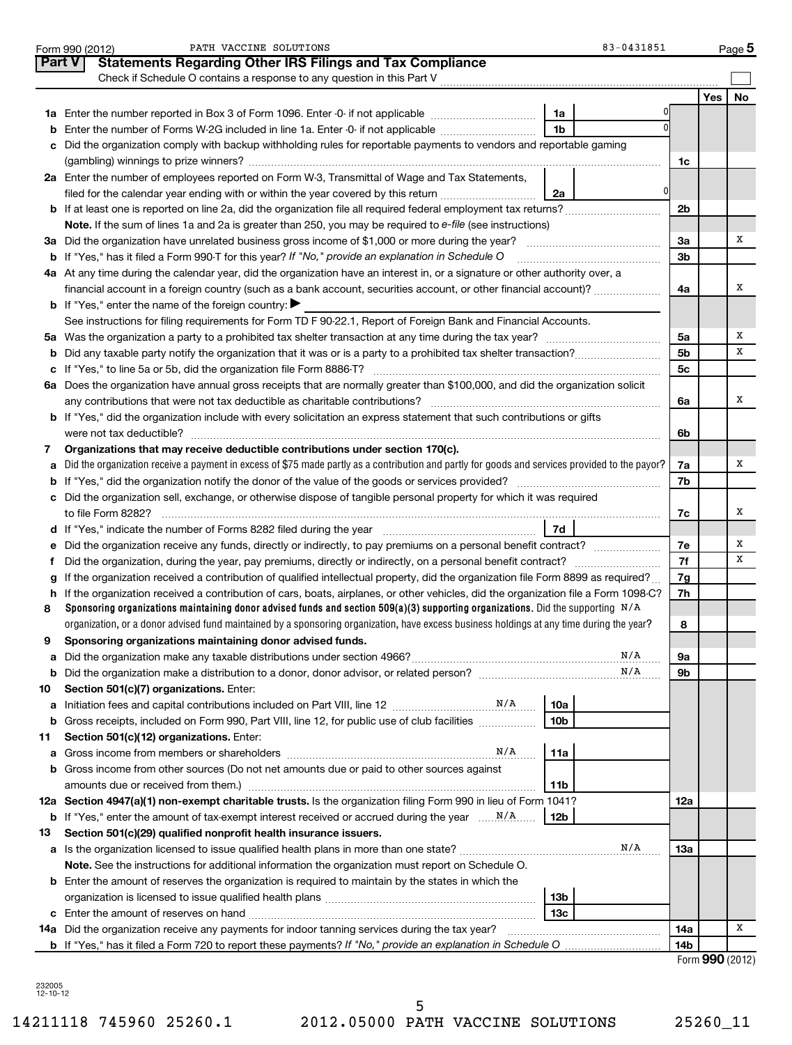| Part V<br><b>Statements Regarding Other IRS Filings and Tax Compliance</b><br>Check if Schedule O contains a response to any question in this Part V<br>Yes  <br>No<br>1a<br>1 <sub>b</sub><br>Enter the number of Forms W-2G included in line 1a. Enter -0- if not applicable<br>b<br>Did the organization comply with backup withholding rules for reportable payments to vendors and reportable gaming<br>c<br>1c<br>2a Enter the number of employees reported on Form W-3, Transmittal of Wage and Tax Statements,<br>0<br>filed for the calendar year ending with or within the year covered by this return<br>2a<br><b>b</b> If at least one is reported on line 2a, did the organization file all required federal employment tax returns?<br>2b<br>Note. If the sum of lines 1a and 2a is greater than 250, you may be required to e-file (see instructions)<br>х<br>3a Did the organization have unrelated business gross income of \$1,000 or more during the year?<br>За<br><b>b</b> If "Yes," has it filed a Form 990-T for this year? If "No," provide an explanation in Schedule O<br>3b<br>4a At any time during the calendar year, did the organization have an interest in, or a signature or other authority over, a<br>х<br>financial account in a foreign country (such as a bank account, securities account, or other financial account)?<br>4a<br><b>b</b> If "Yes," enter the name of the foreign country:<br>See instructions for filing requirements for Form TD F 90-22.1, Report of Foreign Bank and Financial Accounts.<br>х<br>5а<br>х<br>5 <sub>b</sub><br>5 <sub>c</sub><br>6a Does the organization have annual gross receipts that are normally greater than \$100,000, and did the organization solicit<br>х<br>6a<br>b If "Yes," did the organization include with every solicitation an express statement that such contributions or gifts<br>6b<br>Organizations that may receive deductible contributions under section 170(c).<br>7<br>Did the organization receive a payment in excess of \$75 made partly as a contribution and partly for goods and services provided to the payor?<br>х<br>7a<br>a<br>7b<br>c Did the organization sell, exchange, or otherwise dispose of tangible personal property for which it was required<br>х<br>to file Form 8282?<br>7c<br>7d<br>х<br>e Did the organization receive any funds, directly or indirectly, to pay premiums on a personal benefit contract?<br>7е<br>7f<br>х<br>f.<br>If the organization received a contribution of qualified intellectual property, did the organization file Form 8899 as required?<br>7g<br>g<br>h If the organization received a contribution of cars, boats, airplanes, or other vehicles, did the organization file a Form 1098-C?<br>7h<br>Sponsoring organizations maintaining donor advised funds and section 509(a)(3) supporting organizations. Did the supporting $N/A$<br>8<br>organization, or a donor advised fund maintained by a sponsoring organization, have excess business holdings at any time during the year?<br>8<br>Sponsoring organizations maintaining donor advised funds.<br>N/A<br>9а<br>а<br>N/A<br>9b<br>b<br>Section 501(c)(7) organizations. Enter:<br>10<br>10a<br>а<br>Gross receipts, included on Form 990, Part VIII, line 12, for public use of club facilities<br>10b<br>b<br>Section 501(c)(12) organizations. Enter:<br>11<br>N/A<br>11a<br>а<br><b>b</b> Gross income from other sources (Do not net amounts due or paid to other sources against<br>amounts due or received from them.)<br>11b<br>12a Section 4947(a)(1) non-exempt charitable trusts. Is the organization filing Form 990 in lieu of Form 1041?<br>12a<br>12b<br>Section 501(c)(29) qualified nonprofit health insurance issuers.<br>13<br>N/A<br>1За<br>Note. See the instructions for additional information the organization must report on Schedule O.<br><b>b</b> Enter the amount of reserves the organization is required to maintain by the states in which the<br>13b<br>13c<br>х<br>14a Did the organization receive any payments for indoor tanning services during the tax year?<br>14a<br><b>b</b> If "Yes," has it filed a Form 720 to report these payments? If "No," provide an explanation in Schedule O<br>14b<br>Form $990(2012)$ | PATH VACCINE SOLUTIONS<br>83-0431851<br>Form 990 (2012) |  | $Page$ 5 |
|--------------------------------------------------------------------------------------------------------------------------------------------------------------------------------------------------------------------------------------------------------------------------------------------------------------------------------------------------------------------------------------------------------------------------------------------------------------------------------------------------------------------------------------------------------------------------------------------------------------------------------------------------------------------------------------------------------------------------------------------------------------------------------------------------------------------------------------------------------------------------------------------------------------------------------------------------------------------------------------------------------------------------------------------------------------------------------------------------------------------------------------------------------------------------------------------------------------------------------------------------------------------------------------------------------------------------------------------------------------------------------------------------------------------------------------------------------------------------------------------------------------------------------------------------------------------------------------------------------------------------------------------------------------------------------------------------------------------------------------------------------------------------------------------------------------------------------------------------------------------------------------------------------------------------------------------------------------------------------------------------------------------------------------------------------------------------------------------------------------------------------------------------------------------------------------------------------------------------------------------------------------------------------------------------------------------------------------------------------------------------------------------------------------------------------------------------------------------------------------------------------------------------------------------------------------------------------------------------------------------------------------------------------------------------------------------------------------------------------------------------------------------------------------------------------------------------------------------------------------------------------------------------------------------------------------------------------------------------------------------------------------------------------------------------------------------------------------------------------------------------------------------------------------------------------------------------------------------------------------------------------------------------------------------------------------------------------------------------------------------------------------------------------------------------------------------------------------------------------------------------------------------------------------------------------------------------------------------------------------------------------------------------------------------------------------------------------------------------------------------------------------------------------------------------------------------------------------------------------------------------------------------------------------------------------------------------------------------------------------------------------------------------------------------------------------------------------------------------------------------------------------------------------------------------------------------------------------------------------------------------------------------------------------|---------------------------------------------------------|--|----------|
|                                                                                                                                                                                                                                                                                                                                                                                                                                                                                                                                                                                                                                                                                                                                                                                                                                                                                                                                                                                                                                                                                                                                                                                                                                                                                                                                                                                                                                                                                                                                                                                                                                                                                                                                                                                                                                                                                                                                                                                                                                                                                                                                                                                                                                                                                                                                                                                                                                                                                                                                                                                                                                                                                                                                                                                                                                                                                                                                                                                                                                                                                                                                                                                                                                                                                                                                                                                                                                                                                                                                                                                                                                                                                                                                                                                                                                                                                                                                                                                                                                                                                                                                                                                                                                                                                      |                                                         |  |          |
|                                                                                                                                                                                                                                                                                                                                                                                                                                                                                                                                                                                                                                                                                                                                                                                                                                                                                                                                                                                                                                                                                                                                                                                                                                                                                                                                                                                                                                                                                                                                                                                                                                                                                                                                                                                                                                                                                                                                                                                                                                                                                                                                                                                                                                                                                                                                                                                                                                                                                                                                                                                                                                                                                                                                                                                                                                                                                                                                                                                                                                                                                                                                                                                                                                                                                                                                                                                                                                                                                                                                                                                                                                                                                                                                                                                                                                                                                                                                                                                                                                                                                                                                                                                                                                                                                      |                                                         |  |          |
|                                                                                                                                                                                                                                                                                                                                                                                                                                                                                                                                                                                                                                                                                                                                                                                                                                                                                                                                                                                                                                                                                                                                                                                                                                                                                                                                                                                                                                                                                                                                                                                                                                                                                                                                                                                                                                                                                                                                                                                                                                                                                                                                                                                                                                                                                                                                                                                                                                                                                                                                                                                                                                                                                                                                                                                                                                                                                                                                                                                                                                                                                                                                                                                                                                                                                                                                                                                                                                                                                                                                                                                                                                                                                                                                                                                                                                                                                                                                                                                                                                                                                                                                                                                                                                                                                      |                                                         |  |          |
|                                                                                                                                                                                                                                                                                                                                                                                                                                                                                                                                                                                                                                                                                                                                                                                                                                                                                                                                                                                                                                                                                                                                                                                                                                                                                                                                                                                                                                                                                                                                                                                                                                                                                                                                                                                                                                                                                                                                                                                                                                                                                                                                                                                                                                                                                                                                                                                                                                                                                                                                                                                                                                                                                                                                                                                                                                                                                                                                                                                                                                                                                                                                                                                                                                                                                                                                                                                                                                                                                                                                                                                                                                                                                                                                                                                                                                                                                                                                                                                                                                                                                                                                                                                                                                                                                      |                                                         |  |          |
|                                                                                                                                                                                                                                                                                                                                                                                                                                                                                                                                                                                                                                                                                                                                                                                                                                                                                                                                                                                                                                                                                                                                                                                                                                                                                                                                                                                                                                                                                                                                                                                                                                                                                                                                                                                                                                                                                                                                                                                                                                                                                                                                                                                                                                                                                                                                                                                                                                                                                                                                                                                                                                                                                                                                                                                                                                                                                                                                                                                                                                                                                                                                                                                                                                                                                                                                                                                                                                                                                                                                                                                                                                                                                                                                                                                                                                                                                                                                                                                                                                                                                                                                                                                                                                                                                      |                                                         |  |          |
|                                                                                                                                                                                                                                                                                                                                                                                                                                                                                                                                                                                                                                                                                                                                                                                                                                                                                                                                                                                                                                                                                                                                                                                                                                                                                                                                                                                                                                                                                                                                                                                                                                                                                                                                                                                                                                                                                                                                                                                                                                                                                                                                                                                                                                                                                                                                                                                                                                                                                                                                                                                                                                                                                                                                                                                                                                                                                                                                                                                                                                                                                                                                                                                                                                                                                                                                                                                                                                                                                                                                                                                                                                                                                                                                                                                                                                                                                                                                                                                                                                                                                                                                                                                                                                                                                      |                                                         |  |          |
|                                                                                                                                                                                                                                                                                                                                                                                                                                                                                                                                                                                                                                                                                                                                                                                                                                                                                                                                                                                                                                                                                                                                                                                                                                                                                                                                                                                                                                                                                                                                                                                                                                                                                                                                                                                                                                                                                                                                                                                                                                                                                                                                                                                                                                                                                                                                                                                                                                                                                                                                                                                                                                                                                                                                                                                                                                                                                                                                                                                                                                                                                                                                                                                                                                                                                                                                                                                                                                                                                                                                                                                                                                                                                                                                                                                                                                                                                                                                                                                                                                                                                                                                                                                                                                                                                      |                                                         |  |          |
|                                                                                                                                                                                                                                                                                                                                                                                                                                                                                                                                                                                                                                                                                                                                                                                                                                                                                                                                                                                                                                                                                                                                                                                                                                                                                                                                                                                                                                                                                                                                                                                                                                                                                                                                                                                                                                                                                                                                                                                                                                                                                                                                                                                                                                                                                                                                                                                                                                                                                                                                                                                                                                                                                                                                                                                                                                                                                                                                                                                                                                                                                                                                                                                                                                                                                                                                                                                                                                                                                                                                                                                                                                                                                                                                                                                                                                                                                                                                                                                                                                                                                                                                                                                                                                                                                      |                                                         |  |          |
|                                                                                                                                                                                                                                                                                                                                                                                                                                                                                                                                                                                                                                                                                                                                                                                                                                                                                                                                                                                                                                                                                                                                                                                                                                                                                                                                                                                                                                                                                                                                                                                                                                                                                                                                                                                                                                                                                                                                                                                                                                                                                                                                                                                                                                                                                                                                                                                                                                                                                                                                                                                                                                                                                                                                                                                                                                                                                                                                                                                                                                                                                                                                                                                                                                                                                                                                                                                                                                                                                                                                                                                                                                                                                                                                                                                                                                                                                                                                                                                                                                                                                                                                                                                                                                                                                      |                                                         |  |          |
|                                                                                                                                                                                                                                                                                                                                                                                                                                                                                                                                                                                                                                                                                                                                                                                                                                                                                                                                                                                                                                                                                                                                                                                                                                                                                                                                                                                                                                                                                                                                                                                                                                                                                                                                                                                                                                                                                                                                                                                                                                                                                                                                                                                                                                                                                                                                                                                                                                                                                                                                                                                                                                                                                                                                                                                                                                                                                                                                                                                                                                                                                                                                                                                                                                                                                                                                                                                                                                                                                                                                                                                                                                                                                                                                                                                                                                                                                                                                                                                                                                                                                                                                                                                                                                                                                      |                                                         |  |          |
|                                                                                                                                                                                                                                                                                                                                                                                                                                                                                                                                                                                                                                                                                                                                                                                                                                                                                                                                                                                                                                                                                                                                                                                                                                                                                                                                                                                                                                                                                                                                                                                                                                                                                                                                                                                                                                                                                                                                                                                                                                                                                                                                                                                                                                                                                                                                                                                                                                                                                                                                                                                                                                                                                                                                                                                                                                                                                                                                                                                                                                                                                                                                                                                                                                                                                                                                                                                                                                                                                                                                                                                                                                                                                                                                                                                                                                                                                                                                                                                                                                                                                                                                                                                                                                                                                      |                                                         |  |          |
|                                                                                                                                                                                                                                                                                                                                                                                                                                                                                                                                                                                                                                                                                                                                                                                                                                                                                                                                                                                                                                                                                                                                                                                                                                                                                                                                                                                                                                                                                                                                                                                                                                                                                                                                                                                                                                                                                                                                                                                                                                                                                                                                                                                                                                                                                                                                                                                                                                                                                                                                                                                                                                                                                                                                                                                                                                                                                                                                                                                                                                                                                                                                                                                                                                                                                                                                                                                                                                                                                                                                                                                                                                                                                                                                                                                                                                                                                                                                                                                                                                                                                                                                                                                                                                                                                      |                                                         |  |          |
|                                                                                                                                                                                                                                                                                                                                                                                                                                                                                                                                                                                                                                                                                                                                                                                                                                                                                                                                                                                                                                                                                                                                                                                                                                                                                                                                                                                                                                                                                                                                                                                                                                                                                                                                                                                                                                                                                                                                                                                                                                                                                                                                                                                                                                                                                                                                                                                                                                                                                                                                                                                                                                                                                                                                                                                                                                                                                                                                                                                                                                                                                                                                                                                                                                                                                                                                                                                                                                                                                                                                                                                                                                                                                                                                                                                                                                                                                                                                                                                                                                                                                                                                                                                                                                                                                      |                                                         |  |          |
|                                                                                                                                                                                                                                                                                                                                                                                                                                                                                                                                                                                                                                                                                                                                                                                                                                                                                                                                                                                                                                                                                                                                                                                                                                                                                                                                                                                                                                                                                                                                                                                                                                                                                                                                                                                                                                                                                                                                                                                                                                                                                                                                                                                                                                                                                                                                                                                                                                                                                                                                                                                                                                                                                                                                                                                                                                                                                                                                                                                                                                                                                                                                                                                                                                                                                                                                                                                                                                                                                                                                                                                                                                                                                                                                                                                                                                                                                                                                                                                                                                                                                                                                                                                                                                                                                      |                                                         |  |          |
|                                                                                                                                                                                                                                                                                                                                                                                                                                                                                                                                                                                                                                                                                                                                                                                                                                                                                                                                                                                                                                                                                                                                                                                                                                                                                                                                                                                                                                                                                                                                                                                                                                                                                                                                                                                                                                                                                                                                                                                                                                                                                                                                                                                                                                                                                                                                                                                                                                                                                                                                                                                                                                                                                                                                                                                                                                                                                                                                                                                                                                                                                                                                                                                                                                                                                                                                                                                                                                                                                                                                                                                                                                                                                                                                                                                                                                                                                                                                                                                                                                                                                                                                                                                                                                                                                      |                                                         |  |          |
|                                                                                                                                                                                                                                                                                                                                                                                                                                                                                                                                                                                                                                                                                                                                                                                                                                                                                                                                                                                                                                                                                                                                                                                                                                                                                                                                                                                                                                                                                                                                                                                                                                                                                                                                                                                                                                                                                                                                                                                                                                                                                                                                                                                                                                                                                                                                                                                                                                                                                                                                                                                                                                                                                                                                                                                                                                                                                                                                                                                                                                                                                                                                                                                                                                                                                                                                                                                                                                                                                                                                                                                                                                                                                                                                                                                                                                                                                                                                                                                                                                                                                                                                                                                                                                                                                      |                                                         |  |          |
|                                                                                                                                                                                                                                                                                                                                                                                                                                                                                                                                                                                                                                                                                                                                                                                                                                                                                                                                                                                                                                                                                                                                                                                                                                                                                                                                                                                                                                                                                                                                                                                                                                                                                                                                                                                                                                                                                                                                                                                                                                                                                                                                                                                                                                                                                                                                                                                                                                                                                                                                                                                                                                                                                                                                                                                                                                                                                                                                                                                                                                                                                                                                                                                                                                                                                                                                                                                                                                                                                                                                                                                                                                                                                                                                                                                                                                                                                                                                                                                                                                                                                                                                                                                                                                                                                      |                                                         |  |          |
|                                                                                                                                                                                                                                                                                                                                                                                                                                                                                                                                                                                                                                                                                                                                                                                                                                                                                                                                                                                                                                                                                                                                                                                                                                                                                                                                                                                                                                                                                                                                                                                                                                                                                                                                                                                                                                                                                                                                                                                                                                                                                                                                                                                                                                                                                                                                                                                                                                                                                                                                                                                                                                                                                                                                                                                                                                                                                                                                                                                                                                                                                                                                                                                                                                                                                                                                                                                                                                                                                                                                                                                                                                                                                                                                                                                                                                                                                                                                                                                                                                                                                                                                                                                                                                                                                      |                                                         |  |          |
|                                                                                                                                                                                                                                                                                                                                                                                                                                                                                                                                                                                                                                                                                                                                                                                                                                                                                                                                                                                                                                                                                                                                                                                                                                                                                                                                                                                                                                                                                                                                                                                                                                                                                                                                                                                                                                                                                                                                                                                                                                                                                                                                                                                                                                                                                                                                                                                                                                                                                                                                                                                                                                                                                                                                                                                                                                                                                                                                                                                                                                                                                                                                                                                                                                                                                                                                                                                                                                                                                                                                                                                                                                                                                                                                                                                                                                                                                                                                                                                                                                                                                                                                                                                                                                                                                      |                                                         |  |          |
|                                                                                                                                                                                                                                                                                                                                                                                                                                                                                                                                                                                                                                                                                                                                                                                                                                                                                                                                                                                                                                                                                                                                                                                                                                                                                                                                                                                                                                                                                                                                                                                                                                                                                                                                                                                                                                                                                                                                                                                                                                                                                                                                                                                                                                                                                                                                                                                                                                                                                                                                                                                                                                                                                                                                                                                                                                                                                                                                                                                                                                                                                                                                                                                                                                                                                                                                                                                                                                                                                                                                                                                                                                                                                                                                                                                                                                                                                                                                                                                                                                                                                                                                                                                                                                                                                      |                                                         |  |          |
|                                                                                                                                                                                                                                                                                                                                                                                                                                                                                                                                                                                                                                                                                                                                                                                                                                                                                                                                                                                                                                                                                                                                                                                                                                                                                                                                                                                                                                                                                                                                                                                                                                                                                                                                                                                                                                                                                                                                                                                                                                                                                                                                                                                                                                                                                                                                                                                                                                                                                                                                                                                                                                                                                                                                                                                                                                                                                                                                                                                                                                                                                                                                                                                                                                                                                                                                                                                                                                                                                                                                                                                                                                                                                                                                                                                                                                                                                                                                                                                                                                                                                                                                                                                                                                                                                      |                                                         |  |          |
|                                                                                                                                                                                                                                                                                                                                                                                                                                                                                                                                                                                                                                                                                                                                                                                                                                                                                                                                                                                                                                                                                                                                                                                                                                                                                                                                                                                                                                                                                                                                                                                                                                                                                                                                                                                                                                                                                                                                                                                                                                                                                                                                                                                                                                                                                                                                                                                                                                                                                                                                                                                                                                                                                                                                                                                                                                                                                                                                                                                                                                                                                                                                                                                                                                                                                                                                                                                                                                                                                                                                                                                                                                                                                                                                                                                                                                                                                                                                                                                                                                                                                                                                                                                                                                                                                      |                                                         |  |          |
|                                                                                                                                                                                                                                                                                                                                                                                                                                                                                                                                                                                                                                                                                                                                                                                                                                                                                                                                                                                                                                                                                                                                                                                                                                                                                                                                                                                                                                                                                                                                                                                                                                                                                                                                                                                                                                                                                                                                                                                                                                                                                                                                                                                                                                                                                                                                                                                                                                                                                                                                                                                                                                                                                                                                                                                                                                                                                                                                                                                                                                                                                                                                                                                                                                                                                                                                                                                                                                                                                                                                                                                                                                                                                                                                                                                                                                                                                                                                                                                                                                                                                                                                                                                                                                                                                      |                                                         |  |          |
|                                                                                                                                                                                                                                                                                                                                                                                                                                                                                                                                                                                                                                                                                                                                                                                                                                                                                                                                                                                                                                                                                                                                                                                                                                                                                                                                                                                                                                                                                                                                                                                                                                                                                                                                                                                                                                                                                                                                                                                                                                                                                                                                                                                                                                                                                                                                                                                                                                                                                                                                                                                                                                                                                                                                                                                                                                                                                                                                                                                                                                                                                                                                                                                                                                                                                                                                                                                                                                                                                                                                                                                                                                                                                                                                                                                                                                                                                                                                                                                                                                                                                                                                                                                                                                                                                      |                                                         |  |          |
|                                                                                                                                                                                                                                                                                                                                                                                                                                                                                                                                                                                                                                                                                                                                                                                                                                                                                                                                                                                                                                                                                                                                                                                                                                                                                                                                                                                                                                                                                                                                                                                                                                                                                                                                                                                                                                                                                                                                                                                                                                                                                                                                                                                                                                                                                                                                                                                                                                                                                                                                                                                                                                                                                                                                                                                                                                                                                                                                                                                                                                                                                                                                                                                                                                                                                                                                                                                                                                                                                                                                                                                                                                                                                                                                                                                                                                                                                                                                                                                                                                                                                                                                                                                                                                                                                      |                                                         |  |          |
|                                                                                                                                                                                                                                                                                                                                                                                                                                                                                                                                                                                                                                                                                                                                                                                                                                                                                                                                                                                                                                                                                                                                                                                                                                                                                                                                                                                                                                                                                                                                                                                                                                                                                                                                                                                                                                                                                                                                                                                                                                                                                                                                                                                                                                                                                                                                                                                                                                                                                                                                                                                                                                                                                                                                                                                                                                                                                                                                                                                                                                                                                                                                                                                                                                                                                                                                                                                                                                                                                                                                                                                                                                                                                                                                                                                                                                                                                                                                                                                                                                                                                                                                                                                                                                                                                      |                                                         |  |          |
|                                                                                                                                                                                                                                                                                                                                                                                                                                                                                                                                                                                                                                                                                                                                                                                                                                                                                                                                                                                                                                                                                                                                                                                                                                                                                                                                                                                                                                                                                                                                                                                                                                                                                                                                                                                                                                                                                                                                                                                                                                                                                                                                                                                                                                                                                                                                                                                                                                                                                                                                                                                                                                                                                                                                                                                                                                                                                                                                                                                                                                                                                                                                                                                                                                                                                                                                                                                                                                                                                                                                                                                                                                                                                                                                                                                                                                                                                                                                                                                                                                                                                                                                                                                                                                                                                      |                                                         |  |          |
|                                                                                                                                                                                                                                                                                                                                                                                                                                                                                                                                                                                                                                                                                                                                                                                                                                                                                                                                                                                                                                                                                                                                                                                                                                                                                                                                                                                                                                                                                                                                                                                                                                                                                                                                                                                                                                                                                                                                                                                                                                                                                                                                                                                                                                                                                                                                                                                                                                                                                                                                                                                                                                                                                                                                                                                                                                                                                                                                                                                                                                                                                                                                                                                                                                                                                                                                                                                                                                                                                                                                                                                                                                                                                                                                                                                                                                                                                                                                                                                                                                                                                                                                                                                                                                                                                      |                                                         |  |          |
|                                                                                                                                                                                                                                                                                                                                                                                                                                                                                                                                                                                                                                                                                                                                                                                                                                                                                                                                                                                                                                                                                                                                                                                                                                                                                                                                                                                                                                                                                                                                                                                                                                                                                                                                                                                                                                                                                                                                                                                                                                                                                                                                                                                                                                                                                                                                                                                                                                                                                                                                                                                                                                                                                                                                                                                                                                                                                                                                                                                                                                                                                                                                                                                                                                                                                                                                                                                                                                                                                                                                                                                                                                                                                                                                                                                                                                                                                                                                                                                                                                                                                                                                                                                                                                                                                      |                                                         |  |          |
|                                                                                                                                                                                                                                                                                                                                                                                                                                                                                                                                                                                                                                                                                                                                                                                                                                                                                                                                                                                                                                                                                                                                                                                                                                                                                                                                                                                                                                                                                                                                                                                                                                                                                                                                                                                                                                                                                                                                                                                                                                                                                                                                                                                                                                                                                                                                                                                                                                                                                                                                                                                                                                                                                                                                                                                                                                                                                                                                                                                                                                                                                                                                                                                                                                                                                                                                                                                                                                                                                                                                                                                                                                                                                                                                                                                                                                                                                                                                                                                                                                                                                                                                                                                                                                                                                      |                                                         |  |          |
|                                                                                                                                                                                                                                                                                                                                                                                                                                                                                                                                                                                                                                                                                                                                                                                                                                                                                                                                                                                                                                                                                                                                                                                                                                                                                                                                                                                                                                                                                                                                                                                                                                                                                                                                                                                                                                                                                                                                                                                                                                                                                                                                                                                                                                                                                                                                                                                                                                                                                                                                                                                                                                                                                                                                                                                                                                                                                                                                                                                                                                                                                                                                                                                                                                                                                                                                                                                                                                                                                                                                                                                                                                                                                                                                                                                                                                                                                                                                                                                                                                                                                                                                                                                                                                                                                      |                                                         |  |          |
|                                                                                                                                                                                                                                                                                                                                                                                                                                                                                                                                                                                                                                                                                                                                                                                                                                                                                                                                                                                                                                                                                                                                                                                                                                                                                                                                                                                                                                                                                                                                                                                                                                                                                                                                                                                                                                                                                                                                                                                                                                                                                                                                                                                                                                                                                                                                                                                                                                                                                                                                                                                                                                                                                                                                                                                                                                                                                                                                                                                                                                                                                                                                                                                                                                                                                                                                                                                                                                                                                                                                                                                                                                                                                                                                                                                                                                                                                                                                                                                                                                                                                                                                                                                                                                                                                      |                                                         |  |          |
|                                                                                                                                                                                                                                                                                                                                                                                                                                                                                                                                                                                                                                                                                                                                                                                                                                                                                                                                                                                                                                                                                                                                                                                                                                                                                                                                                                                                                                                                                                                                                                                                                                                                                                                                                                                                                                                                                                                                                                                                                                                                                                                                                                                                                                                                                                                                                                                                                                                                                                                                                                                                                                                                                                                                                                                                                                                                                                                                                                                                                                                                                                                                                                                                                                                                                                                                                                                                                                                                                                                                                                                                                                                                                                                                                                                                                                                                                                                                                                                                                                                                                                                                                                                                                                                                                      |                                                         |  |          |
|                                                                                                                                                                                                                                                                                                                                                                                                                                                                                                                                                                                                                                                                                                                                                                                                                                                                                                                                                                                                                                                                                                                                                                                                                                                                                                                                                                                                                                                                                                                                                                                                                                                                                                                                                                                                                                                                                                                                                                                                                                                                                                                                                                                                                                                                                                                                                                                                                                                                                                                                                                                                                                                                                                                                                                                                                                                                                                                                                                                                                                                                                                                                                                                                                                                                                                                                                                                                                                                                                                                                                                                                                                                                                                                                                                                                                                                                                                                                                                                                                                                                                                                                                                                                                                                                                      |                                                         |  |          |
|                                                                                                                                                                                                                                                                                                                                                                                                                                                                                                                                                                                                                                                                                                                                                                                                                                                                                                                                                                                                                                                                                                                                                                                                                                                                                                                                                                                                                                                                                                                                                                                                                                                                                                                                                                                                                                                                                                                                                                                                                                                                                                                                                                                                                                                                                                                                                                                                                                                                                                                                                                                                                                                                                                                                                                                                                                                                                                                                                                                                                                                                                                                                                                                                                                                                                                                                                                                                                                                                                                                                                                                                                                                                                                                                                                                                                                                                                                                                                                                                                                                                                                                                                                                                                                                                                      |                                                         |  |          |
|                                                                                                                                                                                                                                                                                                                                                                                                                                                                                                                                                                                                                                                                                                                                                                                                                                                                                                                                                                                                                                                                                                                                                                                                                                                                                                                                                                                                                                                                                                                                                                                                                                                                                                                                                                                                                                                                                                                                                                                                                                                                                                                                                                                                                                                                                                                                                                                                                                                                                                                                                                                                                                                                                                                                                                                                                                                                                                                                                                                                                                                                                                                                                                                                                                                                                                                                                                                                                                                                                                                                                                                                                                                                                                                                                                                                                                                                                                                                                                                                                                                                                                                                                                                                                                                                                      |                                                         |  |          |
|                                                                                                                                                                                                                                                                                                                                                                                                                                                                                                                                                                                                                                                                                                                                                                                                                                                                                                                                                                                                                                                                                                                                                                                                                                                                                                                                                                                                                                                                                                                                                                                                                                                                                                                                                                                                                                                                                                                                                                                                                                                                                                                                                                                                                                                                                                                                                                                                                                                                                                                                                                                                                                                                                                                                                                                                                                                                                                                                                                                                                                                                                                                                                                                                                                                                                                                                                                                                                                                                                                                                                                                                                                                                                                                                                                                                                                                                                                                                                                                                                                                                                                                                                                                                                                                                                      |                                                         |  |          |
|                                                                                                                                                                                                                                                                                                                                                                                                                                                                                                                                                                                                                                                                                                                                                                                                                                                                                                                                                                                                                                                                                                                                                                                                                                                                                                                                                                                                                                                                                                                                                                                                                                                                                                                                                                                                                                                                                                                                                                                                                                                                                                                                                                                                                                                                                                                                                                                                                                                                                                                                                                                                                                                                                                                                                                                                                                                                                                                                                                                                                                                                                                                                                                                                                                                                                                                                                                                                                                                                                                                                                                                                                                                                                                                                                                                                                                                                                                                                                                                                                                                                                                                                                                                                                                                                                      |                                                         |  |          |
|                                                                                                                                                                                                                                                                                                                                                                                                                                                                                                                                                                                                                                                                                                                                                                                                                                                                                                                                                                                                                                                                                                                                                                                                                                                                                                                                                                                                                                                                                                                                                                                                                                                                                                                                                                                                                                                                                                                                                                                                                                                                                                                                                                                                                                                                                                                                                                                                                                                                                                                                                                                                                                                                                                                                                                                                                                                                                                                                                                                                                                                                                                                                                                                                                                                                                                                                                                                                                                                                                                                                                                                                                                                                                                                                                                                                                                                                                                                                                                                                                                                                                                                                                                                                                                                                                      |                                                         |  |          |
|                                                                                                                                                                                                                                                                                                                                                                                                                                                                                                                                                                                                                                                                                                                                                                                                                                                                                                                                                                                                                                                                                                                                                                                                                                                                                                                                                                                                                                                                                                                                                                                                                                                                                                                                                                                                                                                                                                                                                                                                                                                                                                                                                                                                                                                                                                                                                                                                                                                                                                                                                                                                                                                                                                                                                                                                                                                                                                                                                                                                                                                                                                                                                                                                                                                                                                                                                                                                                                                                                                                                                                                                                                                                                                                                                                                                                                                                                                                                                                                                                                                                                                                                                                                                                                                                                      |                                                         |  |          |
|                                                                                                                                                                                                                                                                                                                                                                                                                                                                                                                                                                                                                                                                                                                                                                                                                                                                                                                                                                                                                                                                                                                                                                                                                                                                                                                                                                                                                                                                                                                                                                                                                                                                                                                                                                                                                                                                                                                                                                                                                                                                                                                                                                                                                                                                                                                                                                                                                                                                                                                                                                                                                                                                                                                                                                                                                                                                                                                                                                                                                                                                                                                                                                                                                                                                                                                                                                                                                                                                                                                                                                                                                                                                                                                                                                                                                                                                                                                                                                                                                                                                                                                                                                                                                                                                                      |                                                         |  |          |
|                                                                                                                                                                                                                                                                                                                                                                                                                                                                                                                                                                                                                                                                                                                                                                                                                                                                                                                                                                                                                                                                                                                                                                                                                                                                                                                                                                                                                                                                                                                                                                                                                                                                                                                                                                                                                                                                                                                                                                                                                                                                                                                                                                                                                                                                                                                                                                                                                                                                                                                                                                                                                                                                                                                                                                                                                                                                                                                                                                                                                                                                                                                                                                                                                                                                                                                                                                                                                                                                                                                                                                                                                                                                                                                                                                                                                                                                                                                                                                                                                                                                                                                                                                                                                                                                                      |                                                         |  |          |
|                                                                                                                                                                                                                                                                                                                                                                                                                                                                                                                                                                                                                                                                                                                                                                                                                                                                                                                                                                                                                                                                                                                                                                                                                                                                                                                                                                                                                                                                                                                                                                                                                                                                                                                                                                                                                                                                                                                                                                                                                                                                                                                                                                                                                                                                                                                                                                                                                                                                                                                                                                                                                                                                                                                                                                                                                                                                                                                                                                                                                                                                                                                                                                                                                                                                                                                                                                                                                                                                                                                                                                                                                                                                                                                                                                                                                                                                                                                                                                                                                                                                                                                                                                                                                                                                                      |                                                         |  |          |
|                                                                                                                                                                                                                                                                                                                                                                                                                                                                                                                                                                                                                                                                                                                                                                                                                                                                                                                                                                                                                                                                                                                                                                                                                                                                                                                                                                                                                                                                                                                                                                                                                                                                                                                                                                                                                                                                                                                                                                                                                                                                                                                                                                                                                                                                                                                                                                                                                                                                                                                                                                                                                                                                                                                                                                                                                                                                                                                                                                                                                                                                                                                                                                                                                                                                                                                                                                                                                                                                                                                                                                                                                                                                                                                                                                                                                                                                                                                                                                                                                                                                                                                                                                                                                                                                                      |                                                         |  |          |
|                                                                                                                                                                                                                                                                                                                                                                                                                                                                                                                                                                                                                                                                                                                                                                                                                                                                                                                                                                                                                                                                                                                                                                                                                                                                                                                                                                                                                                                                                                                                                                                                                                                                                                                                                                                                                                                                                                                                                                                                                                                                                                                                                                                                                                                                                                                                                                                                                                                                                                                                                                                                                                                                                                                                                                                                                                                                                                                                                                                                                                                                                                                                                                                                                                                                                                                                                                                                                                                                                                                                                                                                                                                                                                                                                                                                                                                                                                                                                                                                                                                                                                                                                                                                                                                                                      |                                                         |  |          |
|                                                                                                                                                                                                                                                                                                                                                                                                                                                                                                                                                                                                                                                                                                                                                                                                                                                                                                                                                                                                                                                                                                                                                                                                                                                                                                                                                                                                                                                                                                                                                                                                                                                                                                                                                                                                                                                                                                                                                                                                                                                                                                                                                                                                                                                                                                                                                                                                                                                                                                                                                                                                                                                                                                                                                                                                                                                                                                                                                                                                                                                                                                                                                                                                                                                                                                                                                                                                                                                                                                                                                                                                                                                                                                                                                                                                                                                                                                                                                                                                                                                                                                                                                                                                                                                                                      |                                                         |  |          |
|                                                                                                                                                                                                                                                                                                                                                                                                                                                                                                                                                                                                                                                                                                                                                                                                                                                                                                                                                                                                                                                                                                                                                                                                                                                                                                                                                                                                                                                                                                                                                                                                                                                                                                                                                                                                                                                                                                                                                                                                                                                                                                                                                                                                                                                                                                                                                                                                                                                                                                                                                                                                                                                                                                                                                                                                                                                                                                                                                                                                                                                                                                                                                                                                                                                                                                                                                                                                                                                                                                                                                                                                                                                                                                                                                                                                                                                                                                                                                                                                                                                                                                                                                                                                                                                                                      |                                                         |  |          |
|                                                                                                                                                                                                                                                                                                                                                                                                                                                                                                                                                                                                                                                                                                                                                                                                                                                                                                                                                                                                                                                                                                                                                                                                                                                                                                                                                                                                                                                                                                                                                                                                                                                                                                                                                                                                                                                                                                                                                                                                                                                                                                                                                                                                                                                                                                                                                                                                                                                                                                                                                                                                                                                                                                                                                                                                                                                                                                                                                                                                                                                                                                                                                                                                                                                                                                                                                                                                                                                                                                                                                                                                                                                                                                                                                                                                                                                                                                                                                                                                                                                                                                                                                                                                                                                                                      |                                                         |  |          |
|                                                                                                                                                                                                                                                                                                                                                                                                                                                                                                                                                                                                                                                                                                                                                                                                                                                                                                                                                                                                                                                                                                                                                                                                                                                                                                                                                                                                                                                                                                                                                                                                                                                                                                                                                                                                                                                                                                                                                                                                                                                                                                                                                                                                                                                                                                                                                                                                                                                                                                                                                                                                                                                                                                                                                                                                                                                                                                                                                                                                                                                                                                                                                                                                                                                                                                                                                                                                                                                                                                                                                                                                                                                                                                                                                                                                                                                                                                                                                                                                                                                                                                                                                                                                                                                                                      |                                                         |  |          |
|                                                                                                                                                                                                                                                                                                                                                                                                                                                                                                                                                                                                                                                                                                                                                                                                                                                                                                                                                                                                                                                                                                                                                                                                                                                                                                                                                                                                                                                                                                                                                                                                                                                                                                                                                                                                                                                                                                                                                                                                                                                                                                                                                                                                                                                                                                                                                                                                                                                                                                                                                                                                                                                                                                                                                                                                                                                                                                                                                                                                                                                                                                                                                                                                                                                                                                                                                                                                                                                                                                                                                                                                                                                                                                                                                                                                                                                                                                                                                                                                                                                                                                                                                                                                                                                                                      |                                                         |  |          |
|                                                                                                                                                                                                                                                                                                                                                                                                                                                                                                                                                                                                                                                                                                                                                                                                                                                                                                                                                                                                                                                                                                                                                                                                                                                                                                                                                                                                                                                                                                                                                                                                                                                                                                                                                                                                                                                                                                                                                                                                                                                                                                                                                                                                                                                                                                                                                                                                                                                                                                                                                                                                                                                                                                                                                                                                                                                                                                                                                                                                                                                                                                                                                                                                                                                                                                                                                                                                                                                                                                                                                                                                                                                                                                                                                                                                                                                                                                                                                                                                                                                                                                                                                                                                                                                                                      |                                                         |  |          |
|                                                                                                                                                                                                                                                                                                                                                                                                                                                                                                                                                                                                                                                                                                                                                                                                                                                                                                                                                                                                                                                                                                                                                                                                                                                                                                                                                                                                                                                                                                                                                                                                                                                                                                                                                                                                                                                                                                                                                                                                                                                                                                                                                                                                                                                                                                                                                                                                                                                                                                                                                                                                                                                                                                                                                                                                                                                                                                                                                                                                                                                                                                                                                                                                                                                                                                                                                                                                                                                                                                                                                                                                                                                                                                                                                                                                                                                                                                                                                                                                                                                                                                                                                                                                                                                                                      |                                                         |  |          |
|                                                                                                                                                                                                                                                                                                                                                                                                                                                                                                                                                                                                                                                                                                                                                                                                                                                                                                                                                                                                                                                                                                                                                                                                                                                                                                                                                                                                                                                                                                                                                                                                                                                                                                                                                                                                                                                                                                                                                                                                                                                                                                                                                                                                                                                                                                                                                                                                                                                                                                                                                                                                                                                                                                                                                                                                                                                                                                                                                                                                                                                                                                                                                                                                                                                                                                                                                                                                                                                                                                                                                                                                                                                                                                                                                                                                                                                                                                                                                                                                                                                                                                                                                                                                                                                                                      |                                                         |  |          |
|                                                                                                                                                                                                                                                                                                                                                                                                                                                                                                                                                                                                                                                                                                                                                                                                                                                                                                                                                                                                                                                                                                                                                                                                                                                                                                                                                                                                                                                                                                                                                                                                                                                                                                                                                                                                                                                                                                                                                                                                                                                                                                                                                                                                                                                                                                                                                                                                                                                                                                                                                                                                                                                                                                                                                                                                                                                                                                                                                                                                                                                                                                                                                                                                                                                                                                                                                                                                                                                                                                                                                                                                                                                                                                                                                                                                                                                                                                                                                                                                                                                                                                                                                                                                                                                                                      |                                                         |  |          |
|                                                                                                                                                                                                                                                                                                                                                                                                                                                                                                                                                                                                                                                                                                                                                                                                                                                                                                                                                                                                                                                                                                                                                                                                                                                                                                                                                                                                                                                                                                                                                                                                                                                                                                                                                                                                                                                                                                                                                                                                                                                                                                                                                                                                                                                                                                                                                                                                                                                                                                                                                                                                                                                                                                                                                                                                                                                                                                                                                                                                                                                                                                                                                                                                                                                                                                                                                                                                                                                                                                                                                                                                                                                                                                                                                                                                                                                                                                                                                                                                                                                                                                                                                                                                                                                                                      |                                                         |  |          |

| 232005           |
|------------------|
|                  |
| -10-<br>19<br>х, |
|                  |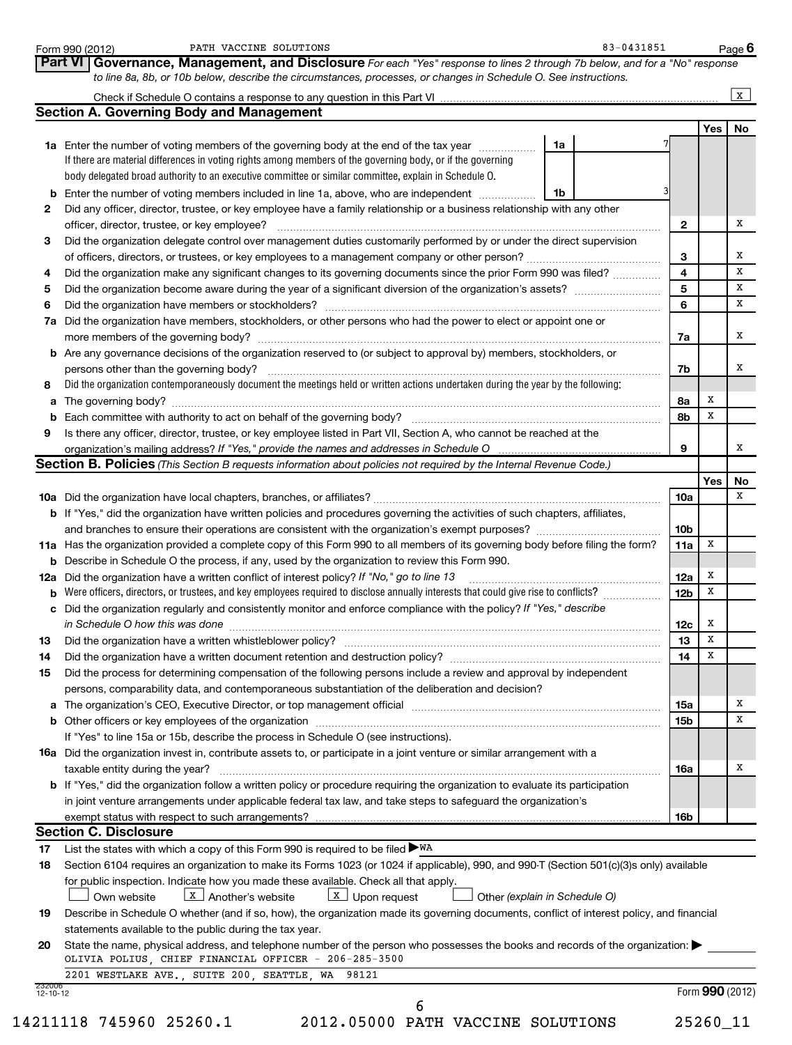|                          | 83-0431851<br>PATH VACCINE SOLUTIONS<br>Form 990 (2012)                                                                                                                                                                        |                 |                 | Page $6$     |
|--------------------------|--------------------------------------------------------------------------------------------------------------------------------------------------------------------------------------------------------------------------------|-----------------|-----------------|--------------|
|                          | Part VI Governance, Management, and Disclosure For each "Yes" response to lines 2 through 7b below, and for a "No" response                                                                                                    |                 |                 |              |
|                          | to line 8a, 8b, or 10b below, describe the circumstances, processes, or changes in Schedule O. See instructions.                                                                                                               |                 |                 |              |
|                          | <b>Section A. Governing Body and Management</b>                                                                                                                                                                                |                 |                 | $\mathbf{x}$ |
|                          |                                                                                                                                                                                                                                |                 | Yes             | No           |
|                          | 1a<br>1a Enter the number of voting members of the governing body at the end of the tax year <i>manumum</i>                                                                                                                    |                 |                 |              |
|                          | If there are material differences in voting rights among members of the governing body, or if the governing                                                                                                                    |                 |                 |              |
|                          | body delegated broad authority to an executive committee or similar committee, explain in Schedule O.                                                                                                                          |                 |                 |              |
|                          | <b>b</b> Enter the number of voting members included in line 1a, above, who are independent<br>1b                                                                                                                              |                 |                 |              |
| 2                        | Did any officer, director, trustee, or key employee have a family relationship or a business relationship with any other                                                                                                       |                 |                 |              |
|                          |                                                                                                                                                                                                                                | $\mathbf{2}$    |                 |              |
| 3                        | Did the organization delegate control over management duties customarily performed by or under the direct supervision                                                                                                          |                 |                 |              |
|                          | of officers, directors, or trustees, or key employees to a management company or other person?                                                                                                                                 | 3               |                 |              |
| 4                        | Did the organization make any significant changes to its governing documents since the prior Form 990 was filed?                                                                                                               | 4               |                 |              |
| 5                        |                                                                                                                                                                                                                                | 5               |                 |              |
| 6                        |                                                                                                                                                                                                                                | 6               |                 |              |
|                          | 7a Did the organization have members, stockholders, or other persons who had the power to elect or appoint one or                                                                                                              |                 |                 |              |
|                          |                                                                                                                                                                                                                                | 7a              |                 |              |
|                          | <b>b</b> Are any governance decisions of the organization reserved to (or subject to approval by) members, stockholders, or                                                                                                    |                 |                 |              |
|                          | persons other than the governing body?                                                                                                                                                                                         | 7b              |                 |              |
| 8                        | Did the organization contemporaneously document the meetings held or written actions undertaken during the year by the following:                                                                                              |                 |                 |              |
|                          |                                                                                                                                                                                                                                | 8a              | x               |              |
|                          |                                                                                                                                                                                                                                | 8b              | x               |              |
| 9                        | Is there any officer, director, trustee, or key employee listed in Part VII, Section A, who cannot be reached at the                                                                                                           |                 |                 |              |
|                          | organization's mailing address? If "Yes," provide the names and addresses in Schedule O                                                                                                                                        | 9               |                 |              |
|                          | <b>Section B. Policies</b> (This Section B requests information about policies not required by the Internal Revenue Code.)                                                                                                     |                 |                 |              |
|                          |                                                                                                                                                                                                                                |                 | Yes             |              |
|                          |                                                                                                                                                                                                                                | 10a             |                 |              |
|                          | <b>b</b> If "Yes," did the organization have written policies and procedures governing the activities of such chapters, affiliates,                                                                                            |                 |                 |              |
|                          |                                                                                                                                                                                                                                | 10 <sub>b</sub> |                 |              |
|                          | 11a Has the organization provided a complete copy of this Form 990 to all members of its governing body before filing the form?                                                                                                | 11a             | x               |              |
|                          | <b>b</b> Describe in Schedule O the process, if any, used by the organization to review this Form 990.                                                                                                                         |                 |                 |              |
|                          | 12a Did the organization have a written conflict of interest policy? If "No," go to line 13                                                                                                                                    | 12a             | x               |              |
|                          | Were officers, directors, or trustees, and key employees required to disclose annually interests that could give rise to conflicts?                                                                                            | 12 <sub>b</sub> | x               |              |
|                          | c Did the organization regularly and consistently monitor and enforce compliance with the policy? If "Yes," describe                                                                                                           |                 |                 |              |
|                          | in Schedule O how this was done continuous continuous continuous contract of the set of the set of the set of t                                                                                                                | 12c             | x               |              |
| 13                       | Did the organization have a written whistleblower policy?                                                                                                                                                                      | 13              | x               |              |
| 14                       |                                                                                                                                                                                                                                | 14              | х               |              |
| 15                       | Did the process for determining compensation of the following persons include a review and approval by independent                                                                                                             |                 |                 |              |
|                          | persons, comparability data, and contemporaneous substantiation of the deliberation and decision?                                                                                                                              |                 |                 |              |
|                          | a The organization's CEO, Executive Director, or top management official manufaction content content content content of the United States and The Organization's CEO, Executive Director, or top management official manufactu | 15a             |                 |              |
|                          |                                                                                                                                                                                                                                | 15 <sub>b</sub> |                 |              |
|                          | If "Yes" to line 15a or 15b, describe the process in Schedule O (see instructions).                                                                                                                                            |                 |                 |              |
|                          | 16a Did the organization invest in, contribute assets to, or participate in a joint venture or similar arrangement with a                                                                                                      |                 |                 |              |
|                          | taxable entity during the year?                                                                                                                                                                                                | 16a             |                 |              |
|                          | <b>b</b> If "Yes," did the organization follow a written policy or procedure requiring the organization to evaluate its participation                                                                                          |                 |                 |              |
|                          | in joint venture arrangements under applicable federal tax law, and take steps to safeguard the organization's                                                                                                                 |                 |                 |              |
|                          | exempt status with respect to such arrangements?                                                                                                                                                                               | 16b             |                 |              |
|                          | <b>Section C. Disclosure</b>                                                                                                                                                                                                   |                 |                 |              |
| 17                       | List the states with which a copy of this Form 990 is required to be filed $\blacktriangleright$ WA                                                                                                                            |                 |                 |              |
| 18                       | Section 6104 requires an organization to make its Forms 1023 (or 1024 if applicable), 990, and 990-T (Section 501(c)(3)s only) available                                                                                       |                 |                 |              |
|                          | for public inspection. Indicate how you made these available. Check all that apply.                                                                                                                                            |                 |                 |              |
|                          | $\boxed{\mathbf{X}}$ Another's website<br>$\boxed{\text{X}}$ Upon request<br>Other (explain in Schedule O)<br>Own website                                                                                                      |                 |                 |              |
| 19                       | Describe in Schedule O whether (and if so, how), the organization made its governing documents, conflict of interest policy, and financial                                                                                     |                 |                 |              |
|                          | statements available to the public during the tax year.                                                                                                                                                                        |                 |                 |              |
| 20                       | State the name, physical address, and telephone number of the person who possesses the books and records of the organization:                                                                                                  |                 |                 |              |
|                          | OLIVIA POLIUS, CHIEF FINANCIAL OFFICER - 206-285-3500                                                                                                                                                                          |                 |                 |              |
|                          | 2201 WESTLAKE AVE., SUITE 200, SEATTLE, WA 98121                                                                                                                                                                               |                 |                 |              |
| 232000<br>$12 - 10 - 12$ |                                                                                                                                                                                                                                |                 | Form 990 (2012) |              |
|                          | 6                                                                                                                                                                                                                              |                 |                 |              |
|                          | 14211118 745960 25260.1<br>2012.05000 PATH VACCINE SOLUTIONS                                                                                                                                                                   |                 | 25260_11        |              |
|                          |                                                                                                                                                                                                                                |                 |                 |              |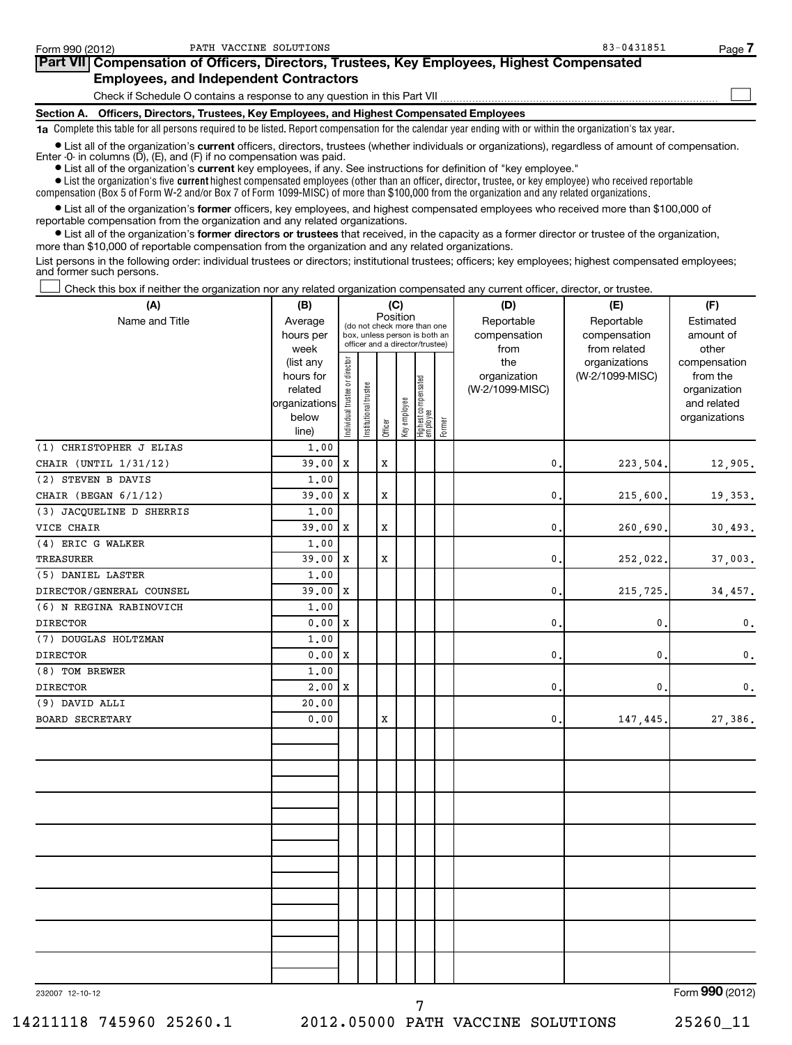| Form 990 (2012) | PATH VACCINE SOLUTIONS                                                                                                                                                                                                               | 83-0431851 | Page / |
|-----------------|--------------------------------------------------------------------------------------------------------------------------------------------------------------------------------------------------------------------------------------|------------|--------|
|                 | Part VII Compensation of Officers, Directors, Trustees, Key Employees, Highest Compensated                                                                                                                                           |            |        |
|                 | <b>Employees, and Independent Contractors</b>                                                                                                                                                                                        |            |        |
|                 | Check if Schedule O contains a response to any question in this Part VII                                                                                                                                                             |            |        |
|                 | Section A. Officers, Directors, Trustees, Key Employees, and Highest Compensated Employees                                                                                                                                           |            |        |
|                 | 1a Complete this table for all persons required to be listed. Report compensation for the calendar year ending with or within the organization's tax year.                                                                           |            |        |
|                 | • List all of the organization's current officers, directors, trustees (whether individuals or organizations), regardless of amount of compensation.<br>Enter $-0$ in columns $(D)$ , $(E)$ , and $(F)$ if no compensation was paid. |            |        |

**•** List all of the organization's **current** key employees, if any. See instructions for definition of "key employee."

 $\bullet$  List the organization's five  $\tt current$  highest compensated employees (other than an officer, director, trustee, or key employee) who received reportable compensation (Box 5 of Form W-2 and/or Box 7 of Form 1099-MISC) of more than \$100,000 from the organization and any related organizations .

 $\bullet$  List all of the organization's former officers, key employees, and highest compensated employees who received more than \$100,000 of reportable compensation from the organization and any related organizations.

**•** List all of the organization's former directors or trustees that received, in the capacity as a former director or trustee of the organization, more than \$10,000 of reportable compensation from the organization and any related organizations.

List persons in the following order: individual trustees or directors; institutional trustees; officers; key employees; highest compensated employees; and former such persons.

Check this box if neither the organization nor any related organization compensated any current officer, director, or trustee.  $\left\vert \cdot\right\vert$ 

| (A)                      | (B)               |                                |                                         |             | (C)                                                              |                                 |        | (D)                  | (E)                          | (F)                                 |
|--------------------------|-------------------|--------------------------------|-----------------------------------------|-------------|------------------------------------------------------------------|---------------------------------|--------|----------------------|------------------------------|-------------------------------------|
| Name and Title           | Average           |                                | Position<br>(do not check more than one |             |                                                                  |                                 |        | Reportable           | Reportable                   | Estimated                           |
|                          | hours per<br>week |                                |                                         |             | box, unless person is both an<br>officer and a director/trustee) |                                 |        | compensation<br>from | compensation<br>from related | amount of<br>other                  |
|                          | (list any         |                                |                                         |             |                                                                  |                                 |        | the                  | organizations                | compensation                        |
|                          | hours for         |                                |                                         |             |                                                                  |                                 |        | organization         | (W-2/1099-MISC)              | from the                            |
|                          | related           |                                |                                         |             |                                                                  |                                 |        | (W-2/1099-MISC)      |                              | organization                        |
|                          | organizations     |                                |                                         |             |                                                                  |                                 |        |                      |                              | and related                         |
|                          | below<br>line)    | Individual trustee or director | Institutional trustee                   | Officer     | Key employee                                                     | Highest compensated<br>employee | Former |                      |                              | organizations                       |
| (1) CHRISTOPHER J ELIAS  | 1.00              |                                |                                         |             |                                                                  |                                 |        |                      |                              |                                     |
| CHAIR (UNTIL 1/31/12)    | 39.00             | $\mathbf x$                    |                                         | $\mathbf x$ |                                                                  |                                 |        | 0.                   | 223,504.                     | 12,905.                             |
| (2) STEVEN B DAVIS       | 1.00              |                                |                                         |             |                                                                  |                                 |        |                      |                              |                                     |
| CHAIR (BEGAN 6/1/12)     | 39.00             | X                              |                                         | X           |                                                                  |                                 |        | $\mathbf{0}$         | 215,600.                     | 19,353.                             |
| (3) JACQUELINE D SHERRIS | 1,00              |                                |                                         |             |                                                                  |                                 |        |                      |                              |                                     |
| VICE CHAIR               | 39.00             | X                              |                                         | $\mathbf x$ |                                                                  |                                 |        | $\mathbf{0}$         | 260,690                      | 30,493.                             |
| (4) ERIC G WALKER        | 1.00              |                                |                                         |             |                                                                  |                                 |        |                      |                              |                                     |
| TREASURER                | 39.00             | Х                              |                                         | $\mathbf x$ |                                                                  |                                 |        | $\mathbf{0}$ .       | 252,022                      | 37,003.                             |
| (5) DANIEL LASTER        | 1.00              |                                |                                         |             |                                                                  |                                 |        |                      |                              |                                     |
| DIRECTOR/GENERAL COUNSEL | 39.00             | X                              |                                         |             |                                                                  |                                 |        | $\mathbf{0}$ .       | 215,725                      | 34,457.                             |
| (6) N REGINA RABINOVICH  | 1.00              |                                |                                         |             |                                                                  |                                 |        |                      |                              |                                     |
| <b>DIRECTOR</b>          | 0.00              | X                              |                                         |             |                                                                  |                                 |        | $\mathbf{0}$         | $\mathbf{0}$                 | $\mathbf 0$ .                       |
| (7) DOUGLAS HOLTZMAN     | 1.00              |                                |                                         |             |                                                                  |                                 |        |                      |                              |                                     |
| <b>DIRECTOR</b>          | 0.00              | X                              |                                         |             |                                                                  |                                 |        | 0                    | 0                            | 0.                                  |
| (8) TOM BREWER           | 1,00              |                                |                                         |             |                                                                  |                                 |        |                      |                              |                                     |
| <b>DIRECTOR</b>          | 2,00              | X                              |                                         |             |                                                                  |                                 |        | $\mathbf 0$ .        | 0.                           | 0.                                  |
| (9) DAVID ALLI           | 20,00             |                                |                                         |             |                                                                  |                                 |        |                      |                              |                                     |
| <b>BOARD SECRETARY</b>   | 0.00              |                                |                                         | X           |                                                                  |                                 |        | 0.                   | 147,445.                     | 27,386.                             |
|                          |                   |                                |                                         |             |                                                                  |                                 |        |                      |                              |                                     |
|                          |                   |                                |                                         |             |                                                                  |                                 |        |                      |                              |                                     |
|                          |                   |                                |                                         |             |                                                                  |                                 |        |                      |                              |                                     |
|                          |                   |                                |                                         |             |                                                                  |                                 |        |                      |                              |                                     |
|                          |                   |                                |                                         |             |                                                                  |                                 |        |                      |                              |                                     |
|                          |                   |                                |                                         |             |                                                                  |                                 |        |                      |                              |                                     |
|                          |                   |                                |                                         |             |                                                                  |                                 |        |                      |                              |                                     |
|                          |                   |                                |                                         |             |                                                                  |                                 |        |                      |                              |                                     |
|                          |                   |                                |                                         |             |                                                                  |                                 |        |                      |                              |                                     |
|                          |                   |                                |                                         |             |                                                                  |                                 |        |                      |                              |                                     |
|                          |                   |                                |                                         |             |                                                                  |                                 |        |                      |                              |                                     |
|                          |                   |                                |                                         |             |                                                                  |                                 |        |                      |                              |                                     |
|                          |                   |                                |                                         |             |                                                                  |                                 |        |                      |                              |                                     |
|                          |                   |                                |                                         |             |                                                                  |                                 |        |                      |                              |                                     |
|                          |                   |                                |                                         |             |                                                                  |                                 |        |                      |                              |                                     |
|                          |                   |                                |                                         |             |                                                                  |                                 |        |                      |                              |                                     |
| 000007, 10, 10, 10       |                   |                                |                                         |             |                                                                  |                                 |        |                      |                              | $F_{\text{arm}}$ QQ $\Omega$ (2012) |

232007 12-10-12

Form (2012) **990**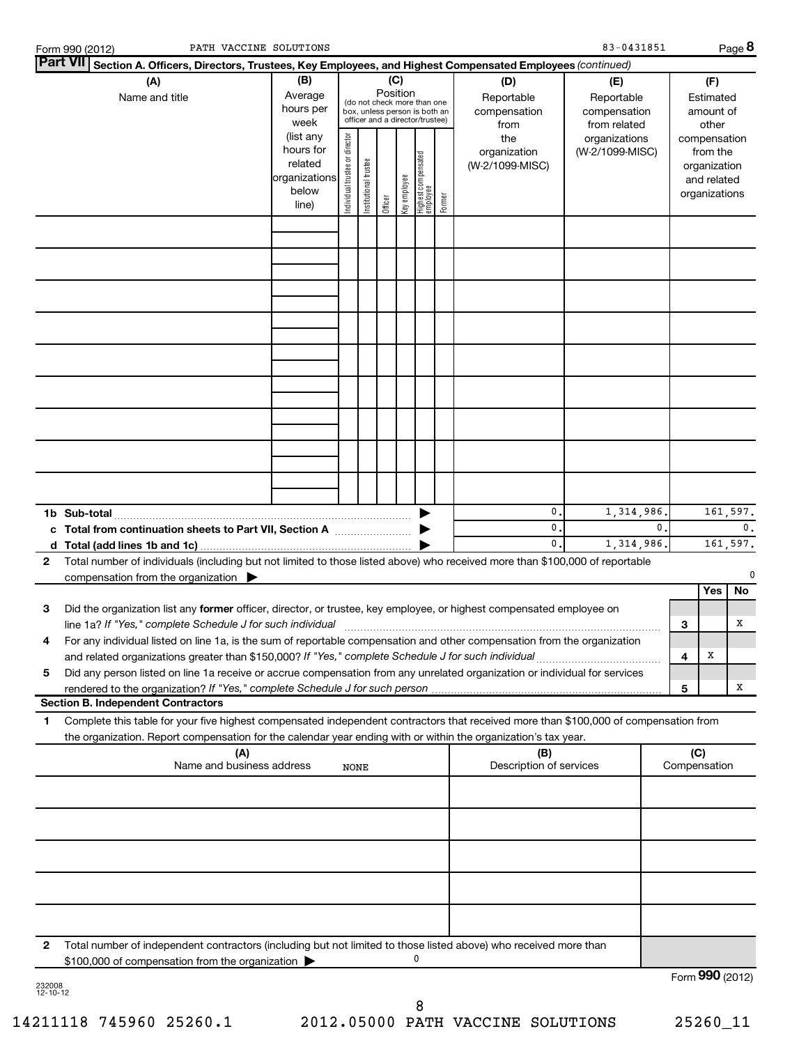|                    | PATH VACCINE SOLUTIONS<br>Form 990 (2012)                                                                                                                                                                                                                                                                                                                                                                                                                                                                                                           |       |             |  |         |  |   |        |                                | 83-0431851 |              |                     |                                                                                                    | Page 8          |
|--------------------|-----------------------------------------------------------------------------------------------------------------------------------------------------------------------------------------------------------------------------------------------------------------------------------------------------------------------------------------------------------------------------------------------------------------------------------------------------------------------------------------------------------------------------------------------------|-------|-------------|--|---------|--|---|--------|--------------------------------|------------|--------------|---------------------|----------------------------------------------------------------------------------------------------|-----------------|
|                    | Part VII Section A. Officers, Directors, Trustees, Key Employees, and Highest Compensated Employees (continued)                                                                                                                                                                                                                                                                                                                                                                                                                                     |       |             |  |         |  |   |        |                                |            |              |                     |                                                                                                    |                 |
|                    | (B)<br>(C)<br>(A)<br>(D)<br>(E)<br>Position<br>Average<br>Name and title<br>Reportable<br>Reportable<br>(do not check more than one<br>hours per<br>compensation<br>compensation<br>box, unless person is both an<br>officer and a director/trustee)<br>week<br>from related<br>from<br>Individual trustee or director<br>(list any<br>the<br>organizations<br>hours for<br>organization<br>(W-2/1099-MISC)<br>  Highest compensated<br>  employee<br>Institutional trustee<br>related<br>(W-2/1099-MISC)<br>organizations<br>key employee<br>below |       |             |  |         |  |   |        |                                |            |              | compensation        | (F)<br>Estimated<br>amount of<br>other<br>from the<br>organization<br>and related<br>organizations |                 |
|                    |                                                                                                                                                                                                                                                                                                                                                                                                                                                                                                                                                     | line) |             |  | Officer |  |   | Former |                                |            |              |                     |                                                                                                    |                 |
|                    |                                                                                                                                                                                                                                                                                                                                                                                                                                                                                                                                                     |       |             |  |         |  |   |        |                                |            |              |                     |                                                                                                    |                 |
|                    |                                                                                                                                                                                                                                                                                                                                                                                                                                                                                                                                                     |       |             |  |         |  |   |        |                                |            |              |                     |                                                                                                    |                 |
|                    |                                                                                                                                                                                                                                                                                                                                                                                                                                                                                                                                                     |       |             |  |         |  |   |        |                                |            |              |                     |                                                                                                    |                 |
|                    |                                                                                                                                                                                                                                                                                                                                                                                                                                                                                                                                                     |       |             |  |         |  |   |        |                                |            |              |                     |                                                                                                    |                 |
|                    |                                                                                                                                                                                                                                                                                                                                                                                                                                                                                                                                                     |       |             |  |         |  |   |        |                                |            |              |                     |                                                                                                    |                 |
|                    |                                                                                                                                                                                                                                                                                                                                                                                                                                                                                                                                                     |       |             |  |         |  |   |        |                                |            |              |                     |                                                                                                    |                 |
|                    |                                                                                                                                                                                                                                                                                                                                                                                                                                                                                                                                                     |       |             |  |         |  |   |        |                                |            |              |                     |                                                                                                    |                 |
|                    |                                                                                                                                                                                                                                                                                                                                                                                                                                                                                                                                                     |       |             |  |         |  |   |        |                                |            |              |                     |                                                                                                    |                 |
|                    |                                                                                                                                                                                                                                                                                                                                                                                                                                                                                                                                                     |       |             |  |         |  |   |        |                                |            |              |                     |                                                                                                    |                 |
|                    |                                                                                                                                                                                                                                                                                                                                                                                                                                                                                                                                                     |       |             |  |         |  |   |        |                                |            |              |                     |                                                                                                    |                 |
|                    |                                                                                                                                                                                                                                                                                                                                                                                                                                                                                                                                                     |       |             |  |         |  |   |        |                                |            |              |                     |                                                                                                    |                 |
|                    |                                                                                                                                                                                                                                                                                                                                                                                                                                                                                                                                                     |       |             |  |         |  |   |        | 0.                             | 1,314,986  |              |                     |                                                                                                    | 161,597.        |
|                    | c Total from continuation sheets to Part VII, Section A                                                                                                                                                                                                                                                                                                                                                                                                                                                                                             |       |             |  |         |  |   |        | 0.<br>0.                       | 1,314,986. | $\mathbf{0}$ |                     |                                                                                                    | 0.<br>161,597.  |
| $\mathbf{2}$       | Total number of individuals (including but not limited to those listed above) who received more than \$100,000 of reportable                                                                                                                                                                                                                                                                                                                                                                                                                        |       |             |  |         |  |   |        |                                |            |              |                     |                                                                                                    |                 |
|                    | compensation from the organization $\blacktriangleright$                                                                                                                                                                                                                                                                                                                                                                                                                                                                                            |       |             |  |         |  |   |        |                                |            |              |                     | Yes                                                                                                | 0<br>No         |
| 3                  | Did the organization list any former officer, director, or trustee, key employee, or highest compensated employee on                                                                                                                                                                                                                                                                                                                                                                                                                                |       |             |  |         |  |   |        |                                |            |              |                     |                                                                                                    |                 |
| 4                  | line 1a? If "Yes," complete Schedule J for such individual<br>For any individual listed on line 1a, is the sum of reportable compensation and other compensation from the organization                                                                                                                                                                                                                                                                                                                                                              |       |             |  |         |  |   |        |                                |            |              | 3                   |                                                                                                    | х               |
|                    | and related organizations greater than \$150,000? If "Yes," complete Schedule J for such individual                                                                                                                                                                                                                                                                                                                                                                                                                                                 |       |             |  |         |  |   |        |                                |            |              | 4                   | X                                                                                                  |                 |
| 5                  | Did any person listed on line 1a receive or accrue compensation from any unrelated organization or individual for services                                                                                                                                                                                                                                                                                                                                                                                                                          |       |             |  |         |  |   |        |                                |            |              | 5                   |                                                                                                    | х               |
|                    | <b>Section B. Independent Contractors</b>                                                                                                                                                                                                                                                                                                                                                                                                                                                                                                           |       |             |  |         |  |   |        |                                |            |              |                     |                                                                                                    |                 |
| 1                  | Complete this table for your five highest compensated independent contractors that received more than \$100,000 of compensation from<br>the organization. Report compensation for the calendar year ending with or within the organization's tax year.                                                                                                                                                                                                                                                                                              |       |             |  |         |  |   |        |                                |            |              |                     |                                                                                                    |                 |
|                    | (A)<br>Name and business address                                                                                                                                                                                                                                                                                                                                                                                                                                                                                                                    |       | <b>NONE</b> |  |         |  |   |        | (B)<br>Description of services |            |              | (C)<br>Compensation |                                                                                                    |                 |
|                    |                                                                                                                                                                                                                                                                                                                                                                                                                                                                                                                                                     |       |             |  |         |  |   |        |                                |            |              |                     |                                                                                                    |                 |
|                    |                                                                                                                                                                                                                                                                                                                                                                                                                                                                                                                                                     |       |             |  |         |  |   |        |                                |            |              |                     |                                                                                                    |                 |
|                    |                                                                                                                                                                                                                                                                                                                                                                                                                                                                                                                                                     |       |             |  |         |  |   |        |                                |            |              |                     |                                                                                                    |                 |
|                    |                                                                                                                                                                                                                                                                                                                                                                                                                                                                                                                                                     |       |             |  |         |  |   |        |                                |            |              |                     |                                                                                                    |                 |
|                    |                                                                                                                                                                                                                                                                                                                                                                                                                                                                                                                                                     |       |             |  |         |  |   |        |                                |            |              |                     |                                                                                                    |                 |
|                    |                                                                                                                                                                                                                                                                                                                                                                                                                                                                                                                                                     |       |             |  |         |  |   |        |                                |            |              |                     |                                                                                                    |                 |
| 2                  | Total number of independent contractors (including but not limited to those listed above) who received more than                                                                                                                                                                                                                                                                                                                                                                                                                                    |       |             |  |         |  |   |        |                                |            |              |                     |                                                                                                    |                 |
|                    | \$100,000 of compensation from the organization                                                                                                                                                                                                                                                                                                                                                                                                                                                                                                     |       |             |  |         |  | 0 |        |                                |            |              |                     |                                                                                                    |                 |
| 232008<br>12-10-12 |                                                                                                                                                                                                                                                                                                                                                                                                                                                                                                                                                     |       |             |  |         |  |   |        |                                |            |              |                     |                                                                                                    | Form 990 (2012) |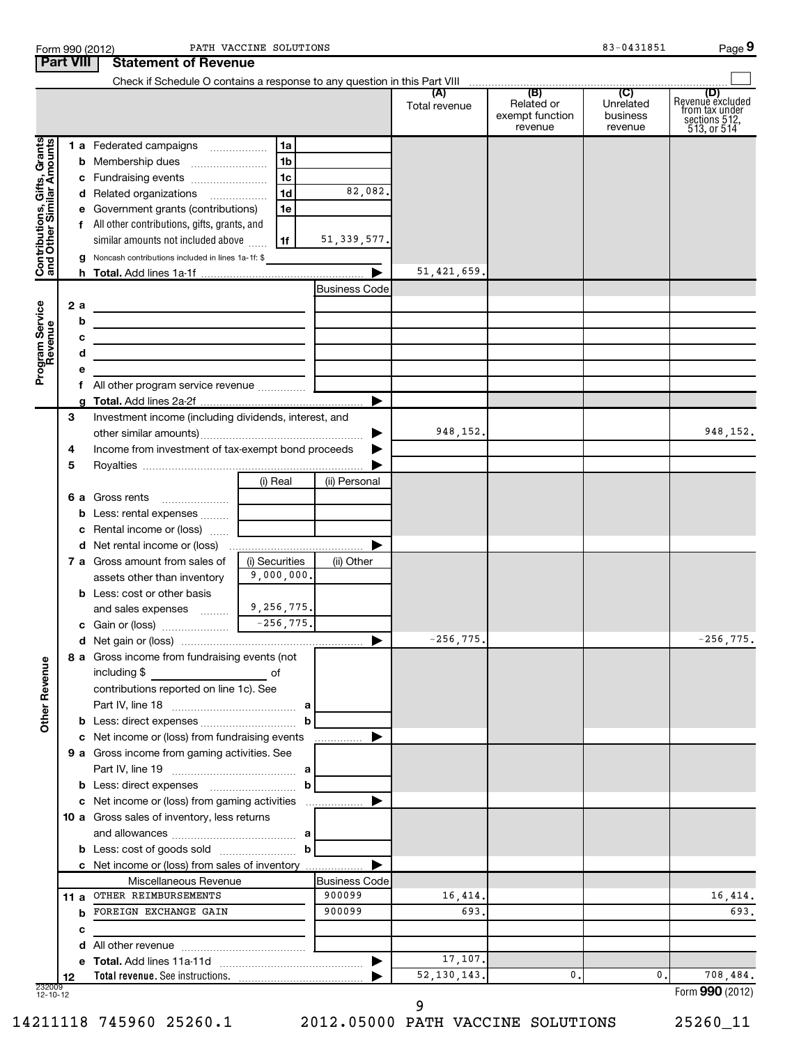| <b>Part VIII</b>                                          |     | <b>Statement of Revenue</b>                                                                                            |                |                      |               |                                          |                                  |                                                                           |
|-----------------------------------------------------------|-----|------------------------------------------------------------------------------------------------------------------------|----------------|----------------------|---------------|------------------------------------------|----------------------------------|---------------------------------------------------------------------------|
|                                                           |     |                                                                                                                        |                |                      |               |                                          |                                  |                                                                           |
|                                                           |     |                                                                                                                        |                |                      | Total revenue | Related or<br>exempt function<br>revenue | Unrelated<br>business<br>revenue | (D)<br>Revenue excluded<br>trom tax under<br>sections 512,<br>513, or 514 |
| Contributions, Gifts, Grants<br>and Other Similar Amounts |     | 1 a Federated campaigns                                                                                                | 1a             |                      |               |                                          |                                  |                                                                           |
|                                                           |     | <b>b</b> Membership dues                                                                                               | 1b             |                      |               |                                          |                                  |                                                                           |
|                                                           |     | c Fundraising events                                                                                                   | 1c             |                      |               |                                          |                                  |                                                                           |
|                                                           |     | d Related organizations                                                                                                | 1 <sub>d</sub> | 82,082.              |               |                                          |                                  |                                                                           |
|                                                           |     | e Government grants (contributions)                                                                                    | 1e             |                      |               |                                          |                                  |                                                                           |
|                                                           |     | All other contributions, gifts, grants, and                                                                            |                |                      |               |                                          |                                  |                                                                           |
|                                                           |     | similar amounts not included above                                                                                     | 1f             | 51, 339, 577.        |               |                                          |                                  |                                                                           |
|                                                           |     | Noncash contributions included in lines 1a-1f: \$                                                                      |                |                      |               |                                          |                                  |                                                                           |
|                                                           |     |                                                                                                                        |                |                      | 51, 421, 659. |                                          |                                  |                                                                           |
|                                                           |     |                                                                                                                        |                | <b>Business Code</b> |               |                                          |                                  |                                                                           |
|                                                           | 2 a |                                                                                                                        |                |                      |               |                                          |                                  |                                                                           |
|                                                           | b   |                                                                                                                        |                |                      |               |                                          |                                  |                                                                           |
|                                                           |     | the contract of the contract of the contract of the contract of the                                                    |                |                      |               |                                          |                                  |                                                                           |
|                                                           | с   | <u> 1989 - Johann Stein, marwolaethau a bhann an t-Albann an t-Albann an t-Albann an t-Albann an t-Albann an t-Alb</u> |                |                      |               |                                          |                                  |                                                                           |
|                                                           | d   | <u> 1989 - Johann Stoff, Amerikaansk politiker (* 1908)</u>                                                            |                |                      |               |                                          |                                  |                                                                           |
| Program Service<br>Revenue                                |     |                                                                                                                        |                |                      |               |                                          |                                  |                                                                           |
|                                                           |     |                                                                                                                        |                |                      |               |                                          |                                  |                                                                           |
|                                                           | 3   |                                                                                                                        |                |                      |               |                                          |                                  |                                                                           |
|                                                           |     | Investment income (including dividends, interest, and                                                                  |                |                      | 948, 152.     |                                          |                                  | 948, 152.                                                                 |
|                                                           |     |                                                                                                                        |                |                      |               |                                          |                                  |                                                                           |
|                                                           | 4   | Income from investment of tax-exempt bond proceeds                                                                     |                |                      |               |                                          |                                  |                                                                           |
|                                                           | 5   |                                                                                                                        |                |                      |               |                                          |                                  |                                                                           |
|                                                           |     |                                                                                                                        | (i) Real       | (ii) Personal        |               |                                          |                                  |                                                                           |
|                                                           |     | 6 a Gross rents                                                                                                        |                |                      |               |                                          |                                  |                                                                           |
|                                                           |     | <b>b</b> Less: rental expenses                                                                                         |                |                      |               |                                          |                                  |                                                                           |
|                                                           |     | Rental income or (loss)                                                                                                |                |                      |               |                                          |                                  |                                                                           |
|                                                           |     |                                                                                                                        |                |                      |               |                                          |                                  |                                                                           |
|                                                           |     | <b>7 a</b> Gross amount from sales of                                                                                  | (i) Securities | (ii) Other           |               |                                          |                                  |                                                                           |
|                                                           |     | assets other than inventory                                                                                            | 9,000,000.     |                      |               |                                          |                                  |                                                                           |
|                                                           |     | <b>b</b> Less: cost or other basis                                                                                     |                |                      |               |                                          |                                  |                                                                           |
|                                                           |     | and sales expenses                                                                                                     | 9,256,775.     |                      |               |                                          |                                  |                                                                           |
|                                                           |     |                                                                                                                        | $-256,775.$    |                      |               |                                          |                                  |                                                                           |
|                                                           |     |                                                                                                                        |                | ▶                    | $-256, 775.$  |                                          |                                  | $-256, 775.$                                                              |
|                                                           |     | 8 a Gross income from fundraising events (not                                                                          |                |                      |               |                                          |                                  |                                                                           |
|                                                           |     | including \$<br><u> 1990 - Johann Barbara, martxa</u>                                                                  | оf             |                      |               |                                          |                                  |                                                                           |
|                                                           |     | contributions reported on line 1c). See                                                                                |                |                      |               |                                          |                                  |                                                                           |
| <b>Other Revenue</b>                                      |     |                                                                                                                        |                |                      |               |                                          |                                  |                                                                           |
|                                                           |     |                                                                                                                        | b              |                      |               |                                          |                                  |                                                                           |
|                                                           |     | c Net income or (loss) from fundraising events                                                                         |                | .                    |               |                                          |                                  |                                                                           |
|                                                           |     | 9 a Gross income from gaming activities. See                                                                           |                |                      |               |                                          |                                  |                                                                           |
|                                                           |     |                                                                                                                        |                |                      |               |                                          |                                  |                                                                           |
|                                                           |     |                                                                                                                        | b              |                      |               |                                          |                                  |                                                                           |
|                                                           |     | c Net income or (loss) from gaming activities                                                                          |                |                      |               |                                          |                                  |                                                                           |
|                                                           |     | 10 a Gross sales of inventory, less returns                                                                            |                |                      |               |                                          |                                  |                                                                           |
|                                                           |     |                                                                                                                        |                |                      |               |                                          |                                  |                                                                           |
|                                                           |     |                                                                                                                        | b              |                      |               |                                          |                                  |                                                                           |
|                                                           |     | c Net income or (loss) from sales of inventory                                                                         |                |                      |               |                                          |                                  |                                                                           |
|                                                           |     | Miscellaneous Revenue                                                                                                  |                | <b>Business Code</b> |               |                                          |                                  |                                                                           |
|                                                           |     | 11 a OTHER REIMBURSEMENTS                                                                                              |                | 900099               | 16,414.       |                                          |                                  | 16,414.                                                                   |
|                                                           | b   | FOREIGN EXCHANGE GAIN                                                                                                  |                | 900099               | 693.          |                                          |                                  | 693.                                                                      |
|                                                           | с   |                                                                                                                        |                |                      |               |                                          |                                  |                                                                           |
|                                                           |     |                                                                                                                        |                |                      |               |                                          |                                  |                                                                           |
|                                                           |     |                                                                                                                        |                | ▶                    | 17,107.       |                                          |                                  |                                                                           |
| 12                                                        |     |                                                                                                                        |                |                      | 52, 130, 143. | 0.                                       | 0.                               | 708,484.                                                                  |
| 232009<br>12-10-12                                        |     |                                                                                                                        |                |                      |               |                                          |                                  | Form 990 (2012)                                                           |

9

14211118 745960 25260.1 2012.05000 PATH VACCINE SOLUTIONS 25260\_11

**9**

Form 990 (2012) **PATH VACCINE SOLUTIONS Page 19th** 83-0431851 Page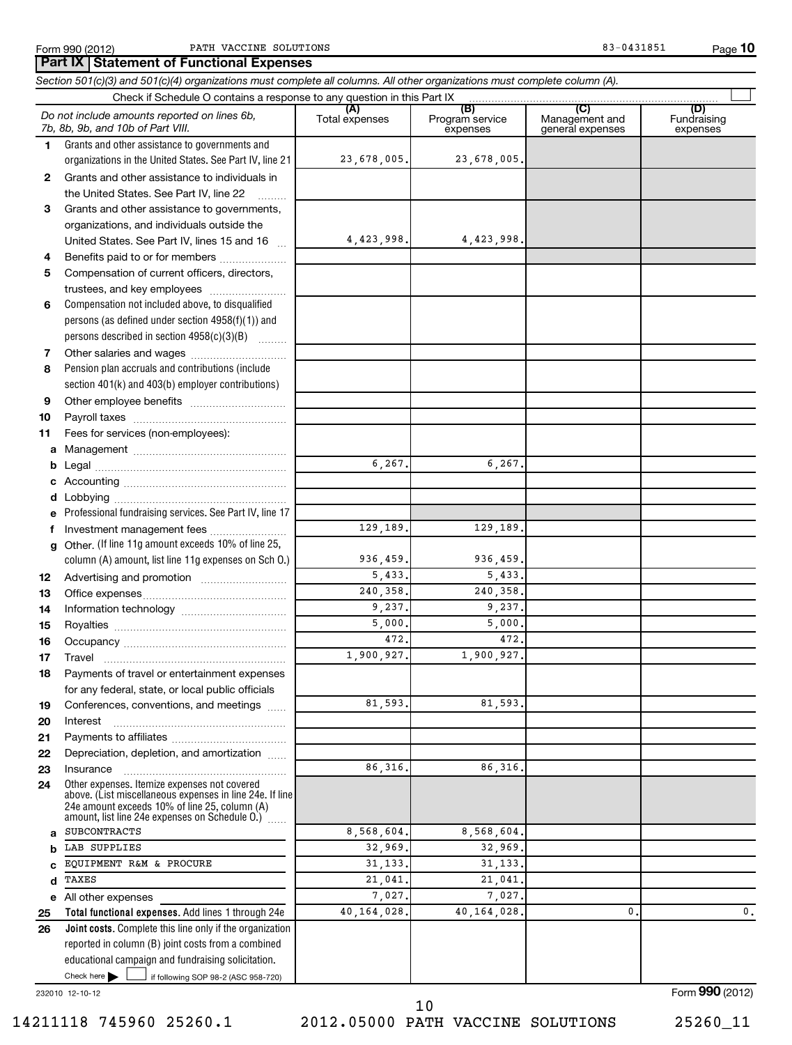**10**

 $\frac{1}{2}$  if following SOP 98-2 (ASC 958-720) **Total functional expenses.**  Add lines 1 through 24e **Joint costs.** Complete this line only if the organization **(A) (B) (C) (D) 1 2 3 4 5 6 7 8 9 10 11 a b c d e f g 12 13 14 15 16 17 18 19 20 21 22 23 24 a b c d e 25 26** *Section 501(c)(3) and 501(c)(4) organizations must complete all columns. All other organizations must complete column (A).* Grants and other assistance to governments and organizations in the United States. See Part IV, line 21 Compensation not included above, to disqualified persons (as defined under section 4958(f)(1)) and persons described in section 4958(c)(3)(B)  $\quad \quad \ldots \ldots \ldots$ Pension plan accruals and contributions (include section 401(k) and 403(b) employer contributions) Professional fundraising services. See Part IV, line 17 Other. (If line 11g amount exceeds 10% of line 25, column (A) amount, list line 11g expenses on Sch O.) Other expenses. Itemize expenses not covered above. (List miscellaneous expenses in line 24e. If line 24e amount exceeds 10% of line 25, column (A) amount, list line 24e expenses on Schedule O.) reported in column (B) joint costs from a combined educational campaign and fundraising solicitation. Check if Schedule O contains a response to any question in this Part IX [Cancel Transformation in this Part IX [Cancel Transformation in this Part IX [Cancel Transformation Transformation Transformation Transformation Tran Total expenses | Program service expenses Management and general expenses Fundraising expenses Grants and other assistance to individuals in the United States. See Part IV, line 22 Grants and other assistance to governments, organizations, and individuals outside the United States. See Part IV, lines 15 and 16 ~ Benefits paid to or for members .................... Compensation of current officers, directors, trustees, and key employees ~~~~~~~~ Other salaries and wages ~~~~~~~~~~ Other employee benefits ~~~~~~~~~~ Payroll taxes ~~~~~~~~~~~~~~~~ Fees for services (non-employees): Management ~~~~~~~~~~~~~~~~ Legal ~~~~~~~~~~~~~~~~~~~~ Accounting ~~~~~~~~~~~~~~~~~ Lobbying ~~~~~~~~~~~~~~~~~~ Investment management fees ........................ Advertising and promotion ~~~~~~~~~ Office expenses ~~~~~~~~~~~~~~~ Information technology ~~~~~~~~~~~ Royalties ~~~~~~~~~~~~~~~~~~ Occupancy ~~~~~~~~~~~~~~~~~ Travel …………………………………………………… Payments of travel or entertainment expenses for any federal, state, or local public officials Conferences, conventions, and meetings ...... Interest Payments to affiliates ~~~~~~~~~~~~ ~~~~~~~~~~~~~~~~~~ Depreciation, depletion, and amortization ...... Insurance ~~~~~~~~~~~~~~~~~ ~<br>…… All other expenses Check here  $\blacktriangleright$ *Do not include amounts reported on lines 6b, 7b, 8b, 9b, and 10b of Part VIII.* **Part IX Statement of Functional Expenses**  $\sim$  $\Box$ 23,678,005. 23,678,005. 4,423,998. 4,423,998. 6,267. 6,267. 129,189. 129,189. 936,459. 936,459. 5,433. 5,433. 240,358. 240,358. 9,237. 9,237. 5,000. 5,000. 472. 472. 1,900,927. 1,900,927. 81,593. 81,593. 86,316. 86,316. SUBCONTRACTS 8,568,604. 8,568,604. LAB SUPPLIES 32,969. 32,969. 32,969 EQUIPMENT R&M & PROCURE | 31,133. 31,133. TAXES 21,041. 21,041. 7,027. 7,027. 40,164,028. 40,164,028. 0. 0.

232010 12-10-12

Form **990** (2012)

14211118 745960 25260.1 2012.05000 PATH VACCINE SOLUTIONS 25260\_11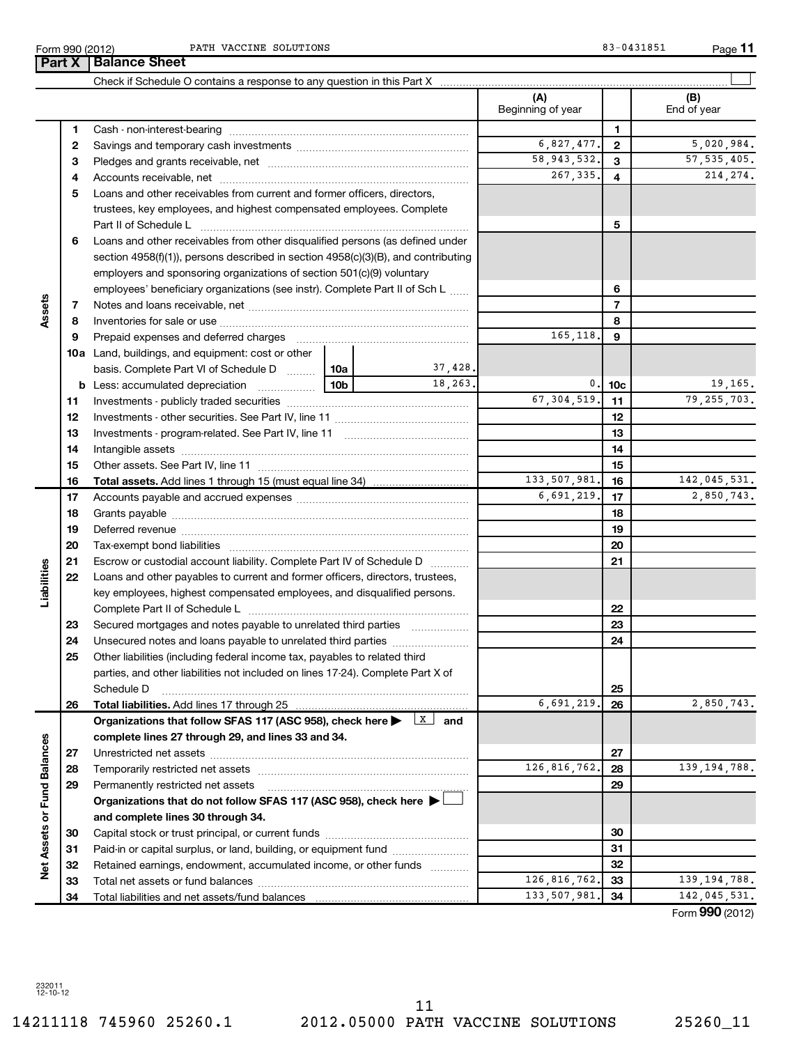Form 990 (2012) Page PATH VACCINE SOLUTIONS 83-0431851

**11**

|                             |    | <b>Part X   Balance Sheet</b>                                                                                                |            |               |                          |                 |                      |
|-----------------------------|----|------------------------------------------------------------------------------------------------------------------------------|------------|---------------|--------------------------|-----------------|----------------------|
|                             |    |                                                                                                                              |            |               |                          |                 |                      |
|                             |    |                                                                                                                              |            |               | (A)<br>Beginning of year |                 | (B)<br>End of year   |
|                             | 1  |                                                                                                                              |            |               |                          | 1               |                      |
|                             | 2  |                                                                                                                              | 6,827,477. | $\mathbf{2}$  | 5,020,984.               |                 |                      |
|                             | з  |                                                                                                                              |            | 58, 943, 532. | 3                        | 57, 535, 405.   |                      |
|                             | 4  |                                                                                                                              |            |               | 267,335.                 | 4               | 214, 274.            |
|                             | 5  | Loans and other receivables from current and former officers, directors,                                                     |            |               |                          |                 |                      |
|                             |    | trustees, key employees, and highest compensated employees. Complete                                                         |            |               |                          |                 |                      |
|                             |    | Part II of Schedule L                                                                                                        |            |               |                          | 5               |                      |
|                             | 6  | Loans and other receivables from other disqualified persons (as defined under                                                |            |               |                          |                 |                      |
|                             |    | section 4958(f)(1)), persons described in section 4958(c)(3)(B), and contributing                                            |            |               |                          |                 |                      |
|                             |    | employers and sponsoring organizations of section 501(c)(9) voluntary                                                        |            |               |                          |                 |                      |
|                             |    | employees' beneficiary organizations (see instr). Complete Part II of Sch L                                                  |            |               |                          | 6               |                      |
| Assets                      | 7  |                                                                                                                              |            |               |                          | $\overline{7}$  |                      |
|                             | 8  |                                                                                                                              |            |               |                          | 8               |                      |
|                             | 9  | Prepaid expenses and deferred charges                                                                                        |            |               | 165,118.                 | 9               |                      |
|                             |    | <b>10a</b> Land, buildings, and equipment: cost or other                                                                     |            |               |                          |                 |                      |
|                             |    | basis. Complete Part VI of Schedule D                                                                                        | 10a        | 37,428.       |                          |                 |                      |
|                             |    | <b>b</b> Less: accumulated depreciation<br>$\ldots \ldots \ldots \ldots$                                                     | 10b        | 18.263.       | 0.1                      | 10 <sub>c</sub> | 19,165.              |
|                             | 11 |                                                                                                                              |            |               | 67, 304, 519.            | 11              | 79, 255, 703.        |
|                             | 12 |                                                                                                                              |            |               |                          | 12              |                      |
|                             | 13 |                                                                                                                              |            |               |                          | 13              |                      |
|                             | 14 |                                                                                                                              |            |               |                          | 14              |                      |
|                             | 15 |                                                                                                                              |            |               | 15                       |                 |                      |
|                             | 16 | <b>Total assets.</b> Add lines 1 through 15 (must equal line 34) <i></i>                                                     |            | 133,507,981.  | 16                       | 142,045,531.    |                      |
|                             | 17 |                                                                                                                              |            | 6,691,219.    | 17                       | 2,850,743.      |                      |
|                             | 18 |                                                                                                                              |            |               |                          | 18              |                      |
|                             | 19 |                                                                                                                              |            |               |                          | 19              |                      |
|                             | 20 |                                                                                                                              |            |               |                          | 20              |                      |
|                             | 21 | Escrow or custodial account liability. Complete Part IV of Schedule D                                                        |            |               |                          | 21              |                      |
| Liabilities                 | 22 | Loans and other payables to current and former officers, directors, trustees,                                                |            |               |                          |                 |                      |
|                             |    | key employees, highest compensated employees, and disqualified persons.                                                      |            |               |                          |                 |                      |
|                             |    |                                                                                                                              |            |               |                          | 22              |                      |
|                             | 23 | Secured mortgages and notes payable to unrelated third parties                                                               |            |               |                          | 23              |                      |
|                             | 24 | Unsecured notes and loans payable to unrelated third parties                                                                 |            |               |                          | 24              |                      |
|                             | 25 | Other liabilities (including federal income tax, payables to related third                                                   |            |               |                          |                 |                      |
|                             |    | parties, and other liabilities not included on lines 17-24). Complete Part X of                                              |            |               |                          |                 |                      |
|                             |    | Schedule D                                                                                                                   |            |               |                          | 25              |                      |
|                             | 26 | Total liabilities. Add lines 17 through 25                                                                                   |            |               | 6,691,219.               | 26              | 2,850,743.           |
|                             |    | Organizations that follow SFAS 117 (ASC 958), check here $\blacktriangleright \begin{array}{c} \boxed{\text{X}} \end{array}$ |            | and           |                          |                 |                      |
|                             |    | complete lines 27 through 29, and lines 33 and 34.                                                                           |            |               |                          |                 |                      |
|                             | 27 |                                                                                                                              |            |               |                          | 27              |                      |
|                             | 28 |                                                                                                                              |            |               | 126, 816, 762.           | 28              | 139, 194, 788.       |
|                             | 29 | Permanently restricted net assets                                                                                            |            |               |                          | 29              |                      |
|                             |    | Organizations that do not follow SFAS 117 (ASC 958), check here >                                                            |            |               |                          |                 |                      |
|                             |    | and complete lines 30 through 34.                                                                                            |            |               |                          |                 |                      |
|                             | 30 |                                                                                                                              |            |               |                          | 30              |                      |
|                             | 31 | Paid-in or capital surplus, or land, building, or equipment fund                                                             |            |               |                          | 31              |                      |
| Net Assets or Fund Balances | 32 | Retained earnings, endowment, accumulated income, or other funds                                                             |            |               |                          | 32              |                      |
|                             | 33 |                                                                                                                              |            |               | 126, 816, 762.           | 33              | 139, 194, 788.       |
|                             | 34 |                                                                                                                              |            |               | 133,507,981.             | 34              | 142,045,531.         |
|                             |    |                                                                                                                              |            |               |                          |                 | $000 \times 10^{-1}$ |

Form (2012) **990**

232011 12-10-12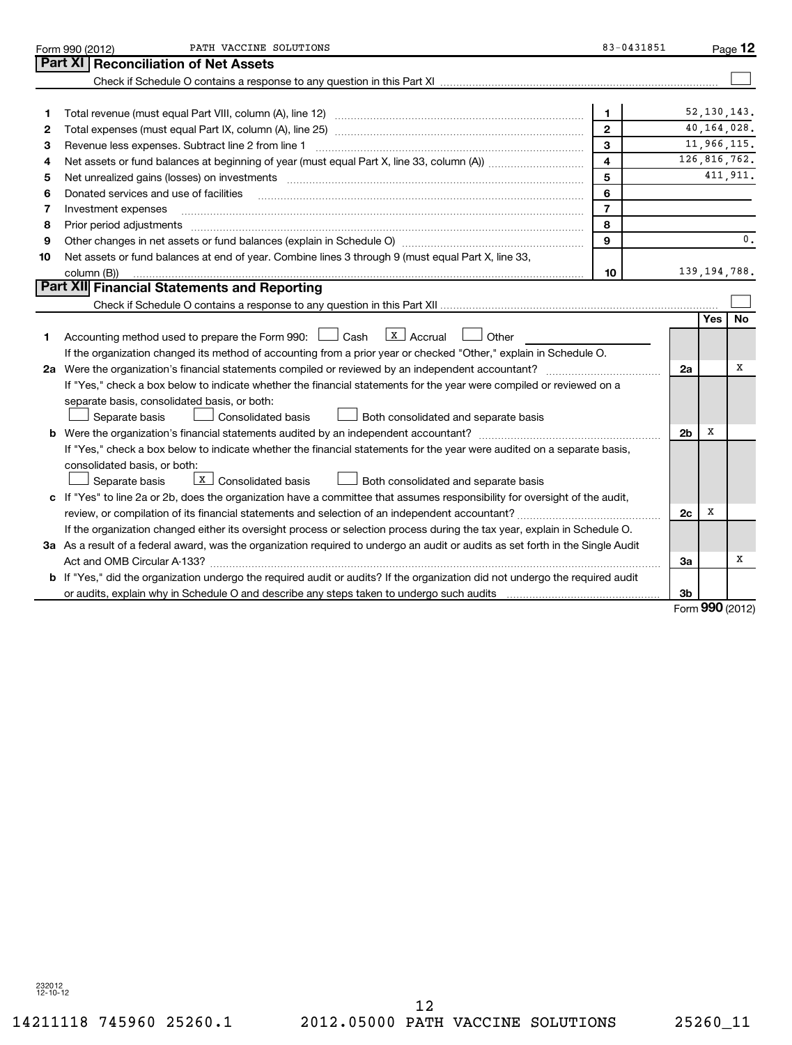|    | PATH VACCINE SOLUTIONS<br>Form 990 (2012)                                                                                       | 83-0431851                     |                |              | Page 12        |
|----|---------------------------------------------------------------------------------------------------------------------------------|--------------------------------|----------------|--------------|----------------|
|    | Part XI<br><b>Reconciliation of Net Assets</b>                                                                                  |                                |                |              |                |
|    |                                                                                                                                 |                                |                |              |                |
|    |                                                                                                                                 |                                |                |              | 52, 130, 143.  |
| 1  |                                                                                                                                 | 1                              |                |              | 40,164,028.    |
| 2  |                                                                                                                                 | $\mathbf{2}$                   |                |              | 11,966,115.    |
| З  | Revenue less expenses. Subtract line 2 from line 1                                                                              | $\mathbf{3}$<br>$\overline{4}$ |                |              | 126,816,762.   |
| 4  |                                                                                                                                 | 5                              |                |              | 411, 911.      |
| 5  |                                                                                                                                 |                                |                |              |                |
| 6  | Donated services and use of facilities                                                                                          | 6                              |                |              |                |
| 7  | Investment expenses                                                                                                             | $\overline{7}$                 |                |              |                |
| 8  | Prior period adjustments www.communication.communication.com/news/communication.com/news/communication.com/new                  | 8<br>9                         |                |              | 0.             |
| 9  |                                                                                                                                 |                                |                |              |                |
| 10 | Net assets or fund balances at end of year. Combine lines 3 through 9 (must equal Part X, line 33,                              |                                |                |              | 139, 194, 788. |
|    | column (B))<br><b>Part XII Financial Statements and Reporting</b>                                                               | 10                             |                |              |                |
|    |                                                                                                                                 |                                |                |              |                |
|    |                                                                                                                                 |                                |                | <b>Yes</b>   | No             |
| 1. | $\lfloor x \rfloor$ Accrual<br>Accounting method used to prepare the Form 990: $\Box$ Cash<br>Other                             |                                |                |              |                |
|    | If the organization changed its method of accounting from a prior year or checked "Other," explain in Schedule O.               |                                |                |              |                |
|    | 2a Were the organization's financial statements compiled or reviewed by an independent accountant?                              |                                | 2a             |              | х              |
|    | If "Yes," check a box below to indicate whether the financial statements for the year were compiled or reviewed on a            |                                |                |              |                |
|    | separate basis, consolidated basis, or both:                                                                                    |                                |                |              |                |
|    | Separate basis<br>Consolidated basis<br>Both consolidated and separate basis                                                    |                                |                |              |                |
|    | <b>b</b> Were the organization's financial statements audited by an independent accountant?                                     |                                | 2 <sub>b</sub> | х            |                |
|    | If "Yes," check a box below to indicate whether the financial statements for the year were audited on a separate basis,         |                                |                |              |                |
|    | consolidated basis, or both:                                                                                                    |                                |                |              |                |
|    | $X$ Consolidated basis<br>Both consolidated and separate basis<br>Separate basis                                                |                                |                |              |                |
|    | c If "Yes" to line 2a or 2b, does the organization have a committee that assumes responsibility for oversight of the audit,     |                                |                |              |                |
|    | review, or compilation of its financial statements and selection of an independent accountant?                                  |                                | 2c             | x            |                |
|    | If the organization changed either its oversight process or selection process during the tax year, explain in Schedule O.       |                                |                |              |                |
|    | 3a As a result of a federal award, was the organization required to undergo an audit or audits as set forth in the Single Audit |                                |                |              |                |
|    |                                                                                                                                 |                                | За             |              | X              |
|    | b If "Yes," did the organization undergo the required audit or audits? If the organization did not undergo the required audit   |                                |                |              |                |
|    |                                                                                                                                 |                                | Зb             |              |                |
|    |                                                                                                                                 |                                |                | $000 \omega$ |                |

Form **990** (2012)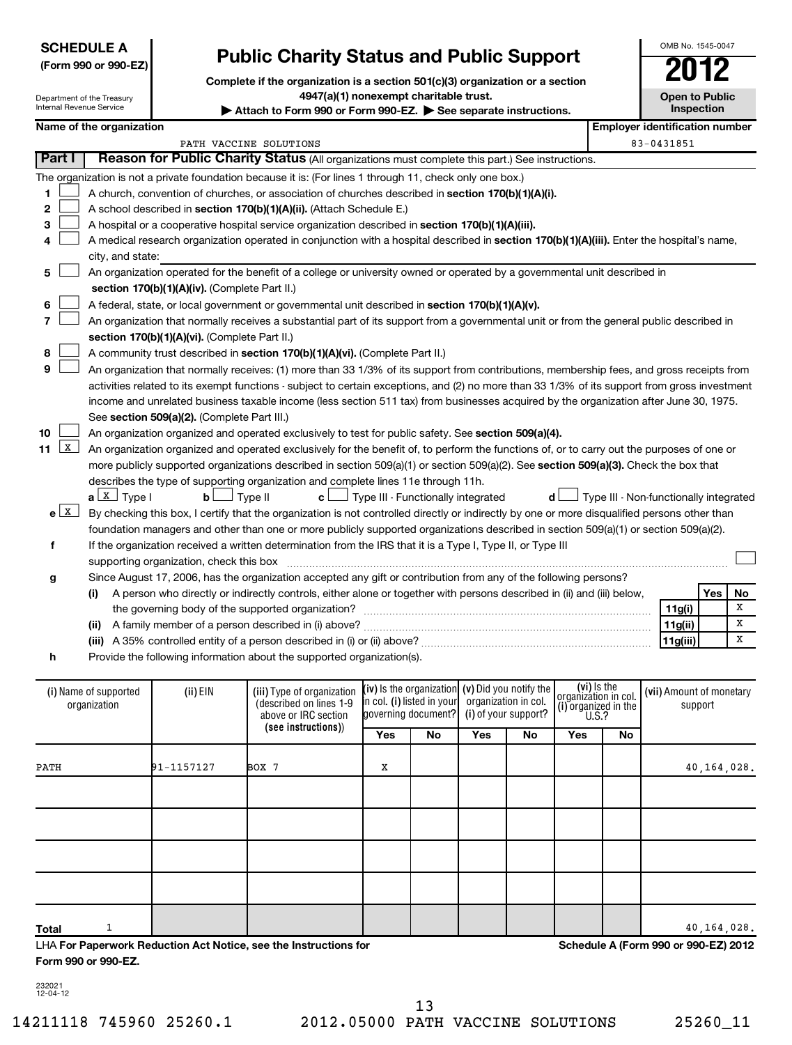| <b>SCHEDULE A</b>    |  |
|----------------------|--|
| (Form 990 or 990-EZ) |  |

# **Public Charity Status and Public Support**

**Complete if the organization is a section 501(c)(3) organization or a section**

| 4947(a)(1) nonexempt charitable trust.<br>Department of the Treasury<br>Internal Revenue Service<br>Attach to Form 990 or Form 990-EZ. See separate instructions. |                                                                                                                                            |                                                                                                                                               |                            |                                    |     |                        | <b>Open to Public</b><br>Inspection          |    |                                        |         |    |
|-------------------------------------------------------------------------------------------------------------------------------------------------------------------|--------------------------------------------------------------------------------------------------------------------------------------------|-----------------------------------------------------------------------------------------------------------------------------------------------|----------------------------|------------------------------------|-----|------------------------|----------------------------------------------|----|----------------------------------------|---------|----|
| Name of the organization                                                                                                                                          |                                                                                                                                            |                                                                                                                                               |                            |                                    |     |                        |                                              |    | <b>Employer identification number</b>  |         |    |
|                                                                                                                                                                   |                                                                                                                                            | PATH VACCINE SOLUTIONS                                                                                                                        |                            |                                    |     |                        |                                              |    | 83-0431851                             |         |    |
| Part I                                                                                                                                                            |                                                                                                                                            | Reason for Public Charity Status (All organizations must complete this part.) See instructions.                                               |                            |                                    |     |                        |                                              |    |                                        |         |    |
|                                                                                                                                                                   |                                                                                                                                            | The organization is not a private foundation because it is: (For lines 1 through 11, check only one box.)                                     |                            |                                    |     |                        |                                              |    |                                        |         |    |
| 1                                                                                                                                                                 | A church, convention of churches, or association of churches described in section 170(b)(1)(A)(i).                                         |                                                                                                                                               |                            |                                    |     |                        |                                              |    |                                        |         |    |
| 2                                                                                                                                                                 |                                                                                                                                            | A school described in section 170(b)(1)(A)(ii). (Attach Schedule E.)                                                                          |                            |                                    |     |                        |                                              |    |                                        |         |    |
| 3                                                                                                                                                                 |                                                                                                                                            | A hospital or a cooperative hospital service organization described in section 170(b)(1)(A)(iii).                                             |                            |                                    |     |                        |                                              |    |                                        |         |    |
| 4                                                                                                                                                                 | A medical research organization operated in conjunction with a hospital described in section 170(b)(1)(A)(iii). Enter the hospital's name, |                                                                                                                                               |                            |                                    |     |                        |                                              |    |                                        |         |    |
| city, and state:                                                                                                                                                  |                                                                                                                                            |                                                                                                                                               |                            |                                    |     |                        |                                              |    |                                        |         |    |
| 5                                                                                                                                                                 |                                                                                                                                            | An organization operated for the benefit of a college or university owned or operated by a governmental unit described in                     |                            |                                    |     |                        |                                              |    |                                        |         |    |
|                                                                                                                                                                   | section 170(b)(1)(A)(iv). (Complete Part II.)                                                                                              |                                                                                                                                               |                            |                                    |     |                        |                                              |    |                                        |         |    |
| 6                                                                                                                                                                 |                                                                                                                                            | A federal, state, or local government or governmental unit described in section 170(b)(1)(A)(v).                                              |                            |                                    |     |                        |                                              |    |                                        |         |    |
| 7                                                                                                                                                                 |                                                                                                                                            | An organization that normally receives a substantial part of its support from a governmental unit or from the general public described in     |                            |                                    |     |                        |                                              |    |                                        |         |    |
|                                                                                                                                                                   | section 170(b)(1)(A)(vi). (Complete Part II.)                                                                                              |                                                                                                                                               |                            |                                    |     |                        |                                              |    |                                        |         |    |
| 8                                                                                                                                                                 |                                                                                                                                            | A community trust described in section 170(b)(1)(A)(vi). (Complete Part II.)                                                                  |                            |                                    |     |                        |                                              |    |                                        |         |    |
| 9                                                                                                                                                                 |                                                                                                                                            | An organization that normally receives: (1) more than 33 1/3% of its support from contributions, membership fees, and gross receipts from     |                            |                                    |     |                        |                                              |    |                                        |         |    |
|                                                                                                                                                                   |                                                                                                                                            | activities related to its exempt functions - subject to certain exceptions, and (2) no more than 33 1/3% of its support from gross investment |                            |                                    |     |                        |                                              |    |                                        |         |    |
|                                                                                                                                                                   |                                                                                                                                            | income and unrelated business taxable income (less section 511 tax) from businesses acquired by the organization after June 30, 1975.         |                            |                                    |     |                        |                                              |    |                                        |         |    |
|                                                                                                                                                                   | See section 509(a)(2). (Complete Part III.)                                                                                                |                                                                                                                                               |                            |                                    |     |                        |                                              |    |                                        |         |    |
| 10<br>$\mathbf{x}$                                                                                                                                                |                                                                                                                                            | An organization organized and operated exclusively to test for public safety. See section 509(a)(4).                                          |                            |                                    |     |                        |                                              |    |                                        |         |    |
| 11                                                                                                                                                                |                                                                                                                                            | An organization organized and operated exclusively for the benefit of, to perform the functions of, or to carry out the purposes of one or    |                            |                                    |     |                        |                                              |    |                                        |         |    |
|                                                                                                                                                                   |                                                                                                                                            | more publicly supported organizations described in section 509(a)(1) or section 509(a)(2). See section 509(a)(3). Check the box that          |                            |                                    |     |                        |                                              |    |                                        |         |    |
| $a \perp x$ Type I                                                                                                                                                | $\mathbf{b}$                                                                                                                               | describes the type of supporting organization and complete lines 11e through 11h.<br>Type II<br>c l                                           |                            | Type III - Functionally integrated |     |                        | d l                                          |    | Type III - Non-functionally integrated |         |    |
| $e$ $\boxed{\text{X}}$                                                                                                                                            |                                                                                                                                            | By checking this box, I certify that the organization is not controlled directly or indirectly by one or more disqualified persons other than |                            |                                    |     |                        |                                              |    |                                        |         |    |
|                                                                                                                                                                   |                                                                                                                                            | foundation managers and other than one or more publicly supported organizations described in section 509(a)(1) or section 509(a)(2).          |                            |                                    |     |                        |                                              |    |                                        |         |    |
| f                                                                                                                                                                 |                                                                                                                                            | If the organization received a written determination from the IRS that it is a Type I, Type II, or Type III                                   |                            |                                    |     |                        |                                              |    |                                        |         |    |
|                                                                                                                                                                   |                                                                                                                                            |                                                                                                                                               |                            |                                    |     |                        |                                              |    |                                        |         |    |
| g                                                                                                                                                                 |                                                                                                                                            | Since August 17, 2006, has the organization accepted any gift or contribution from any of the following persons?                              |                            |                                    |     |                        |                                              |    |                                        |         |    |
|                                                                                                                                                                   |                                                                                                                                            | (i) A person who directly or indirectly controls, either alone or together with persons described in (ii) and (iii) below,                    |                            |                                    |     |                        |                                              |    |                                        | Yes     | No |
|                                                                                                                                                                   |                                                                                                                                            |                                                                                                                                               |                            |                                    |     |                        |                                              |    | 11g(i)                                 |         | X  |
|                                                                                                                                                                   |                                                                                                                                            |                                                                                                                                               |                            |                                    |     |                        |                                              |    | 11g(ii)                                |         | X  |
|                                                                                                                                                                   |                                                                                                                                            |                                                                                                                                               |                            |                                    |     |                        |                                              |    | 11g(iii)                               |         | X  |
| h                                                                                                                                                                 |                                                                                                                                            | Provide the following information about the supported organization(s).                                                                        |                            |                                    |     |                        |                                              |    |                                        |         |    |
| (i) Name of supported                                                                                                                                             | (ii) EIN                                                                                                                                   | (iii) Type of organization                                                                                                                    |                            | $(iv)$ is the organization         |     | (v) Did you notify the | (vi) Is the                                  |    | (vii) Amount of monetary               |         |    |
| organization                                                                                                                                                      |                                                                                                                                            | (described on lines 1-9                                                                                                                       | in col. (i) listed in your |                                    |     | organization in col.   | organizátion in col.<br>(i) organized in the |    |                                        | support |    |
|                                                                                                                                                                   |                                                                                                                                            | above or IRC section                                                                                                                          |                            | governing document?                |     | (i) of your support?   | U.S.?                                        |    |                                        |         |    |
|                                                                                                                                                                   |                                                                                                                                            | (see instructions))                                                                                                                           | Yes                        | No                                 | Yes | No                     | Yes                                          | No |                                        |         |    |
|                                                                                                                                                                   |                                                                                                                                            |                                                                                                                                               |                            |                                    |     |                        |                                              |    |                                        |         |    |

LHA **For Paperwork Reduction Act Notice, see the Instructions for Form 990 or 990-EZ.**

**Schedule A (Form 990 or 990-EZ) 2012**

232021 12-04-12

**Total**

 $1$  40,164,028.

OMB No. 1545-0047

**Open to Public**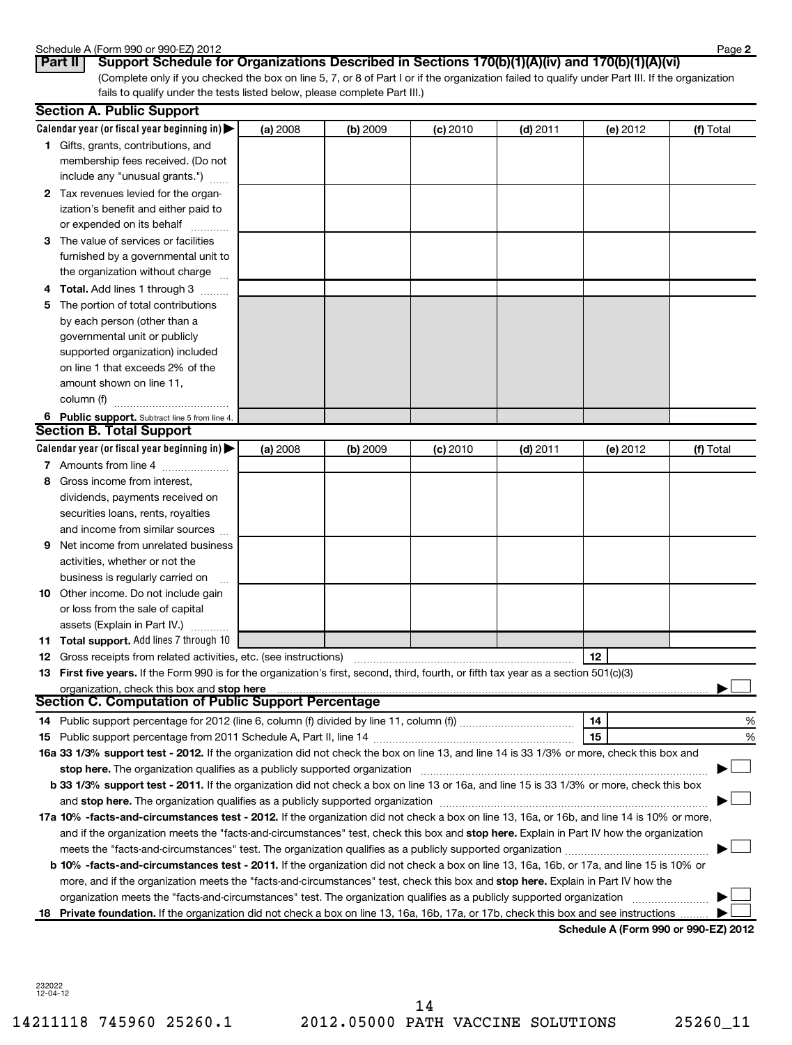### Schedule A (Form 990 or 990-EZ) 2012

| OUTCAULT UT LITTLE |     |  |  |
|--------------------|-----|--|--|
| $P_{\rm ext}$ ii i | $P$ |  |  |

(Complete only if you checked the box on line 5, 7, or 8 of Part I or if the organization failed to qualify under Part III. If the organization fails to qualify under the tests listed below, please complete Part III.) **Part II** | Support Schedule for Organizations Described in Sections 170(b)(1)(A)(iv) and 170(b)(1)(A)(vi)

|    | <b>Section A. Public Support</b>                                                                                                           |          |          |            |            |          |           |
|----|--------------------------------------------------------------------------------------------------------------------------------------------|----------|----------|------------|------------|----------|-----------|
|    | Calendar year (or fiscal year beginning in) $\blacktriangleright$                                                                          | (a) 2008 | (b) 2009 | (c) 2010   | $(d)$ 2011 | (e) 2012 | (f) Total |
|    | <b>1</b> Gifts, grants, contributions, and                                                                                                 |          |          |            |            |          |           |
|    | membership fees received. (Do not                                                                                                          |          |          |            |            |          |           |
|    | include any "unusual grants.")                                                                                                             |          |          |            |            |          |           |
|    | 2 Tax revenues levied for the organ-                                                                                                       |          |          |            |            |          |           |
|    | ization's benefit and either paid to                                                                                                       |          |          |            |            |          |           |
|    | or expended on its behalf                                                                                                                  |          |          |            |            |          |           |
|    | 3 The value of services or facilities                                                                                                      |          |          |            |            |          |           |
|    | furnished by a governmental unit to                                                                                                        |          |          |            |            |          |           |
|    | the organization without charge                                                                                                            |          |          |            |            |          |           |
|    | <b>4 Total.</b> Add lines 1 through 3                                                                                                      |          |          |            |            |          |           |
|    | 5 The portion of total contributions                                                                                                       |          |          |            |            |          |           |
|    | by each person (other than a                                                                                                               |          |          |            |            |          |           |
|    | governmental unit or publicly                                                                                                              |          |          |            |            |          |           |
|    | supported organization) included                                                                                                           |          |          |            |            |          |           |
|    | on line 1 that exceeds 2% of the                                                                                                           |          |          |            |            |          |           |
|    | amount shown on line 11,                                                                                                                   |          |          |            |            |          |           |
|    | column (f)                                                                                                                                 |          |          |            |            |          |           |
|    | 6 Public support. Subtract line 5 from line 4.                                                                                             |          |          |            |            |          |           |
|    | <b>Section B. Total Support</b>                                                                                                            |          |          |            |            |          |           |
|    | Calendar year (or fiscal year beginning in) $\blacktriangleright$                                                                          | (a) 2008 | (b) 2009 | $(c)$ 2010 | $(d)$ 2011 | (e) 2012 | (f) Total |
|    | 7 Amounts from line 4                                                                                                                      |          |          |            |            |          |           |
| 8  | Gross income from interest,                                                                                                                |          |          |            |            |          |           |
|    |                                                                                                                                            |          |          |            |            |          |           |
|    | dividends, payments received on                                                                                                            |          |          |            |            |          |           |
|    | securities loans, rents, royalties                                                                                                         |          |          |            |            |          |           |
|    | and income from similar sources                                                                                                            |          |          |            |            |          |           |
| 9  | Net income from unrelated business                                                                                                         |          |          |            |            |          |           |
|    | activities, whether or not the                                                                                                             |          |          |            |            |          |           |
|    | business is regularly carried on                                                                                                           |          |          |            |            |          |           |
|    | <b>10</b> Other income. Do not include gain                                                                                                |          |          |            |            |          |           |
|    | or loss from the sale of capital                                                                                                           |          |          |            |            |          |           |
|    | assets (Explain in Part IV.)                                                                                                               |          |          |            |            |          |           |
|    | 11 Total support. Add lines 7 through 10                                                                                                   |          |          |            |            |          |           |
|    | <b>12</b> Gross receipts from related activities, etc. (see instructions)                                                                  |          |          |            |            | 12       |           |
|    | 13 First five years. If the Form 990 is for the organization's first, second, third, fourth, or fifth tax year as a section 501(c)(3)      |          |          |            |            |          |           |
|    |                                                                                                                                            |          |          |            |            |          |           |
|    | <b>Section C. Computation of Public Support Percentage</b>                                                                                 |          |          |            |            |          |           |
|    |                                                                                                                                            |          |          |            |            | 14       | %         |
|    |                                                                                                                                            |          |          |            |            | 15       | %         |
|    | 16a 33 1/3% support test - 2012. If the organization did not check the box on line 13, and line 14 is 33 1/3% or more, check this box and  |          |          |            |            |          |           |
|    | stop here. The organization qualifies as a publicly supported organization matchinary material content and the                             |          |          |            |            |          |           |
|    | b 33 1/3% support test - 2011. If the organization did not check a box on line 13 or 16a, and line 15 is 33 1/3% or more, check this box   |          |          |            |            |          |           |
|    |                                                                                                                                            |          |          |            |            |          |           |
|    | 17a 10% -facts-and-circumstances test - 2012. If the organization did not check a box on line 13, 16a, or 16b, and line 14 is 10% or more, |          |          |            |            |          |           |
|    | and if the organization meets the "facts-and-circumstances" test, check this box and stop here. Explain in Part IV how the organization    |          |          |            |            |          |           |
|    |                                                                                                                                            |          |          |            |            |          |           |
|    | b 10% -facts-and-circumstances test - 2011. If the organization did not check a box on line 13, 16a, 16b, or 17a, and line 15 is 10% or    |          |          |            |            |          |           |
|    | more, and if the organization meets the "facts-and-circumstances" test, check this box and stop here. Explain in Part IV how the           |          |          |            |            |          |           |
|    | organization meets the "facts-and-circumstances" test. The organization qualifies as a publicly supported organization                     |          |          |            |            |          |           |
| 18 | Private foundation. If the organization did not check a box on line 13, 16a, 16b, 17a, or 17b, check this box and see instructions         |          |          |            |            |          |           |
|    |                                                                                                                                            |          |          |            |            |          |           |

**Schedule A (Form 990 or 990-EZ) 2012**

232022 12-04-12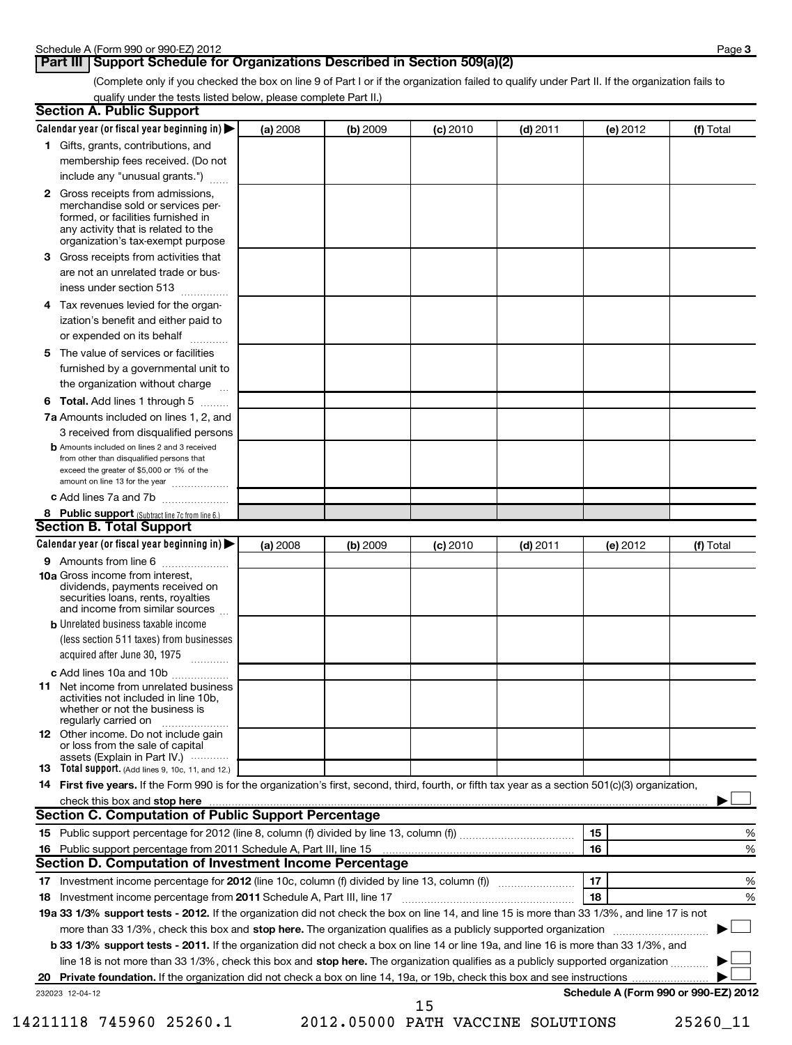## **Part III** Support Schedule for Organizations Described in Section 509(a)(2)

(Complete only if you checked the box on line 9 of Part I or if the organization failed to qualify under Part II. If the organization fails to qualify under the tests listed below, please complete Part II.)

| <b>Section A. Public Support</b>                                                                                                                                                                                               |          |          |            |            |          |                                      |
|--------------------------------------------------------------------------------------------------------------------------------------------------------------------------------------------------------------------------------|----------|----------|------------|------------|----------|--------------------------------------|
| Calendar year (or fiscal year beginning in) $\blacktriangleright$                                                                                                                                                              | (a) 2008 | (b) 2009 | $(c)$ 2010 | $(d)$ 2011 | (e) 2012 | (f) Total                            |
| 1 Gifts, grants, contributions, and                                                                                                                                                                                            |          |          |            |            |          |                                      |
| membership fees received. (Do not                                                                                                                                                                                              |          |          |            |            |          |                                      |
| include any "unusual grants.")                                                                                                                                                                                                 |          |          |            |            |          |                                      |
| 2 Gross receipts from admissions,<br>merchandise sold or services per-<br>formed, or facilities furnished in<br>any activity that is related to the<br>organization's tax-exempt purpose                                       |          |          |            |            |          |                                      |
| 3 Gross receipts from activities that<br>are not an unrelated trade or bus-                                                                                                                                                    |          |          |            |            |          |                                      |
| iness under section 513                                                                                                                                                                                                        |          |          |            |            |          |                                      |
| 4 Tax revenues levied for the organ-<br>ization's benefit and either paid to<br>or expended on its behalf                                                                                                                      |          |          |            |            |          |                                      |
| 5 The value of services or facilities                                                                                                                                                                                          |          |          |            |            |          |                                      |
| furnished by a governmental unit to<br>the organization without charge                                                                                                                                                         |          |          |            |            |          |                                      |
| 6 Total. Add lines 1 through 5                                                                                                                                                                                                 |          |          |            |            |          |                                      |
| <b>7a</b> Amounts included on lines 1, 2, and                                                                                                                                                                                  |          |          |            |            |          |                                      |
| 3 received from disqualified persons                                                                                                                                                                                           |          |          |            |            |          |                                      |
| <b>b</b> Amounts included on lines 2 and 3 received<br>from other than disqualified persons that<br>exceed the greater of \$5,000 or 1% of the<br>amount on line 13 for the year                                               |          |          |            |            |          |                                      |
| c Add lines 7a and 7b                                                                                                                                                                                                          |          |          |            |            |          |                                      |
| 8 Public support (Subtract line 7c from line 6.)                                                                                                                                                                               |          |          |            |            |          |                                      |
| <b>Section B. Total Support</b>                                                                                                                                                                                                |          |          |            |            |          |                                      |
| Calendar year (or fiscal year beginning in)                                                                                                                                                                                    | (a) 2008 | (b) 2009 | $(c)$ 2010 | $(d)$ 2011 | (e) 2012 | (f) Total                            |
| 9 Amounts from line 6                                                                                                                                                                                                          |          |          |            |            |          |                                      |
| <b>10a</b> Gross income from interest,<br>dividends, payments received on<br>securities loans, rents, royalties<br>and income from similar sources                                                                             |          |          |            |            |          |                                      |
| <b>b</b> Unrelated business taxable income                                                                                                                                                                                     |          |          |            |            |          |                                      |
| (less section 511 taxes) from businesses<br>acquired after June 30, 1975                                                                                                                                                       |          |          |            |            |          |                                      |
| c Add lines 10a and 10b                                                                                                                                                                                                        |          |          |            |            |          |                                      |
| <b>11</b> Net income from unrelated business<br>activities not included in line 10b,<br>whether or not the business is<br>regularly carried on                                                                                 |          |          |            |            |          |                                      |
| <b>12</b> Other income. Do not include gain<br>or loss from the sale of capital<br>assets (Explain in Part IV.) $\cdots$                                                                                                       |          |          |            |            |          |                                      |
| 13 Total support. (Add lines 9, 10c, 11, and 12.)                                                                                                                                                                              |          |          |            |            |          |                                      |
| 14 First five years. If the Form 990 is for the organization's first, second, third, fourth, or fifth tax year as a section 501(c)(3) organization,                                                                            |          |          |            |            |          |                                      |
| check this box and stop here with the continuum control of the state of the state of the state of the state of the state of the state of the state of the state of the state of the state of the state of the state of the sta |          |          |            |            |          |                                      |
| Section C. Computation of Public Support Percentage                                                                                                                                                                            |          |          |            |            |          |                                      |
|                                                                                                                                                                                                                                |          |          |            |            | 15       | %                                    |
|                                                                                                                                                                                                                                |          |          |            |            | 16       | %                                    |
| Section D. Computation of Investment Income Percentage                                                                                                                                                                         |          |          |            |            |          |                                      |
|                                                                                                                                                                                                                                |          |          |            |            | 17       | %                                    |
| 18 Investment income percentage from 2011 Schedule A, Part III, line 17                                                                                                                                                        |          |          |            |            | 18       | %                                    |
| 19a 33 1/3% support tests - 2012. If the organization did not check the box on line 14, and line 15 is more than 33 1/3%, and line 17 is not                                                                                   |          |          |            |            |          |                                      |
| more than 33 1/3%, check this box and stop here. The organization qualifies as a publicly supported organization                                                                                                               |          |          |            |            |          |                                      |
| b 33 1/3% support tests - 2011. If the organization did not check a box on line 14 or line 19a, and line 16 is more than 33 1/3%, and                                                                                          |          |          |            |            |          |                                      |
| line 18 is not more than 33 1/3%, check this box and stop here. The organization qualifies as a publicly supported organization                                                                                                |          |          |            |            |          |                                      |
| 232023 12-04-12                                                                                                                                                                                                                |          |          |            |            |          | Schedule A (Form 990 or 990-EZ) 2012 |
|                                                                                                                                                                                                                                |          |          | 15         |            |          |                                      |

<sup>14211118 745960 25260.1 2012.05000</sup> PATH VACCINE SOLUTIONS 25260\_11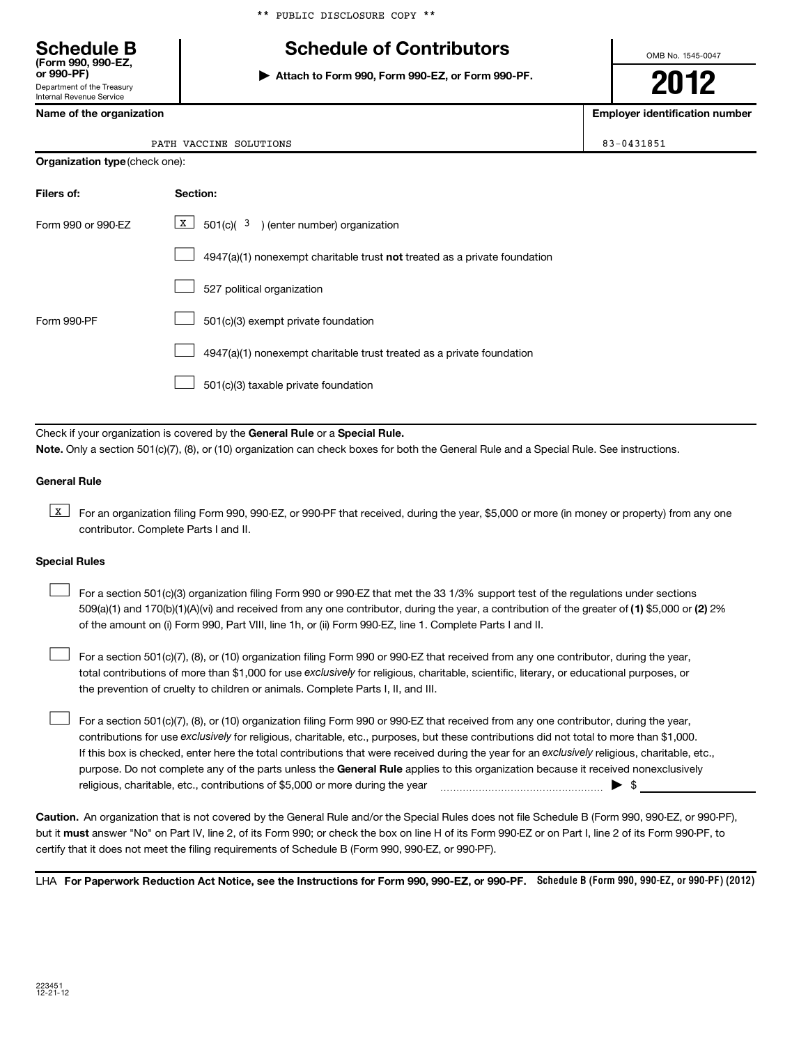## **Schedule B Schedule of Contributors**

**or 990-PF) | Attach to Form 990, Form 990-EZ, or Form 990-PF.**

OMB No. 1545-0047

Department of the Treasury Internal Revenue Service

**(Form 990, 990-EZ,**

|  | PATH VACCINE SOLUTIONS |  |
|--|------------------------|--|

|  | <b>Organization type (check one):</b> |
|--|---------------------------------------|
|--|---------------------------------------|

| Filers of:         | Section:                                                                           |
|--------------------|------------------------------------------------------------------------------------|
| Form 990 or 990-FZ | $X$ 501(c)( 3) (enter number) organization                                         |
|                    | $4947(a)(1)$ nonexempt charitable trust <b>not</b> treated as a private foundation |
|                    | 527 political organization                                                         |
| Form 990-PF        | 501(c)(3) exempt private foundation                                                |
|                    | 4947(a)(1) nonexempt charitable trust treated as a private foundation              |
|                    | 501(c)(3) taxable private foundation                                               |

Check if your organization is covered by the General Rule or a Special Rule. **Note.**  Only a section 501(c)(7), (8), or (10) organization can check boxes for both the General Rule and a Special Rule. See instructions.

## **General Rule**

**K** For an organization filing Form 990, 990-EZ, or 990-PF that received, during the year, \$5,000 or more (in money or property) from any one contributor. Complete Parts I and II.

### **Special Rules**

509(a)(1) and 170(b)(1)(A)(vi) and received from any one contributor, during the year, a contribution of the greater of (1**)** \$5,000 or (**2**) 2% For a section 501(c)(3) organization filing Form 990 or 990-EZ that met the 33 1/3% support test of the regulations under sections of the amount on (i) Form 990, Part VIII, line 1h, or (ii) Form 990-EZ, line 1. Complete Parts I and II.  $\left\vert \cdot\right\vert$ 

total contributions of more than \$1,000 for use exclusively for religious, charitable, scientific, literary, or educational purposes, or For a section 501(c)(7), (8), or (10) organization filing Form 990 or 990-EZ that received from any one contributor, during the year, the prevention of cruelty to children or animals. Complete Parts I, II, and III.  $\left\vert \cdot\right\vert$ 

purpose. Do not complete any of the parts unless the General Rule applies to this organization because it received nonexclusively contributions for use exclusively for religious, charitable, etc., purposes, but these contributions did not total to more than \$1,000. If this box is checked, enter here the total contributions that were received during the year for an exclusively religious, charitable, etc., For a section 501(c)(7), (8), or (10) organization filing Form 990 or 990-EZ that received from any one contributor, during the year, religious, charitable, etc., contributions of \$5,000 or more during the year  $\ldots$   $\ldots$   $\ldots$   $\ldots$   $\ldots$   $\ldots$   $\ldots$   $\ldots$   $\blacktriangleright$   $\uparrow$  $\left\vert \cdot\right\vert$ 

**Caution.** An organization that is not covered by the General Rule and/or the Special Rules does not file Schedule B (Form 990, 990-EZ, or 990-PF), but it **must** answer "No" on Part IV, line 2, of its Form 990; or check the box on line H of its Form 990-EZ or on Part I, line 2 of its Form 990-PF, to certify that it does not meet the filing requirements of Schedule B (Form 990, 990-EZ, or 990-PF).

LHA For Paperwork Reduction Act Notice, see the Instructions for Form 990, 990-EZ, or 990-PF. Schedule B (Form 990, 990-EZ, or 990-PF) (2012)

**2012**

**Name of the organization Employer identification number**

83-0431851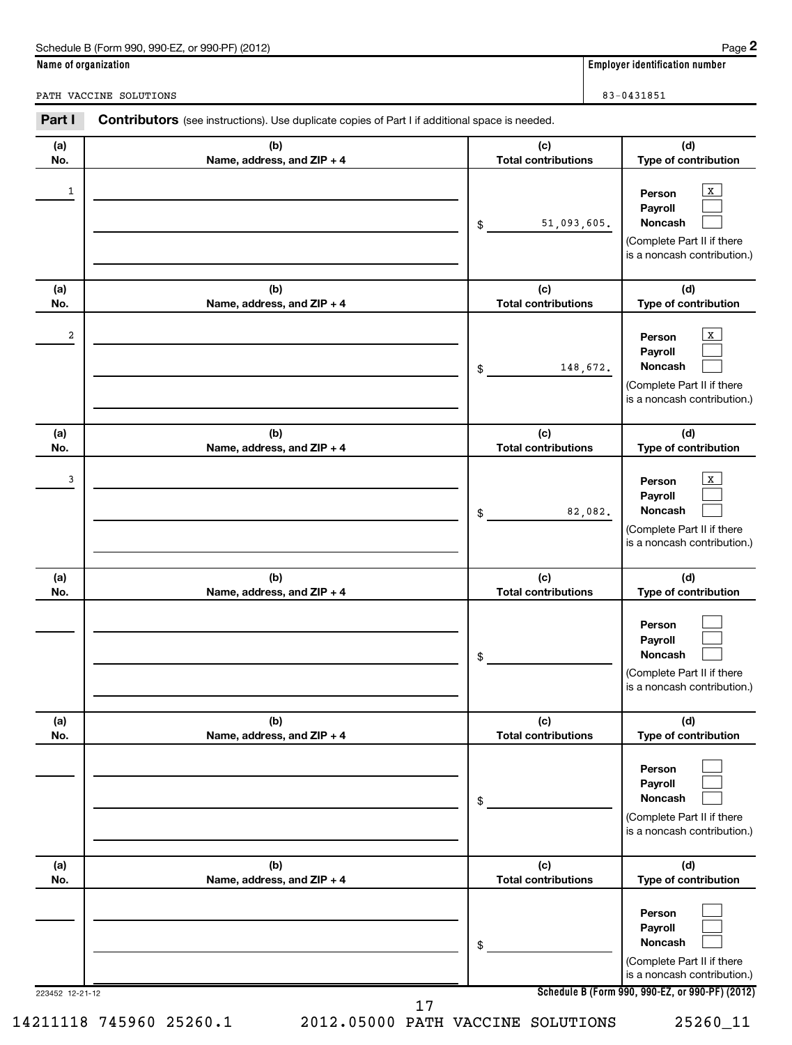| 990-FZ<br>Schedule B (Form 990,<br>(2012)<br>or 990-PF) | Page                                      |
|---------------------------------------------------------|-------------------------------------------|
| Name of organization                                    | <br>r identification number ،<br>Emplover |

PATH VACCINE SOLUTIONS 83-0431851

**(a) No. (b) Name, address, and ZIP + 4 (c) Total contributions (d) Type of contribution Person Payroll Noncash (a) No. (b) Name, address, and ZIP + 4 (c) Total contributions (d) Type of contribution Person Payroll Noncash (a) No. (b) Name, address, and ZIP + 4 (c) Total contributions (d) Type of contribution Person Payroll Noncash (a) No. (b) Name, address, and ZIP + 4 (c) Total contributions (d) Type of contribution Person Payroll Noncash (a) No. (b) Name, address, and ZIP + 4 (c) Total contributions (d) Type of contribution Person Payroll Noncash (a) No. (b) Name, address, and ZIP + 4 (c) Total contributions (d) Type of contribution Person Payroll Noncash** Part I Contributors (see instructions). Use duplicate copies of Part I if additional space is needed. \$ (Complete Part II if there is a noncash contribution.) \$ (Complete Part II if there is a noncash contribution.) \$ (Complete Part II if there is a noncash contribution.) \$ (Complete Part II if there is a noncash contribution.) \$ (Complete Part II if there is a noncash contribution.) \$ (Complete Part II if there is a noncash contribution.)  $\vert x \vert$  $\Box$  $\Box$  $\vert x \vert$  $\Box$  $\Box$  $\vert x \vert$  $\Box$  $\Box$  $\Box$  $\Box$  $\Box$  $\Box$  $\Box$  $\Box$  $\Box$  $\Box$  $\Box$  $\begin{array}{|c|c|c|c|c|c|c|c|c|}\hline \ \text{1} & \text{Person} & \text{X} \ \hline \end{array}$ 51,093,605. 2 X 148,672.  $\frac{3}{2}$  Person  $\frac{1}{2}$ 82,082.

223452 12-21-12

14211118 745960 25260.1 2012.05000 PATH VACCINE SOLUTIONS 25260\_11 17

|  |  | . |  |
|--|--|---|--|
|  |  |   |  |
|  |  |   |  |
|  |  |   |  |
|  |  |   |  |
|  |  |   |  |
|  |  |   |  |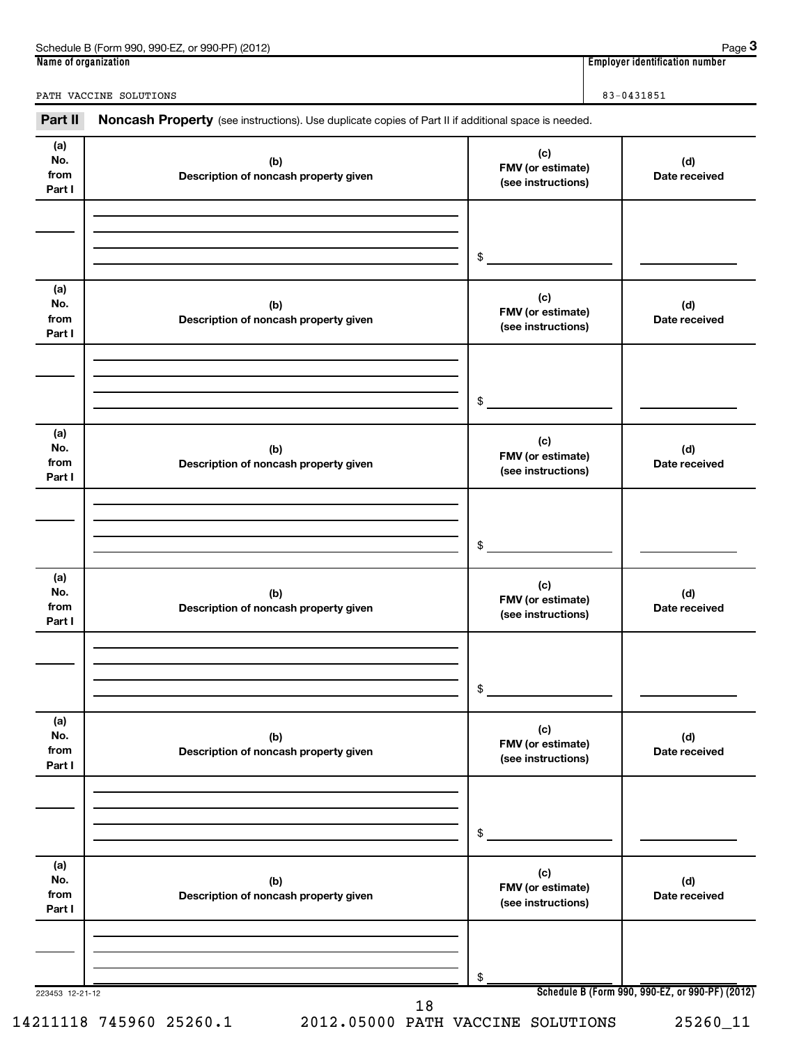| (2012)<br>. 990-EZ<br>Schedule B (Form<br>.990.<br>. or 990-PF' | Page                                             |
|-----------------------------------------------------------------|--------------------------------------------------|
| Name of organization                                            | 1 1 1 1<br>r identification number :<br>Emplover |

**3**

PATH VACCINE SOLUTIONS 83-0431851

Part II Noncash Property (see instructions). Use duplicate copies of Part II if additional space is needed.

| (a)<br>No.<br>from<br>Part I | (b)<br>Description of noncash property given | (c)<br>FMV (or estimate)<br>(see instructions) | (d)<br>Date received                            |
|------------------------------|----------------------------------------------|------------------------------------------------|-------------------------------------------------|
|                              |                                              | \$                                             |                                                 |
| (a)<br>No.<br>from<br>Part I | (b)<br>Description of noncash property given | (c)<br>FMV (or estimate)<br>(see instructions) | (d)<br>Date received                            |
|                              |                                              | \$                                             |                                                 |
| (a)<br>No.<br>from<br>Part I | (b)<br>Description of noncash property given | (c)<br>FMV (or estimate)<br>(see instructions) | (d)<br>Date received                            |
|                              |                                              | \$                                             |                                                 |
| (a)<br>No.<br>from<br>Part I | (b)<br>Description of noncash property given | (c)<br>FMV (or estimate)<br>(see instructions) | (d)<br>Date received                            |
|                              |                                              | \$                                             |                                                 |
| (a)<br>No.<br>from<br>Part I | (b)<br>Description of noncash property given | (c)<br>FMV (or estimate)<br>(see instructions) | (d)<br>Date received                            |
|                              |                                              | \$                                             |                                                 |
| (a)<br>No.<br>from<br>Part I | (b)<br>Description of noncash property given | (c)<br>FMV (or estimate)<br>(see instructions) | (d)<br>Date received                            |
| 223453 12-21-12              |                                              | \$                                             | Schedule B (Form 990, 990-EZ, or 990-PF) (2012) |
|                              | 18                                           |                                                |                                                 |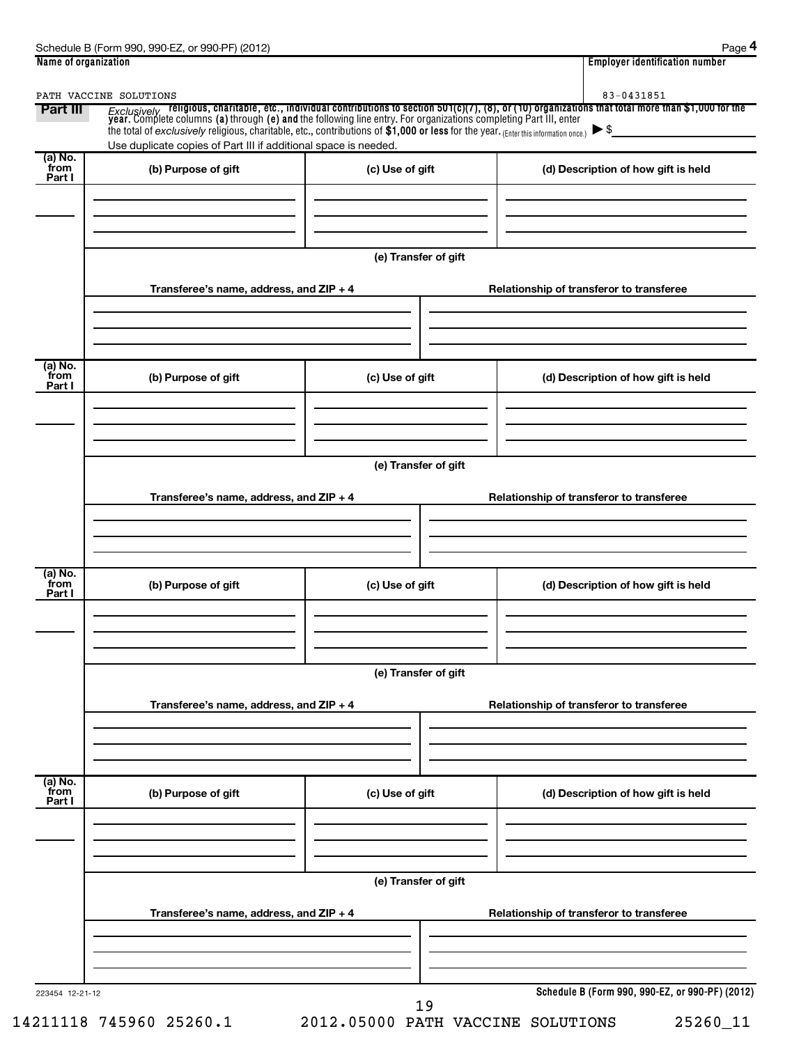| Part III                  | PATH VACCINE SOLUTIONS                                          |                      | 83-0431851                                                                                                                                                                                                                          |  |  |
|---------------------------|-----------------------------------------------------------------|----------------------|-------------------------------------------------------------------------------------------------------------------------------------------------------------------------------------------------------------------------------------|--|--|
|                           |                                                                 |                      | <i>Exclusively</i> religious, charitable, etc., individual contributions to section 501(c)(7), (8), or (10) organizations that total more than \$1,000 for the year. Complete columns (a) through (e) and the following line entry. |  |  |
|                           | Use duplicate copies of Part III if additional space is needed. |                      |                                                                                                                                                                                                                                     |  |  |
| (a) No.<br>from<br>Part I | (b) Purpose of gift                                             | (c) Use of gift      | (d) Description of how gift is held                                                                                                                                                                                                 |  |  |
|                           |                                                                 |                      |                                                                                                                                                                                                                                     |  |  |
|                           |                                                                 |                      |                                                                                                                                                                                                                                     |  |  |
|                           |                                                                 |                      |                                                                                                                                                                                                                                     |  |  |
|                           |                                                                 | (e) Transfer of gift |                                                                                                                                                                                                                                     |  |  |
|                           |                                                                 |                      |                                                                                                                                                                                                                                     |  |  |
|                           | Transferee's name, address, and ZIP + 4                         |                      | Relationship of transferor to transferee                                                                                                                                                                                            |  |  |
|                           |                                                                 |                      |                                                                                                                                                                                                                                     |  |  |
|                           |                                                                 |                      |                                                                                                                                                                                                                                     |  |  |
| (a) No.<br>from           | (b) Purpose of gift                                             | (c) Use of gift      | (d) Description of how gift is held                                                                                                                                                                                                 |  |  |
| Part I                    |                                                                 |                      |                                                                                                                                                                                                                                     |  |  |
|                           |                                                                 |                      |                                                                                                                                                                                                                                     |  |  |
|                           |                                                                 |                      |                                                                                                                                                                                                                                     |  |  |
|                           |                                                                 | (e) Transfer of gift |                                                                                                                                                                                                                                     |  |  |
|                           |                                                                 |                      |                                                                                                                                                                                                                                     |  |  |
|                           | Transferee's name, address, and ZIP + 4                         |                      | Relationship of transferor to transferee                                                                                                                                                                                            |  |  |
|                           |                                                                 |                      |                                                                                                                                                                                                                                     |  |  |
|                           |                                                                 |                      |                                                                                                                                                                                                                                     |  |  |
| (a) No.<br>from           |                                                                 |                      |                                                                                                                                                                                                                                     |  |  |
| Part I                    | (b) Purpose of gift                                             | (c) Use of gift      | (d) Description of how gift is held                                                                                                                                                                                                 |  |  |
|                           |                                                                 |                      |                                                                                                                                                                                                                                     |  |  |
|                           |                                                                 |                      |                                                                                                                                                                                                                                     |  |  |
|                           |                                                                 | (e) Transfer of gift |                                                                                                                                                                                                                                     |  |  |
|                           |                                                                 |                      |                                                                                                                                                                                                                                     |  |  |
|                           | Transferee's name, address, and ZIP + 4                         |                      | Relationship of transferor to transferee                                                                                                                                                                                            |  |  |
|                           |                                                                 |                      |                                                                                                                                                                                                                                     |  |  |
|                           |                                                                 |                      |                                                                                                                                                                                                                                     |  |  |
| (a) No.                   |                                                                 |                      |                                                                                                                                                                                                                                     |  |  |
| from<br>Part I            | (b) Purpose of gift                                             | (c) Use of gift      | (d) Description of how gift is held                                                                                                                                                                                                 |  |  |
|                           |                                                                 |                      |                                                                                                                                                                                                                                     |  |  |
|                           |                                                                 |                      |                                                                                                                                                                                                                                     |  |  |
|                           |                                                                 |                      |                                                                                                                                                                                                                                     |  |  |
|                           | (e) Transfer of gift                                            |                      |                                                                                                                                                                                                                                     |  |  |
|                           | Transferee's name, address, and ZIP + 4                         |                      | Relationship of transferor to transferee                                                                                                                                                                                            |  |  |
|                           |                                                                 |                      |                                                                                                                                                                                                                                     |  |  |
|                           |                                                                 |                      |                                                                                                                                                                                                                                     |  |  |
|                           |                                                                 |                      |                                                                                                                                                                                                                                     |  |  |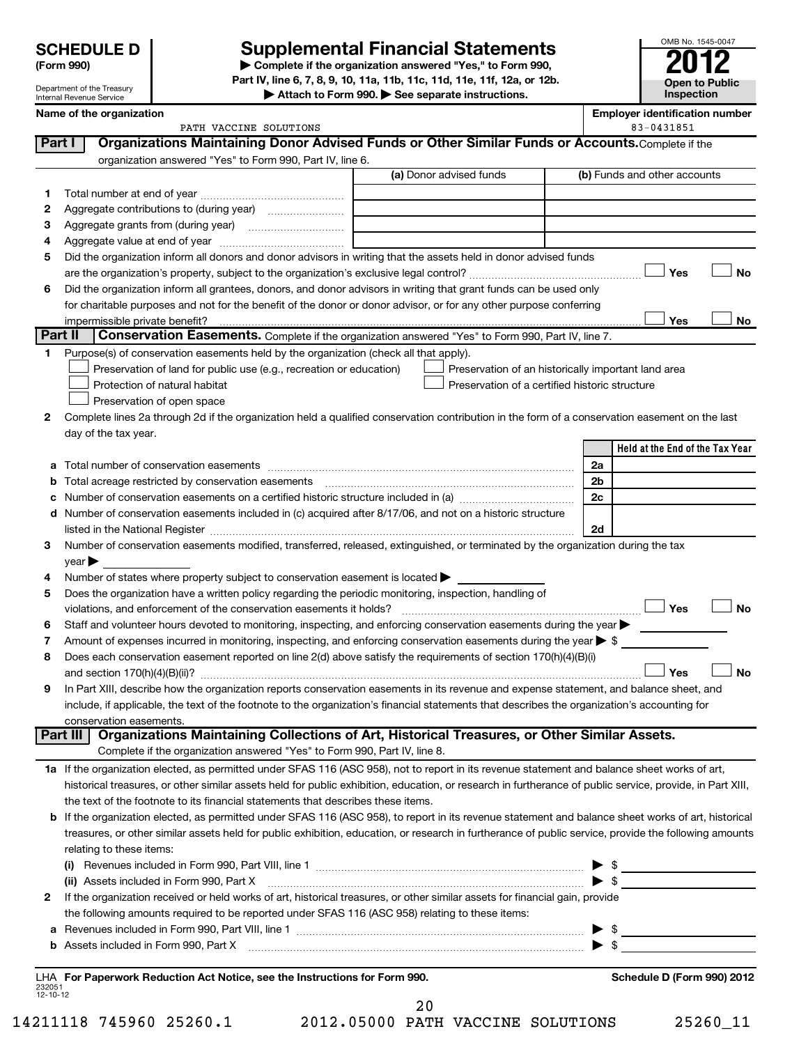| <b>SCHEDULE D</b>    |  |
|----------------------|--|
| $\sim$ $\sim$ $\sim$ |  |

Department of the Treasury

## **Supplemental Financial Statements**

**(Form 990) | Complete if the organization answered "Yes," to Form 990, Part IV, line 6, 7, 8, 9, 10, 11a, 11b, 11c, 11d, 11e, 11f, 12a, or 12b.**

**| Attach to Form 990. | See separate instructions.**

| OMB No. 1545-0047     |
|-----------------------|
| -<br><b>0</b>         |
| <b>Open to Public</b> |
| Inspection            |

|         | Internal Revenue Service                                                                                                                                                     | Attach to Form 990. $\blacktriangleright$ See separate instructions. | mspecuon                                            |
|---------|------------------------------------------------------------------------------------------------------------------------------------------------------------------------------|----------------------------------------------------------------------|-----------------------------------------------------|
|         | Name of the organization                                                                                                                                                     |                                                                      | <b>Employer identification number</b><br>83-0431851 |
| Part I  | PATH VACCINE SOLUTIONS<br>Organizations Maintaining Donor Advised Funds or Other Similar Funds or Accounts. Complete if the                                                  |                                                                      |                                                     |
|         | organization answered "Yes" to Form 990, Part IV, line 6.                                                                                                                    |                                                                      |                                                     |
|         |                                                                                                                                                                              | (a) Donor advised funds                                              | (b) Funds and other accounts                        |
| 1.      |                                                                                                                                                                              |                                                                      |                                                     |
| 2       |                                                                                                                                                                              |                                                                      |                                                     |
| 3       |                                                                                                                                                                              |                                                                      |                                                     |
| 4       |                                                                                                                                                                              |                                                                      |                                                     |
| 5       | Did the organization inform all donors and donor advisors in writing that the assets held in donor advised funds                                                             |                                                                      |                                                     |
|         |                                                                                                                                                                              |                                                                      | <b>No</b><br>Yes                                    |
| 6       | Did the organization inform all grantees, donors, and donor advisors in writing that grant funds can be used only                                                            |                                                                      |                                                     |
|         | for charitable purposes and not for the benefit of the donor or donor advisor, or for any other purpose conferring                                                           |                                                                      |                                                     |
|         |                                                                                                                                                                              |                                                                      | Yes<br>No                                           |
| Part II | Conservation Easements. Complete if the organization answered "Yes" to Form 990, Part IV, line 7.                                                                            |                                                                      |                                                     |
| 1.      | Purpose(s) of conservation easements held by the organization (check all that apply).                                                                                        |                                                                      |                                                     |
|         | Preservation of land for public use (e.g., recreation or education)                                                                                                          | Preservation of an historically important land area                  |                                                     |
|         | Protection of natural habitat                                                                                                                                                | Preservation of a certified historic structure                       |                                                     |
| 2       | Preservation of open space<br>Complete lines 2a through 2d if the organization held a qualified conservation contribution in the form of a conservation easement on the last |                                                                      |                                                     |
|         | day of the tax year.                                                                                                                                                         |                                                                      |                                                     |
|         |                                                                                                                                                                              |                                                                      | Held at the End of the Tax Year                     |
|         |                                                                                                                                                                              |                                                                      | 2a                                                  |
|         | b Total acreage restricted by conservation easements [11] [12] Total acreage restricted by conservation easements                                                            |                                                                      | 2 <sub>b</sub>                                      |
|         |                                                                                                                                                                              |                                                                      | 2c                                                  |
|         | d Number of conservation easements included in (c) acquired after 8/17/06, and not on a historic structure                                                                   |                                                                      |                                                     |
|         |                                                                                                                                                                              |                                                                      | 2d                                                  |
| 3       | Number of conservation easements modified, transferred, released, extinguished, or terminated by the organization during the tax                                             |                                                                      |                                                     |
|         | year                                                                                                                                                                         |                                                                      |                                                     |
| 4       | Number of states where property subject to conservation easement is located >                                                                                                |                                                                      |                                                     |
| 5       | Does the organization have a written policy regarding the periodic monitoring, inspection, handling of                                                                       |                                                                      |                                                     |
|         | violations, and enforcement of the conservation easements it holds?                                                                                                          |                                                                      | Yes<br><b>No</b>                                    |
| 6       | Staff and volunteer hours devoted to monitoring, inspecting, and enforcing conservation easements during the year                                                            |                                                                      |                                                     |
| 7       | Amount of expenses incurred in monitoring, inspecting, and enforcing conservation easements during the year $\triangleright$ \$                                              |                                                                      |                                                     |
| 8       | Does each conservation easement reported on line 2(d) above satisfy the requirements of section 170(h)(4)(B)(i)                                                              |                                                                      | Yes<br><b>No</b>                                    |
| 9       | In Part XIII, describe how the organization reports conservation easements in its revenue and expense statement, and balance sheet, and                                      |                                                                      |                                                     |
|         | include, if applicable, the text of the footnote to the organization's financial statements that describes the organization's accounting for                                 |                                                                      |                                                     |
|         | conservation easements.                                                                                                                                                      |                                                                      |                                                     |
|         | Organizations Maintaining Collections of Art, Historical Treasures, or Other Similar Assets.<br>Part III                                                                     |                                                                      |                                                     |
|         | Complete if the organization answered "Yes" to Form 990, Part IV, line 8.                                                                                                    |                                                                      |                                                     |
|         | 1a If the organization elected, as permitted under SFAS 116 (ASC 958), not to report in its revenue statement and balance sheet works of art,                                |                                                                      |                                                     |
|         | historical treasures, or other similar assets held for public exhibition, education, or research in furtherance of public service, provide, in Part XIII,                    |                                                                      |                                                     |
|         | the text of the footnote to its financial statements that describes these items.                                                                                             |                                                                      |                                                     |
|         | <b>b</b> If the organization elected, as permitted under SFAS 116 (ASC 958), to report in its revenue statement and balance sheet works of art, historical                   |                                                                      |                                                     |
|         | treasures, or other similar assets held for public exhibition, education, or research in furtherance of public service, provide the following amounts                        |                                                                      |                                                     |
|         | relating to these items:                                                                                                                                                     |                                                                      |                                                     |
|         |                                                                                                                                                                              |                                                                      | $\triangleright$ \$                                 |
|         | (ii) Assets included in Form 990, Part X [11] [2000] [2010] Assets included in Form 990, Part X [11] [11] [11]                                                               |                                                                      | $\blacktriangleright$ \$                            |
| 2       | If the organization received or held works of art, historical treasures, or other similar assets for financial gain, provide                                                 |                                                                      |                                                     |
|         | the following amounts required to be reported under SFAS 116 (ASC 958) relating to these items:                                                                              |                                                                      |                                                     |
| а       |                                                                                                                                                                              |                                                                      | $\triangleright$ \$                                 |
|         |                                                                                                                                                                              |                                                                      |                                                     |

232051 12-10-12 **For Paperwork Reduction Act Notice, see the Instructions for Form 990. Schedule D (Form 990) 2012** LHA

20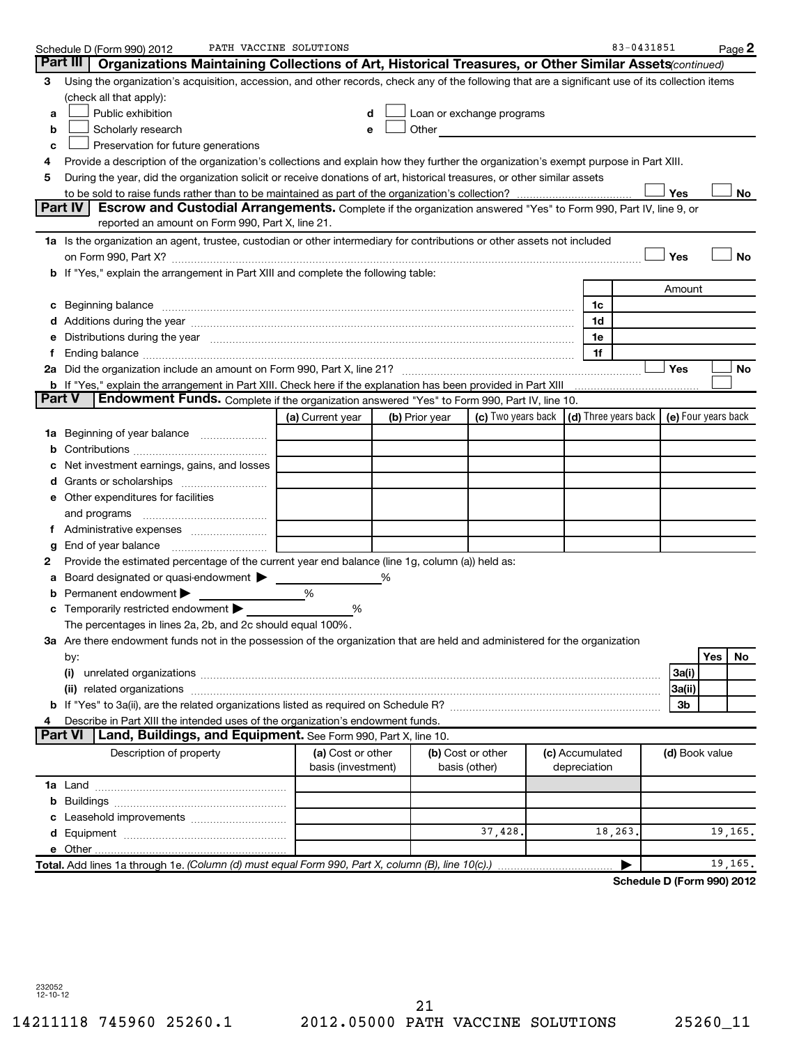|               | Schedule D (Form 990) 2012                                                                                                                                                                                                     | PATH VACCINE SOLUTIONS                  |                |                                                                                                                                                                                                                                |                 | 83-0431851 |                | Page 2                     |
|---------------|--------------------------------------------------------------------------------------------------------------------------------------------------------------------------------------------------------------------------------|-----------------------------------------|----------------|--------------------------------------------------------------------------------------------------------------------------------------------------------------------------------------------------------------------------------|-----------------|------------|----------------|----------------------------|
|               | Part III<br>Organizations Maintaining Collections of Art, Historical Treasures, or Other Similar Assets (continued)                                                                                                            |                                         |                |                                                                                                                                                                                                                                |                 |            |                |                            |
| 3             | Using the organization's acquisition, accession, and other records, check any of the following that are a significant use of its collection items                                                                              |                                         |                |                                                                                                                                                                                                                                |                 |            |                |                            |
|               | (check all that apply):                                                                                                                                                                                                        |                                         |                |                                                                                                                                                                                                                                |                 |            |                |                            |
| а             | Public exhibition                                                                                                                                                                                                              | d                                       |                | Loan or exchange programs                                                                                                                                                                                                      |                 |            |                |                            |
| b             | Scholarly research                                                                                                                                                                                                             |                                         |                | Other and the control of the control of the control of the control of the control of the control of the control of the control of the control of the control of the control of the control of the control of the control of th |                 |            |                |                            |
| c             | Preservation for future generations                                                                                                                                                                                            |                                         |                |                                                                                                                                                                                                                                |                 |            |                |                            |
| 4             | Provide a description of the organization's collections and explain how they further the organization's exempt purpose in Part XIII.                                                                                           |                                         |                |                                                                                                                                                                                                                                |                 |            |                |                            |
| 5             | During the year, did the organization solicit or receive donations of art, historical treasures, or other similar assets                                                                                                       |                                         |                |                                                                                                                                                                                                                                |                 |            |                |                            |
|               | Part IV                                                                                                                                                                                                                        |                                         |                |                                                                                                                                                                                                                                |                 |            | Yes            | No                         |
|               | <b>Escrow and Custodial Arrangements.</b> Complete if the organization answered "Yes" to Form 990, Part IV, line 9, or<br>reported an amount on Form 990, Part X, line 21.                                                     |                                         |                |                                                                                                                                                                                                                                |                 |            |                |                            |
|               |                                                                                                                                                                                                                                |                                         |                |                                                                                                                                                                                                                                |                 |            |                |                            |
|               | 1a Is the organization an agent, trustee, custodian or other intermediary for contributions or other assets not included                                                                                                       |                                         |                |                                                                                                                                                                                                                                |                 |            | Yes            | <b>No</b>                  |
|               | b If "Yes," explain the arrangement in Part XIII and complete the following table:                                                                                                                                             |                                         |                |                                                                                                                                                                                                                                |                 |            |                |                            |
|               |                                                                                                                                                                                                                                |                                         |                |                                                                                                                                                                                                                                |                 |            | Amount         |                            |
|               |                                                                                                                                                                                                                                |                                         |                |                                                                                                                                                                                                                                | 1c              |            |                |                            |
|               | c Beginning balance measurements and the contract of the contract of the contract of the contract of the contract of the contract of the contract of the contract of the contract of the contract of the contract of the contr |                                         |                |                                                                                                                                                                                                                                | 1d              |            |                |                            |
| е             | Distributions during the year measurement contains and all the state of the state of the state of the state of                                                                                                                 |                                         |                |                                                                                                                                                                                                                                | 1e              |            |                |                            |
| f.            |                                                                                                                                                                                                                                |                                         |                |                                                                                                                                                                                                                                | 1f              |            |                |                            |
|               |                                                                                                                                                                                                                                |                                         |                |                                                                                                                                                                                                                                |                 |            | Yes            | No                         |
|               |                                                                                                                                                                                                                                |                                         |                |                                                                                                                                                                                                                                |                 |            |                |                            |
| <b>Part V</b> | <b>Endowment Funds.</b> Complete if the organization answered "Yes" to Form 990, Part IV, line 10.                                                                                                                             |                                         |                |                                                                                                                                                                                                                                |                 |            |                |                            |
|               |                                                                                                                                                                                                                                | (a) Current year                        | (b) Prior year | (c) Two years back $\vert$ (d) Three years back $\vert$ (e) Four years back                                                                                                                                                    |                 |            |                |                            |
|               |                                                                                                                                                                                                                                |                                         |                |                                                                                                                                                                                                                                |                 |            |                |                            |
| b             |                                                                                                                                                                                                                                |                                         |                |                                                                                                                                                                                                                                |                 |            |                |                            |
|               | Net investment earnings, gains, and losses                                                                                                                                                                                     |                                         |                |                                                                                                                                                                                                                                |                 |            |                |                            |
|               |                                                                                                                                                                                                                                |                                         |                |                                                                                                                                                                                                                                |                 |            |                |                            |
|               | e Other expenditures for facilities                                                                                                                                                                                            |                                         |                |                                                                                                                                                                                                                                |                 |            |                |                            |
|               | and programs                                                                                                                                                                                                                   |                                         |                |                                                                                                                                                                                                                                |                 |            |                |                            |
|               |                                                                                                                                                                                                                                |                                         |                |                                                                                                                                                                                                                                |                 |            |                |                            |
| g             | End of year balance                                                                                                                                                                                                            |                                         |                |                                                                                                                                                                                                                                |                 |            |                |                            |
| 2             | Provide the estimated percentage of the current year end balance (line 1g, column (a)) held as:                                                                                                                                |                                         |                |                                                                                                                                                                                                                                |                 |            |                |                            |
| а             | Board designated or quasi-endowment >                                                                                                                                                                                          |                                         |                |                                                                                                                                                                                                                                |                 |            |                |                            |
| b             | Permanent endowment                                                                                                                                                                                                            | %                                       |                |                                                                                                                                                                                                                                |                 |            |                |                            |
|               | c Temporarily restricted endowment $\blacktriangleright$                                                                                                                                                                       | %                                       |                |                                                                                                                                                                                                                                |                 |            |                |                            |
|               | The percentages in lines 2a, 2b, and 2c should equal 100%.                                                                                                                                                                     |                                         |                |                                                                                                                                                                                                                                |                 |            |                |                            |
|               | 3a Are there endowment funds not in the possession of the organization that are held and administered for the organization                                                                                                     |                                         |                |                                                                                                                                                                                                                                |                 |            |                |                            |
|               | by:                                                                                                                                                                                                                            |                                         |                |                                                                                                                                                                                                                                |                 |            |                | Yes<br>No                  |
|               |                                                                                                                                                                                                                                |                                         |                |                                                                                                                                                                                                                                |                 |            | 3a(i)          |                            |
|               |                                                                                                                                                                                                                                |                                         |                |                                                                                                                                                                                                                                |                 |            | 3a(ii)         |                            |
|               |                                                                                                                                                                                                                                |                                         |                |                                                                                                                                                                                                                                |                 |            | 3b             |                            |
|               | Describe in Part XIII the intended uses of the organization's endowment funds.                                                                                                                                                 |                                         |                |                                                                                                                                                                                                                                |                 |            |                |                            |
|               | Land, Buildings, and Equipment. See Form 990, Part X, line 10.<br><b>Part VI</b>                                                                                                                                               |                                         |                |                                                                                                                                                                                                                                |                 |            |                |                            |
|               | Description of property                                                                                                                                                                                                        | (a) Cost or other<br>basis (investment) |                | (b) Cost or other                                                                                                                                                                                                              | (c) Accumulated |            | (d) Book value |                            |
|               |                                                                                                                                                                                                                                |                                         |                | basis (other)                                                                                                                                                                                                                  | depreciation    |            |                |                            |
|               |                                                                                                                                                                                                                                |                                         |                |                                                                                                                                                                                                                                |                 |            |                |                            |
|               |                                                                                                                                                                                                                                |                                         |                |                                                                                                                                                                                                                                |                 |            |                |                            |
|               |                                                                                                                                                                                                                                |                                         |                | 37,428.                                                                                                                                                                                                                        |                 | 18,263     |                | 19,165.                    |
|               |                                                                                                                                                                                                                                |                                         |                |                                                                                                                                                                                                                                |                 |            |                |                            |
|               | Total. Add lines 1a through 1e. (Column (d) must equal Form 990, Part X, column (B), line 10(c).)                                                                                                                              |                                         |                |                                                                                                                                                                                                                                |                 |            |                | 19,165.                    |
|               |                                                                                                                                                                                                                                |                                         |                |                                                                                                                                                                                                                                |                 |            |                | Schedule D (Form 990) 2012 |
|               |                                                                                                                                                                                                                                |                                         |                |                                                                                                                                                                                                                                |                 |            |                |                            |

232052 12-10-12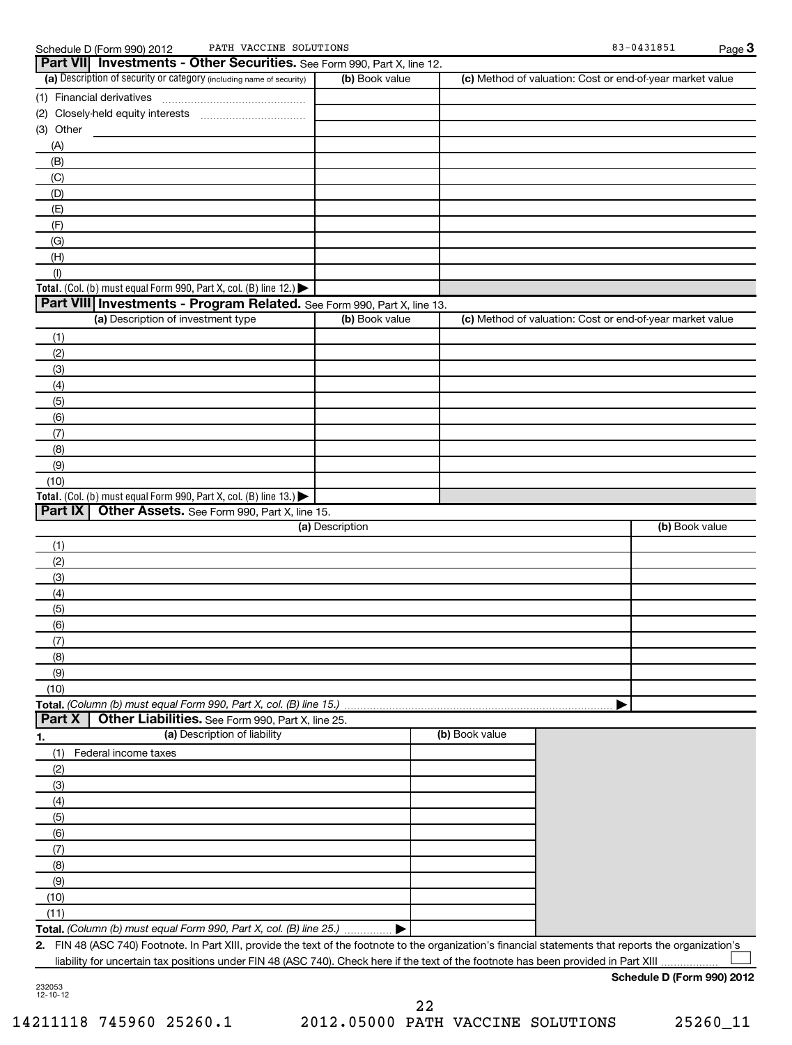| PATH VACCINE SOLUTIONS<br>Schedule D (Form 990) 2012                                                                                                    |                 |                | 83-0431851                                                | Page 3         |
|---------------------------------------------------------------------------------------------------------------------------------------------------------|-----------------|----------------|-----------------------------------------------------------|----------------|
| Part VII Investments - Other Securities. See Form 990, Part X, line 12.                                                                                 |                 |                |                                                           |                |
| (a) Description of security or category (including name of security)                                                                                    | (b) Book value  |                | (c) Method of valuation: Cost or end-of-year market value |                |
| (1) Financial derivatives                                                                                                                               |                 |                |                                                           |                |
|                                                                                                                                                         |                 |                |                                                           |                |
| (3) Other                                                                                                                                               |                 |                |                                                           |                |
| (A)                                                                                                                                                     |                 |                |                                                           |                |
| (B)                                                                                                                                                     |                 |                |                                                           |                |
| (C)                                                                                                                                                     |                 |                |                                                           |                |
| (D)                                                                                                                                                     |                 |                |                                                           |                |
| (E)                                                                                                                                                     |                 |                |                                                           |                |
| (F)                                                                                                                                                     |                 |                |                                                           |                |
|                                                                                                                                                         |                 |                |                                                           |                |
| (G)                                                                                                                                                     |                 |                |                                                           |                |
| (H)                                                                                                                                                     |                 |                |                                                           |                |
| (1)                                                                                                                                                     |                 |                |                                                           |                |
| Total. (Col. (b) must equal Form 990, Part X, col. (B) line 12.) $\blacktriangleright$                                                                  |                 |                |                                                           |                |
| Part VIII Investments - Program Related. See Form 990, Part X, line 13.                                                                                 |                 |                |                                                           |                |
| (a) Description of investment type                                                                                                                      | (b) Book value  |                | (c) Method of valuation: Cost or end-of-year market value |                |
| (1)                                                                                                                                                     |                 |                |                                                           |                |
| (2)                                                                                                                                                     |                 |                |                                                           |                |
| (3)                                                                                                                                                     |                 |                |                                                           |                |
| (4)                                                                                                                                                     |                 |                |                                                           |                |
| (5)                                                                                                                                                     |                 |                |                                                           |                |
| (6)                                                                                                                                                     |                 |                |                                                           |                |
| (7)                                                                                                                                                     |                 |                |                                                           |                |
| (8)                                                                                                                                                     |                 |                |                                                           |                |
| (9)                                                                                                                                                     |                 |                |                                                           |                |
| (10)                                                                                                                                                    |                 |                |                                                           |                |
| Total. (Col. (b) must equal Form 990, Part X, col. (B) line 13.)                                                                                        |                 |                |                                                           |                |
| Part IX Other Assets. See Form 990, Part X, line 15.                                                                                                    |                 |                |                                                           |                |
|                                                                                                                                                         | (a) Description |                |                                                           | (b) Book value |
| (1)                                                                                                                                                     |                 |                |                                                           |                |
| (2)                                                                                                                                                     |                 |                |                                                           |                |
| (3)                                                                                                                                                     |                 |                |                                                           |                |
| (4)                                                                                                                                                     |                 |                |                                                           |                |
| (5)                                                                                                                                                     |                 |                |                                                           |                |
|                                                                                                                                                         |                 |                |                                                           |                |
| (6)                                                                                                                                                     |                 |                |                                                           |                |
| (7)                                                                                                                                                     |                 |                |                                                           |                |
| (8)                                                                                                                                                     |                 |                |                                                           |                |
| (9)                                                                                                                                                     |                 |                |                                                           |                |
| (10)                                                                                                                                                    |                 |                |                                                           |                |
| Total. (Column (b) must equal Form 990, Part X, col. (B) line 15.)                                                                                      |                 |                |                                                           |                |
| Part X<br>Other Liabilities. See Form 990, Part X, line 25.                                                                                             |                 |                |                                                           |                |
| (a) Description of liability<br><u>1.</u>                                                                                                               |                 | (b) Book value |                                                           |                |
| Federal income taxes<br>(1)                                                                                                                             |                 |                |                                                           |                |
| (2)                                                                                                                                                     |                 |                |                                                           |                |
| (3)                                                                                                                                                     |                 |                |                                                           |                |
| (4)                                                                                                                                                     |                 |                |                                                           |                |
| (5)                                                                                                                                                     |                 |                |                                                           |                |
| (6)                                                                                                                                                     |                 |                |                                                           |                |
| (7)                                                                                                                                                     |                 |                |                                                           |                |
| (8)                                                                                                                                                     |                 |                |                                                           |                |
| (9)                                                                                                                                                     |                 |                |                                                           |                |
| (10)                                                                                                                                                    |                 |                |                                                           |                |
| (11)                                                                                                                                                    |                 |                |                                                           |                |
| Total. (Column (b) must equal Form 990, Part X, col. (B) line 25.)                                                                                      |                 |                |                                                           |                |
| 2. FIN 48 (ASC 740) Footnote. In Part XIII, provide the text of the footnote to the organization's financial statements that reports the organization's |                 |                |                                                           |                |
| liability for uncertain tax positions under FIN 48 (ASC 740). Check here if the text of the footnote has been provided in Part XIII                     |                 |                |                                                           |                |
|                                                                                                                                                         |                 |                |                                                           |                |

232053 12-10-12

**Schedule D (Form 990) 2012**

22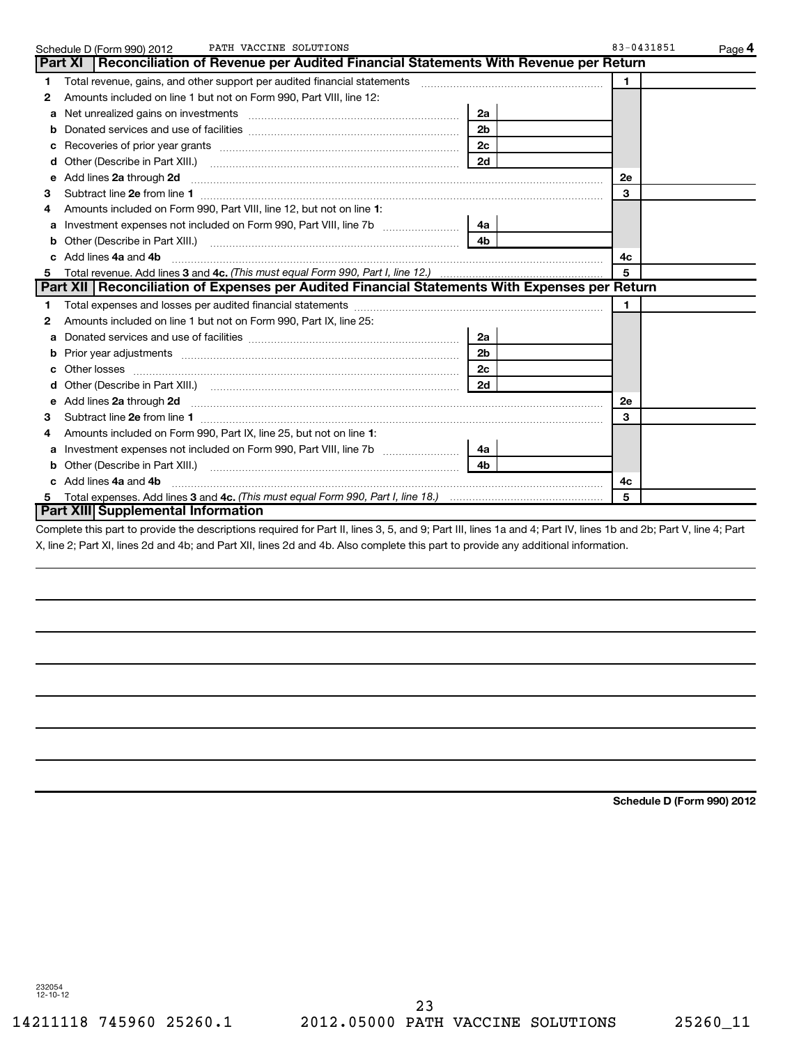|              | PATH VACCINE SOLUTIONS<br>Schedule D (Form 990) 2012                                                                                                                                                                                    |                | 83-0431851 | Page 4 |
|--------------|-----------------------------------------------------------------------------------------------------------------------------------------------------------------------------------------------------------------------------------------|----------------|------------|--------|
|              | Part XI   Reconciliation of Revenue per Audited Financial Statements With Revenue per Return                                                                                                                                            |                |            |        |
| $\mathbf{1}$ | Total revenue, gains, and other support per audited financial statements                                                                                                                                                                |                | 1.         |        |
| 2            | Amounts included on line 1 but not on Form 990, Part VIII, line 12:                                                                                                                                                                     |                |            |        |
| a            | Net unrealized gains on investments [111] www.communicalizations.communications.                                                                                                                                                        | 2a             |            |        |
|              |                                                                                                                                                                                                                                         | 2 <sub>b</sub> |            |        |
| c            |                                                                                                                                                                                                                                         | 2 <sub>c</sub> |            |        |
| d            |                                                                                                                                                                                                                                         | 2d             |            |        |
| е            | Add lines 2a through 2d <b>[10]</b> [20] <b>All and Primes 22</b> through 2d <b>[10] All and Primes 2a</b> through 2d <b>[10] All and Primes 24 in All and Primes 24 in All and Primes 20 in All and Primes 20 in All and Primes 20</b> |                | <b>2e</b>  |        |
| 3            |                                                                                                                                                                                                                                         |                | 3          |        |
|              | Amounts included on Form 990, Part VIII, line 12, but not on line 1:                                                                                                                                                                    |                |            |        |
| a            | Investment expenses not included on Form 990, Part VIII, line 7b                                                                                                                                                                        | 4a l           |            |        |
| b            | Other (Describe in Part XIII.)                                                                                                                                                                                                          | 4 <sub>h</sub> |            |        |
| c.           | Add lines 4a and 4b                                                                                                                                                                                                                     |                | 4с         |        |
| 5            |                                                                                                                                                                                                                                         |                | 5          |        |
|              | Part XII   Reconciliation of Expenses per Audited Financial Statements With Expenses per Return                                                                                                                                         |                |            |        |
| 1            |                                                                                                                                                                                                                                         |                | 1          |        |
| 2            | Amounts included on line 1 but not on Form 990, Part IX, line 25:                                                                                                                                                                       |                |            |        |
| a            |                                                                                                                                                                                                                                         | 2a             |            |        |
|              | Prior year adjustments [1111] [121] Prior year adjustments [1111] [121] [121] [121] [121] [121] [121] [121] [1                                                                                                                          | 2 <sub>b</sub> |            |        |
| c.           |                                                                                                                                                                                                                                         | 2c             |            |        |
| d            |                                                                                                                                                                                                                                         | 2d             |            |        |
| е            | Add lines 2a through 2d <b>manufactures</b> in the contract of the contract of the contract of the contract of the contract of the contract of the contract of the contract of the contract of the contract of the contract of the      |                | 2e         |        |
| 3            |                                                                                                                                                                                                                                         |                | 3          |        |
|              | Amounts included on Form 990, Part IX, line 25, but not on line 1:                                                                                                                                                                      |                |            |        |
| a            |                                                                                                                                                                                                                                         | 4a             |            |        |
| b            | Other (Describe in Part XIII.)                                                                                                                                                                                                          | 4 <sub>b</sub> |            |        |
| c.           | Add lines 4a and 4b                                                                                                                                                                                                                     |                | 4с         |        |
| 5            |                                                                                                                                                                                                                                         |                | 5          |        |
|              | Part XIII Supplemental Information                                                                                                                                                                                                      |                |            |        |
|              | Complete this part to provide the descriptions required for Part II, lines 3, 5, and 9; Part III, lines 1a and 4; Part IV, lines 1b and 2b; Part V, line 4; Part                                                                        |                |            |        |

X, line 2; Part XI, lines 2d and 4b; and Part XII, lines 2d and 4b. Also complete this part to provide any additional information.

**Schedule D (Form 990) 2012**

232054 12-10-12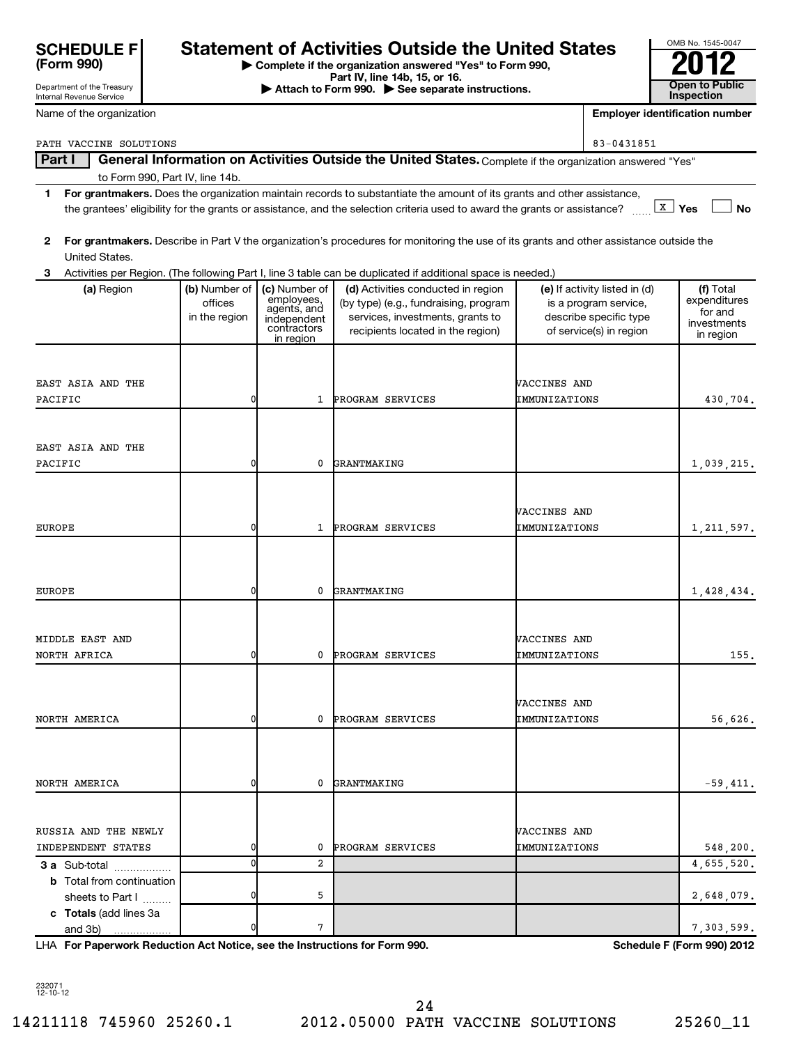| <b>SCHEDULE F</b> |  |
|-------------------|--|
| (Form 990)        |  |

Department of the Treasury

## **Statement of Activities Outside the United States**

**| Complete if the organization answered "Yes" to Form 990,**

**Part IV, line 14b, 15, or 16. and Separate instructions.** The Attach to Form 990. All See separate instructions. **The Conduction of the See Separate instructions.** The See Separate instructions. The See Separate instruc

| OMB No. 1545-0047     |
|-----------------------|
|                       |
|                       |
| <b>Open to Public</b> |
| Inspection            |

| Internal Revenue Service                             |               |                            |                                                                                                                                         |                     |                               | <b>Inspection</b>                     |
|------------------------------------------------------|---------------|----------------------------|-----------------------------------------------------------------------------------------------------------------------------------------|---------------------|-------------------------------|---------------------------------------|
| Name of the organization                             |               |                            |                                                                                                                                         |                     |                               | <b>Employer identification number</b> |
| PATH VACCINE SOLUTIONS                               |               |                            |                                                                                                                                         |                     | 83-0431851                    |                                       |
| Part I                                               |               |                            | General Information on Activities Outside the United States. Complete if the organization answered "Yes"                                |                     |                               |                                       |
| to Form 990, Part IV, line 14b.                      |               |                            |                                                                                                                                         |                     |                               |                                       |
| 1.                                                   |               |                            | For grantmakers. Does the organization maintain records to substantiate the amount of its grants and other assistance,                  |                     |                               |                                       |
|                                                      |               |                            | the grantees' eligibility for the grants or assistance, and the selection criteria used to award the grants or assistance?              |                     |                               | $\boxed{\mathbf{X}}$ Yes<br><b>No</b> |
|                                                      |               |                            |                                                                                                                                         |                     |                               |                                       |
| $\mathbf{2}$<br>United States.                       |               |                            | For grantmakers. Describe in Part V the organization's procedures for monitoring the use of its grants and other assistance outside the |                     |                               |                                       |
| 3                                                    |               |                            | Activities per Region. (The following Part I, line 3 table can be duplicated if additional space is needed.)                            |                     |                               |                                       |
| (a) Region                                           | (b) Number of | (c) Number of              | (d) Activities conducted in region                                                                                                      |                     | (e) If activity listed in (d) | (f) Total                             |
|                                                      | offices       | employees,<br>agents, and  | (by type) (e.g., fundraising, program                                                                                                   |                     | is a program service,         | expenditures                          |
|                                                      | in the region | independent<br>contractors | services, investments, grants to                                                                                                        |                     | describe specific type        | for and<br>investments                |
|                                                      |               | in region                  | recipients located in the region)                                                                                                       |                     | of service(s) in region       | in region                             |
|                                                      |               |                            |                                                                                                                                         |                     |                               |                                       |
| EAST ASIA AND THE                                    |               |                            |                                                                                                                                         | <b>WACCINES AND</b> |                               |                                       |
| PACIFIC                                              | 0             | 1                          | PROGRAM SERVICES                                                                                                                        | IMMUNIZATIONS       |                               | 430.704.                              |
|                                                      |               |                            |                                                                                                                                         |                     |                               |                                       |
|                                                      |               |                            |                                                                                                                                         |                     |                               |                                       |
| EAST ASIA AND THE                                    |               |                            |                                                                                                                                         |                     |                               |                                       |
| PACIFIC                                              | 0             | 0                          | GRANTMAKING                                                                                                                             |                     |                               | 1,039,215.                            |
|                                                      |               |                            |                                                                                                                                         |                     |                               |                                       |
|                                                      |               |                            |                                                                                                                                         | <b>VACCINES AND</b> |                               |                                       |
| <b>EUROPE</b>                                        | 0             | $\mathbf{1}$               | PROGRAM SERVICES                                                                                                                        | IMMUNIZATIONS       |                               | 1,211,597.                            |
|                                                      |               |                            |                                                                                                                                         |                     |                               |                                       |
|                                                      |               |                            |                                                                                                                                         |                     |                               |                                       |
|                                                      |               |                            |                                                                                                                                         |                     |                               |                                       |
| <b>EUROPE</b>                                        | 0             | 0                          | <b>GRANTMAKING</b>                                                                                                                      |                     |                               | 1,428,434.                            |
|                                                      |               |                            |                                                                                                                                         |                     |                               |                                       |
| MIDDLE EAST AND                                      |               |                            |                                                                                                                                         | <b>VACCINES AND</b> |                               |                                       |
| NORTH AFRICA                                         | 0             | 0                          | PROGRAM SERVICES                                                                                                                        | IMMUNIZATIONS       |                               | 155.                                  |
|                                                      |               |                            |                                                                                                                                         |                     |                               |                                       |
|                                                      |               |                            |                                                                                                                                         |                     |                               |                                       |
|                                                      |               |                            |                                                                                                                                         | VACCINES AND        |                               |                                       |
| NORTH AMERICA                                        | 0             | 0                          | PROGRAM SERVICES                                                                                                                        | IMMUNIZATIONS       |                               | 56,626.                               |
|                                                      |               |                            |                                                                                                                                         |                     |                               |                                       |
|                                                      |               |                            |                                                                                                                                         |                     |                               |                                       |
| NORTH AMERICA                                        | 0             | 0                          | GRANTMAKING                                                                                                                             |                     |                               | $-59,411.$                            |
|                                                      |               |                            |                                                                                                                                         |                     |                               |                                       |
|                                                      |               |                            |                                                                                                                                         |                     |                               |                                       |
| RUSSIA AND THE NEWLY                                 |               |                            |                                                                                                                                         | <b>VACCINES AND</b> |                               |                                       |
| INDEPENDENT STATES                                   | 0             | 0                          | PROGRAM SERVICES                                                                                                                        | IMMUNIZATIONS       |                               | 548,200.                              |
| 3 a Sub-total                                        | 0             | 2                          |                                                                                                                                         |                     |                               | 4,655,520.                            |
| <b>b</b> Total from continuation<br>sheets to Part I | 0             | 5                          |                                                                                                                                         |                     |                               | 2,648,079.                            |
| c Totals (add lines 3a                               |               |                            |                                                                                                                                         |                     |                               |                                       |
| and 3b)                                              | 0             | 7                          |                                                                                                                                         |                     |                               | 7,303,599.                            |

**For Paperwork Reduction Act Notice, see the Instructions for Form 990. Schedule F (Form 990) 2012** LHA

232071 12-10-12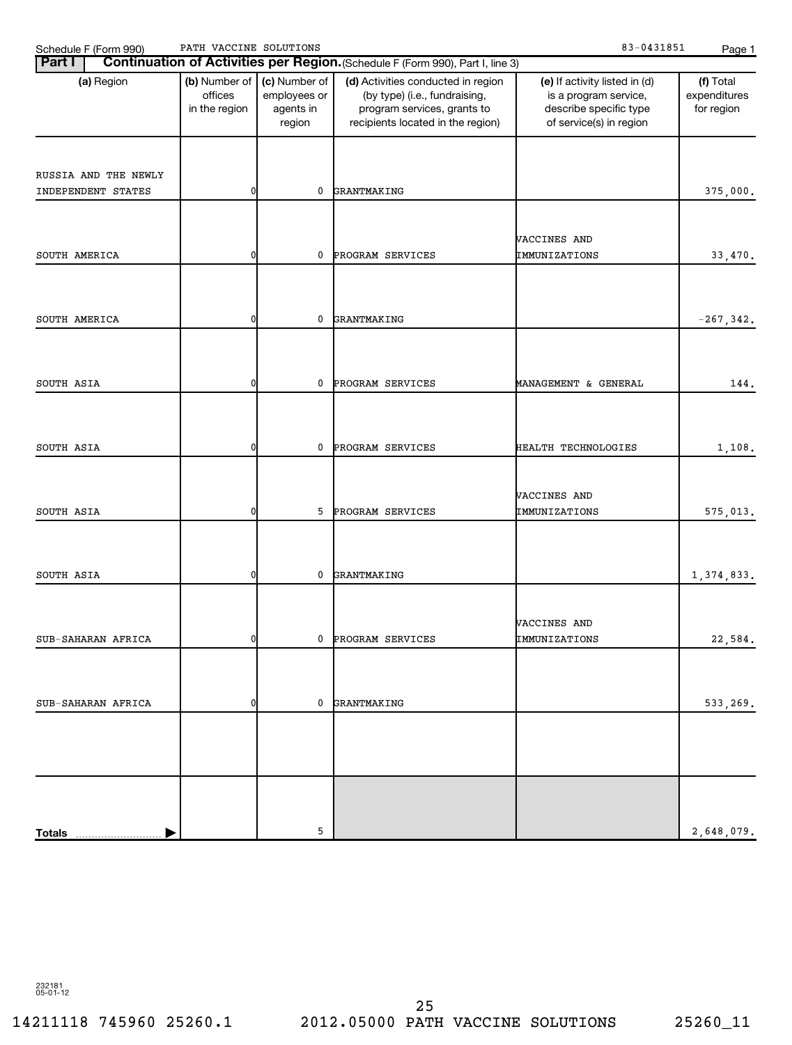| Schedule F (Form 990)                      | PATH VACCINE SOLUTIONS                                                     |   |                                                                                                                                         | 83-0431851                                                                                                  | Page 1                                  |
|--------------------------------------------|----------------------------------------------------------------------------|---|-----------------------------------------------------------------------------------------------------------------------------------------|-------------------------------------------------------------------------------------------------------------|-----------------------------------------|
| <b>Part I</b>                              |                                                                            |   | Continuation of Activities per Region. (Schedule F (Form 990), Part I, line 3)                                                          |                                                                                                             |                                         |
| (a) Region                                 | (b) Number of<br>(c) Number of<br>offices<br>employees or<br>in the region |   | (d) Activities conducted in region<br>(by type) (i.e., fundraising,<br>program services, grants to<br>recipients located in the region) | (e) If activity listed in (d)<br>is a program service,<br>describe specific type<br>of service(s) in region | (f) Total<br>expenditures<br>for region |
| RUSSIA AND THE NEWLY<br>INDEPENDENT STATES |                                                                            | 0 | GRANTMAKING                                                                                                                             |                                                                                                             | 375,000.                                |
| SOUTH AMERICA                              | ŋ                                                                          | 0 | PROGRAM SERVICES                                                                                                                        | VACCINES AND<br>IMMUNIZATIONS                                                                               | 33,470.                                 |
| SOUTH AMERICA                              |                                                                            | 0 | GRANTMAKING                                                                                                                             |                                                                                                             | $-267, 342.$                            |
| SOUTH ASIA                                 | ŋ                                                                          | 0 | PROGRAM SERVICES                                                                                                                        | MANAGEMENT & GENERAL                                                                                        | 144.                                    |
| SOUTH ASIA                                 |                                                                            | 0 | PROGRAM SERVICES                                                                                                                        | HEALTH TECHNOLOGIES                                                                                         | 1,108.                                  |
| SOUTH ASIA                                 | ŋ                                                                          | 5 | PROGRAM SERVICES                                                                                                                        | VACCINES AND<br>IMMUNIZATIONS                                                                               | 575,013.                                |
| SOUTH ASIA                                 |                                                                            | 0 | GRANTMAKING                                                                                                                             |                                                                                                             | 1,374,833.                              |
| SUB-SAHARAN AFRICA                         |                                                                            |   | 0 PROGRAM SERVICES                                                                                                                      | VACCINES AND<br>IMMUNIZATIONS                                                                               | 22,584.                                 |
|                                            |                                                                            |   |                                                                                                                                         |                                                                                                             |                                         |
| SUB-SAHARAN AFRICA                         |                                                                            |   | 0 GRANTMAKING                                                                                                                           |                                                                                                             | 533,269.                                |
| <b>Totals</b>                              |                                                                            | 5 |                                                                                                                                         |                                                                                                             | 2,648,079.                              |

232181 05-01-12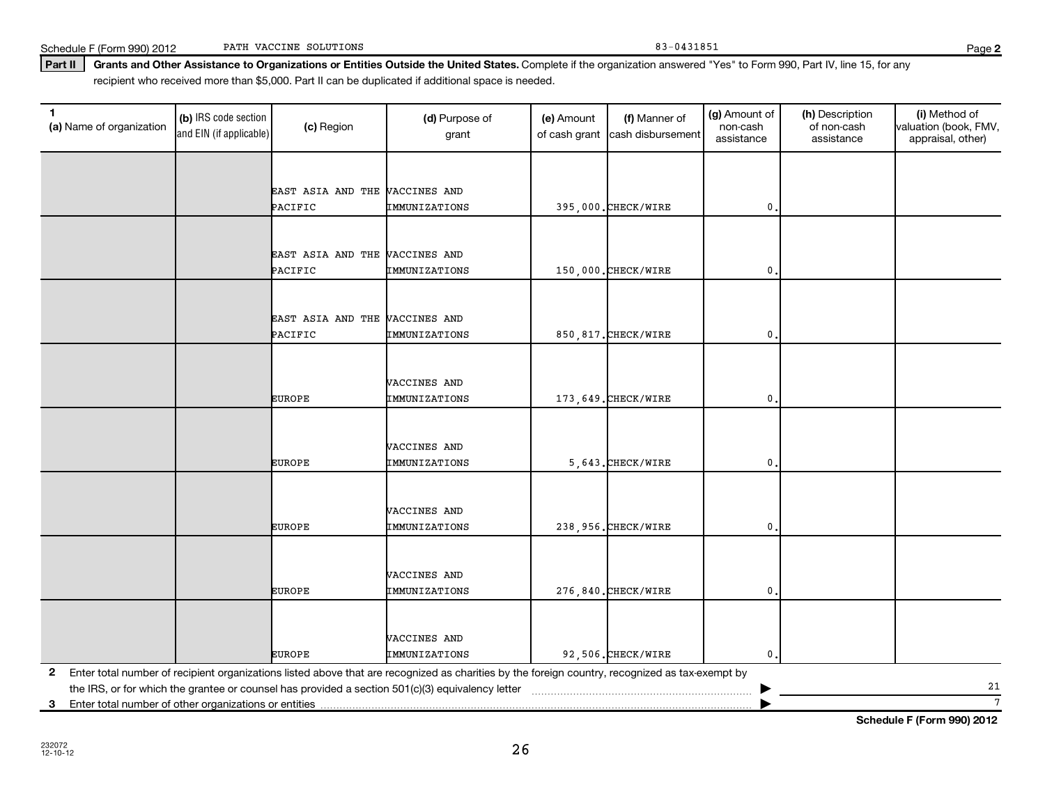|               | MACCINES AND  |                     |     |  |
|---------------|---------------|---------------------|-----|--|
| <b>EUROPE</b> | IMMUNIZATIONS | 5.643. CHECK/WIRE   | 0.1 |  |
|               |               |                     |     |  |
|               |               |                     |     |  |
|               | VACCINES AND  |                     |     |  |
| <b>EUROPE</b> | IMMUNIZATIONS | 238,956.CHECK/WIRE  | 0.  |  |
|               |               |                     |     |  |
|               |               |                     |     |  |
|               | VACCINES AND  |                     |     |  |
| <b>EUROPE</b> | IMMUNIZATIONS | 276,840. CHECK/WIRE | 0.  |  |
|               |               |                     |     |  |
|               |               |                     |     |  |
|               | VACCINES AND  |                     |     |  |
| <b>EUROPE</b> | IMMUNIZATIONS | 92.506. CHECK/WIRE  | 0.  |  |

VACCINES AND

VACCINES AND

**3** Enter total number of other organizations or entities |

the IRS, or for which the grantee or counsel has provided a section 501(c)(3) equivalency letter ~~~~~~~~~~~~~~~~~~~~~~~ |

Part II | Grants and Other Assistance to Organizations or Entities Outside the United States. Complete if the organization answered "Yes" to Form 990, Part IV, line 15, for any **(a)** Name of organization (b) IRS code section (c) Region (c) Region (d) Purpose of (e) Amount (f) Manner of (g) Amount of (h) Description (i) (a) Name of organization (f) IRS code section (c) Region (d) Purpose of (d) Am (b) IRS code section and EIN (if applicable) recipient who received more than \$5,000. Part II can be duplicated if additional space is needed. (a) Name of organization  $\begin{bmatrix} (b) \\ (c) \end{bmatrix}$  Region  $\begin{bmatrix} (c) \\ (d) \end{bmatrix}$  Purpose of grant (e) Amount of cash grant (f) Manner of cash disbursement (g) Amount of non-cash assistance (h) Description of non-cash assistance (i) Method of valuation (book, FMV, appraisal, other) EAST ASIA AND THE VACCINES AND

PACIFIC TMMUNIZATIONS | 395,000.CHECK/WIRE 0.

PACIFIC TMMUNIZATIONS | 150,000.CHECK/WIRE 0.

PACIFIC IMMUNIZATIONS | 850,817.CHECK/WIRE | 0.

EUROPE **IMMUNIZATIONS** 173,649.CHECK/WIRE 0.

26

EAST ASIA AND THE VACCINES AND

EAST ASIA AND THE VACCINES AND

**Schedule F (Form 990) 2012**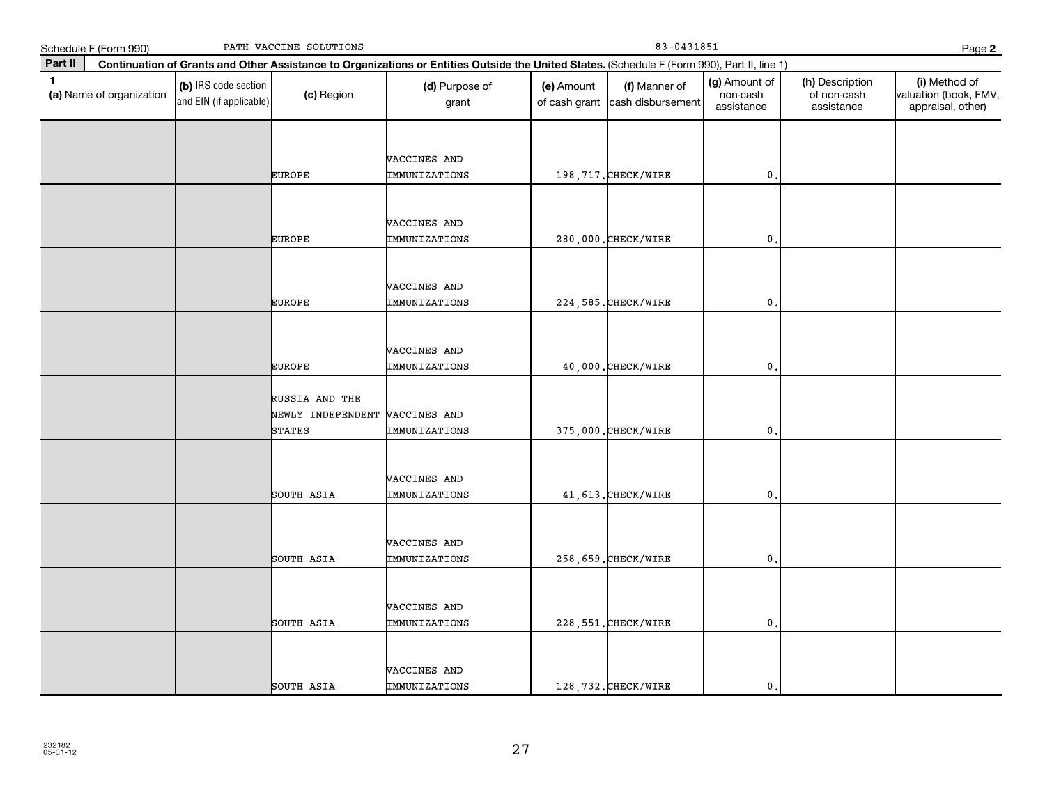|              | Schedule F (Form 990)    |                                                 | PATH VACCINE SOLUTIONS                                            |                                                                                                                                              |                             | Page 2                             |                                         |                                              |                                                             |
|--------------|--------------------------|-------------------------------------------------|-------------------------------------------------------------------|----------------------------------------------------------------------------------------------------------------------------------------------|-----------------------------|------------------------------------|-----------------------------------------|----------------------------------------------|-------------------------------------------------------------|
| Part II      |                          |                                                 |                                                                   | Continuation of Grants and Other Assistance to Organizations or Entities Outside the United States. (Schedule F (Form 990), Part II, line 1) |                             |                                    |                                         |                                              |                                                             |
| $\mathbf{1}$ | (a) Name of organization | (b) IRS code section<br>and EIN (if applicable) | (c) Region                                                        | (d) Purpose of<br>grant                                                                                                                      | (e) Amount<br>of cash grant | (f) Manner of<br>cash disbursement | (g) Amount of<br>non-cash<br>assistance | (h) Description<br>of non-cash<br>assistance | (i) Method of<br>valuation (book, FMV,<br>appraisal, other) |
|              |                          |                                                 | <b>EUROPE</b>                                                     | VACCINES AND<br>IMMUNIZATIONS                                                                                                                |                             | 198, 717. CHECK/WIRE               | $\mathbf{0}$                            |                                              |                                                             |
|              |                          |                                                 | <b>EUROPE</b>                                                     | VACCINES AND<br>IMMUNIZATIONS                                                                                                                |                             | 280,000. CHECK/WIRE                | $\mathbf{0}$                            |                                              |                                                             |
|              |                          |                                                 | <b>EUROPE</b>                                                     | VACCINES AND<br>IMMUNIZATIONS                                                                                                                |                             | 224, 585. CHECK/WIRE               | 0                                       |                                              |                                                             |
|              |                          |                                                 | <b>EUROPE</b>                                                     | <b>VACCINES AND</b><br>IMMUNIZATIONS                                                                                                         |                             | 40,000. CHECK/WIRE                 | 0,                                      |                                              |                                                             |
|              |                          |                                                 | RUSSIA AND THE<br>NEWLY INDEPENDENT VACCINES AND<br><b>STATES</b> | IMMUNIZATIONS                                                                                                                                |                             | 375,000. CHECK/WIRE                | 0                                       |                                              |                                                             |
|              |                          |                                                 | SOUTH ASIA                                                        | VACCINES AND<br>IMMUNIZATIONS                                                                                                                |                             | 41, 613. CHECK/WIRE                | $\mathbf{0}$                            |                                              |                                                             |
|              |                          |                                                 | SOUTH ASIA                                                        | VACCINES AND<br>IMMUNIZATIONS                                                                                                                |                             | 258, 659. CHECK/WIRE               | $\mathbf{0}$                            |                                              |                                                             |
|              |                          |                                                 | SOUTH ASIA                                                        | VACCINES AND<br>IMMUNIZATIONS                                                                                                                |                             | 228, 551. CHECK/WIRE               | $\mathbf{0}$                            |                                              |                                                             |
|              |                          |                                                 | SOUTH ASIA                                                        | VACCINES AND<br>IMMUNIZATIONS                                                                                                                |                             | 128, 732. CHECK/WIRE               | $\mathbf{0}$ .                          |                                              |                                                             |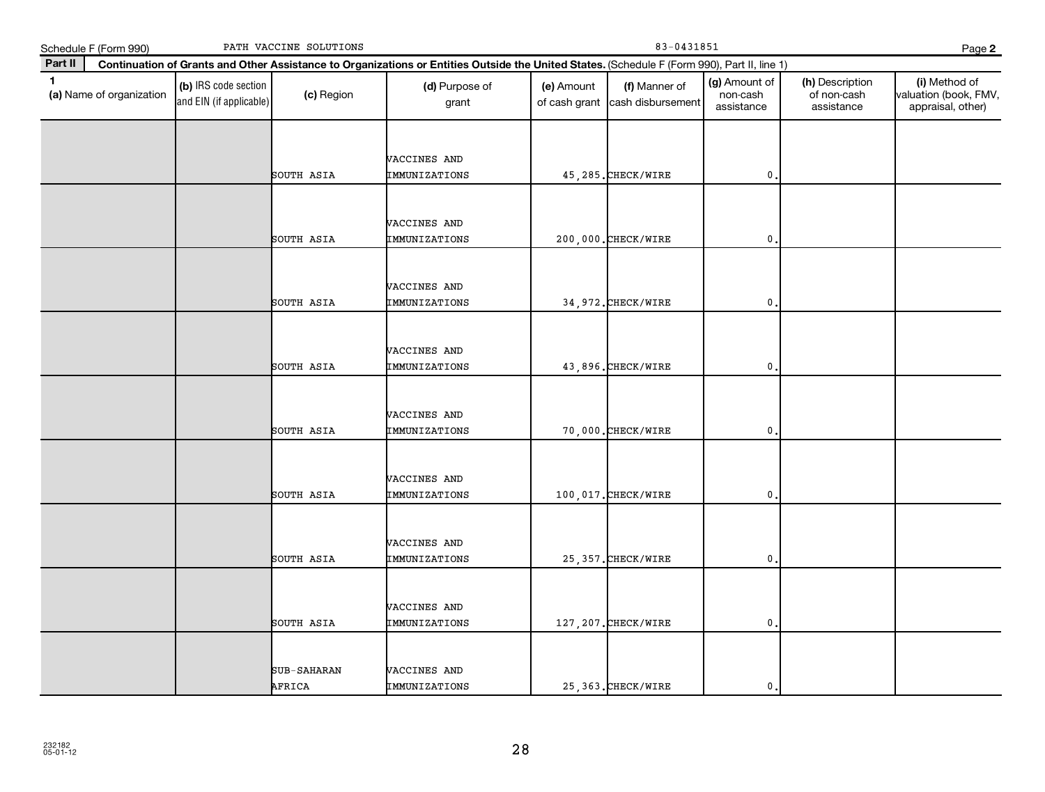|              | Schedule F (Form 990)    |                                                 | PATH VACCINE SOLUTIONS |                                                                                                                                              |                             | Page 2                             |                                         |                                              |                                                             |
|--------------|--------------------------|-------------------------------------------------|------------------------|----------------------------------------------------------------------------------------------------------------------------------------------|-----------------------------|------------------------------------|-----------------------------------------|----------------------------------------------|-------------------------------------------------------------|
| Part II      |                          |                                                 |                        | Continuation of Grants and Other Assistance to Organizations or Entities Outside the United States. (Schedule F (Form 990), Part II, line 1) |                             |                                    |                                         |                                              |                                                             |
| $\mathbf{1}$ | (a) Name of organization | (b) IRS code section<br>and EIN (if applicable) | (c) Region             | (d) Purpose of<br>grant                                                                                                                      | (e) Amount<br>of cash grant | (f) Manner of<br>cash disbursement | (g) Amount of<br>non-cash<br>assistance | (h) Description<br>of non-cash<br>assistance | (i) Method of<br>valuation (book, FMV,<br>appraisal, other) |
|              |                          |                                                 | SOUTH ASIA             | VACCINES AND<br><b>IMMUNIZATIONS</b>                                                                                                         |                             | 45, 285. CHECK/WIRE                | $\mathbf{0}$                            |                                              |                                                             |
|              |                          |                                                 | SOUTH ASIA             | VACCINES AND<br>IMMUNIZATIONS                                                                                                                |                             | 200,000. CHECK/WIRE                | $\mathbf 0$ .                           |                                              |                                                             |
|              |                          |                                                 | SOUTH ASIA             | VACCINES AND<br><b>IMMUNIZATIONS</b>                                                                                                         |                             | 34, 972. CHECK/WIRE                | 0                                       |                                              |                                                             |
|              |                          |                                                 | SOUTH ASIA             | VACCINES AND<br><b>IMMUNIZATIONS</b>                                                                                                         |                             | 43,896. CHECK/WIRE                 | 0.                                      |                                              |                                                             |
|              |                          |                                                 | SOUTH ASIA             | VACCINES AND<br><b>IMMUNIZATIONS</b>                                                                                                         |                             | 70,000. CHECK/WIRE                 | 0                                       |                                              |                                                             |
|              |                          |                                                 | SOUTH ASIA             | VACCINES AND<br><b>IMMUNIZATIONS</b>                                                                                                         |                             | 100,017. CHECK/WIRE                | $\mathbf{0}$                            |                                              |                                                             |
|              |                          |                                                 | SOUTH ASIA             | VACCINES AND<br><b>IMMUNIZATIONS</b>                                                                                                         |                             | 25, 357. CHECK/WIRE                | $\mathbf 0$ .                           |                                              |                                                             |
|              |                          |                                                 | SOUTH ASIA             | VACCINES AND<br>IMMUNIZATIONS                                                                                                                |                             | 127, 207. CHECK/WIRE               | $\mathbf 0$ .                           |                                              |                                                             |
|              |                          |                                                 | SUB-SAHARAN<br>AFRICA  | VACCINES AND<br>IMMUNIZATIONS                                                                                                                |                             | 25, 363. CHECK/WIRE                | 0.                                      |                                              |                                                             |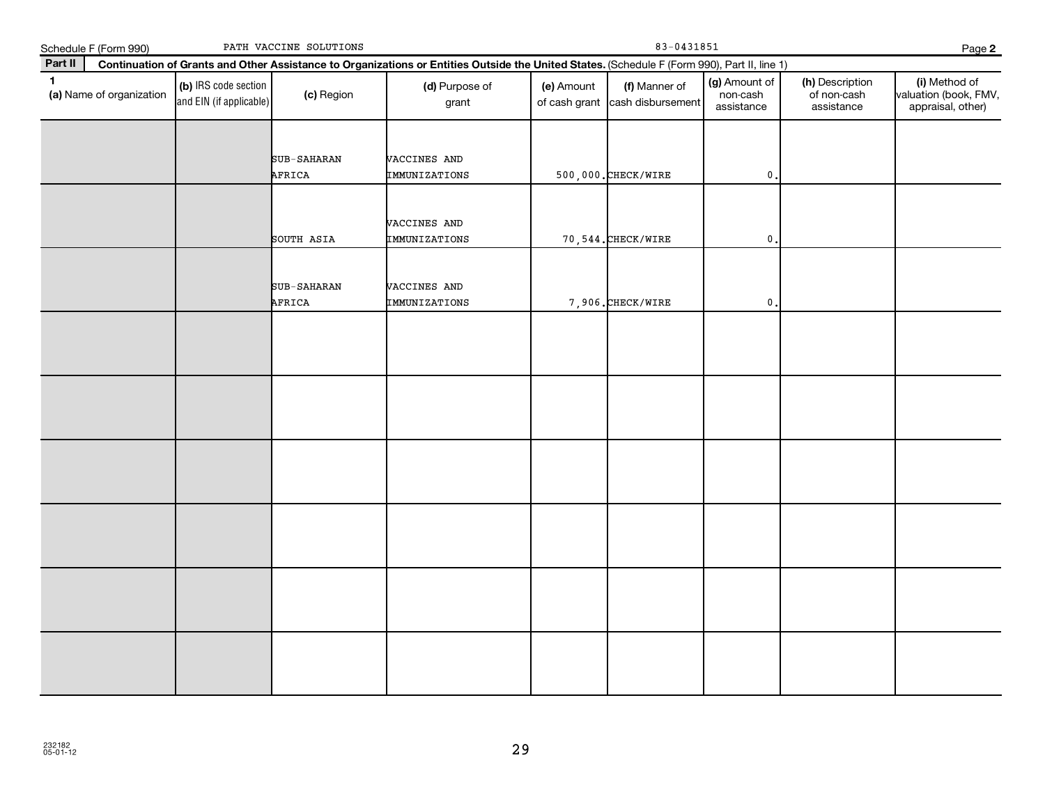|              | Schedule F (Form 990)    |                                                 | PATH VACCINE SOLUTIONS |                                                                                                                                              |            | Page 2                                           |                                         |                                              |                                                             |  |  |
|--------------|--------------------------|-------------------------------------------------|------------------------|----------------------------------------------------------------------------------------------------------------------------------------------|------------|--------------------------------------------------|-----------------------------------------|----------------------------------------------|-------------------------------------------------------------|--|--|
| Part II      |                          |                                                 |                        | Continuation of Grants and Other Assistance to Organizations or Entities Outside the United States. (Schedule F (Form 990), Part II, line 1) |            |                                                  |                                         |                                              |                                                             |  |  |
| $\mathbf{1}$ | (a) Name of organization | (b) IRS code section<br>and EIN (if applicable) | (c) Region             | (d) Purpose of<br>grant                                                                                                                      | (e) Amount | (f) Manner of<br>of cash grant cash disbursement | (g) Amount of<br>non-cash<br>assistance | (h) Description<br>of non-cash<br>assistance | (i) Method of<br>valuation (book, FMV,<br>appraisal, other) |  |  |
|              |                          |                                                 | SUB-SAHARAN<br>AFRICA  | VACCINES AND<br>IMMUNIZATIONS                                                                                                                |            | 500,000. CHECK/WIRE                              | $\mathbf{0}$ .                          |                                              |                                                             |  |  |
|              |                          |                                                 | SOUTH ASIA             | VACCINES AND<br>IMMUNIZATIONS                                                                                                                |            | 70, 544. CHECK/WIRE                              | $\mathbf 0$                             |                                              |                                                             |  |  |
|              |                          |                                                 | SUB-SAHARAN<br>AFRICA  | VACCINES AND<br>IMMUNIZATIONS                                                                                                                |            | 7,906. CHECK/WIRE                                | $\mathbf 0$ .                           |                                              |                                                             |  |  |
|              |                          |                                                 |                        |                                                                                                                                              |            |                                                  |                                         |                                              |                                                             |  |  |
|              |                          |                                                 |                        |                                                                                                                                              |            |                                                  |                                         |                                              |                                                             |  |  |
|              |                          |                                                 |                        |                                                                                                                                              |            |                                                  |                                         |                                              |                                                             |  |  |
|              |                          |                                                 |                        |                                                                                                                                              |            |                                                  |                                         |                                              |                                                             |  |  |
|              |                          |                                                 |                        |                                                                                                                                              |            |                                                  |                                         |                                              |                                                             |  |  |
|              |                          |                                                 |                        |                                                                                                                                              |            |                                                  |                                         |                                              |                                                             |  |  |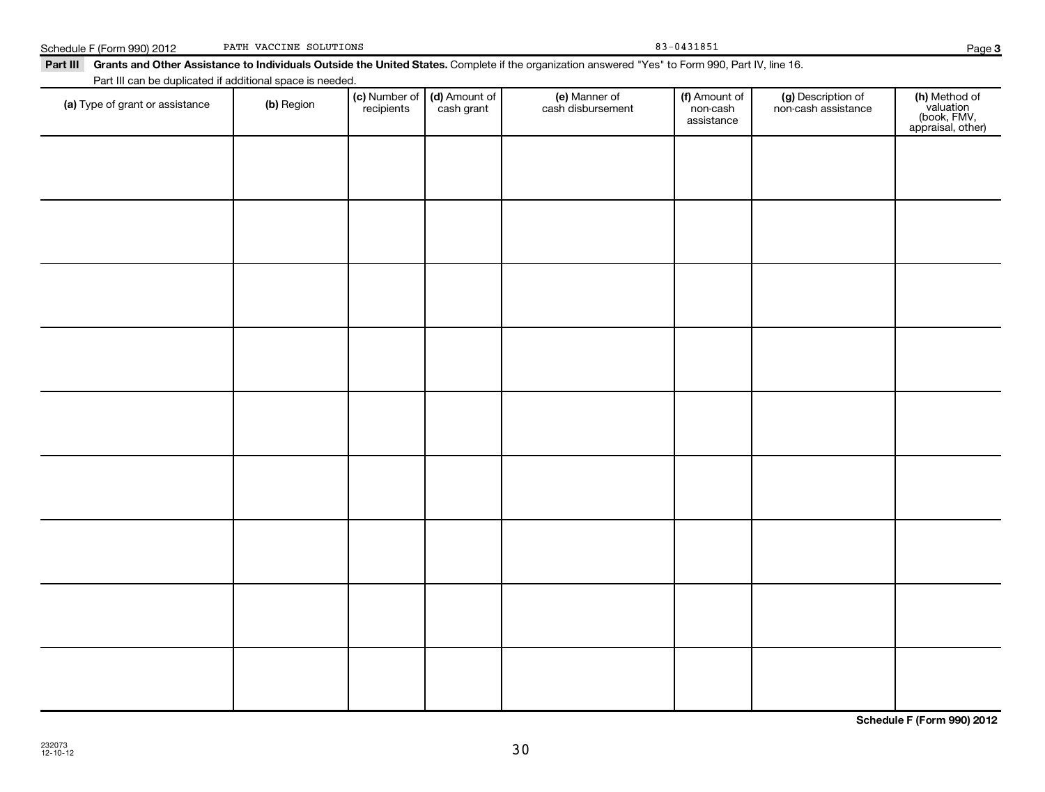| Part III can be duplicated if additional space is needed. |            |                             |                             |                                    |                                         |                                           |                                                                |
|-----------------------------------------------------------|------------|-----------------------------|-----------------------------|------------------------------------|-----------------------------------------|-------------------------------------------|----------------------------------------------------------------|
| (a) Type of grant or assistance                           | (b) Region | (c) Number of<br>recipients | (d) Amount of<br>cash grant | (e) Manner of<br>cash disbursement | (f) Amount of<br>non-cash<br>assistance | (g) Description of<br>non-cash assistance | (h) Method of<br>valuation<br>(book, FMV,<br>appraisal, other) |
|                                                           |            |                             |                             |                                    |                                         |                                           |                                                                |
|                                                           |            |                             |                             |                                    |                                         |                                           |                                                                |
|                                                           |            |                             |                             |                                    |                                         |                                           |                                                                |
|                                                           |            |                             |                             |                                    |                                         |                                           |                                                                |
|                                                           |            |                             |                             |                                    |                                         |                                           |                                                                |
|                                                           |            |                             |                             |                                    |                                         |                                           |                                                                |
|                                                           |            |                             |                             |                                    |                                         |                                           |                                                                |
|                                                           |            |                             |                             |                                    |                                         |                                           |                                                                |
|                                                           |            |                             |                             |                                    |                                         |                                           |                                                                |
|                                                           |            |                             |                             |                                    |                                         |                                           |                                                                |
|                                                           |            |                             |                             |                                    |                                         |                                           |                                                                |

Part III Grants and Other Assistance to Individuals Outside the United States. Complete if the organization answered "Yes" to Form 990, Part IV, line 16.

Schedule F (Form 990) 2012 PATH VACCINE SOLUTIONS 83-0431851

PATH VACCINE SOLUTIONS

**Schedule F (Form 990) 2012**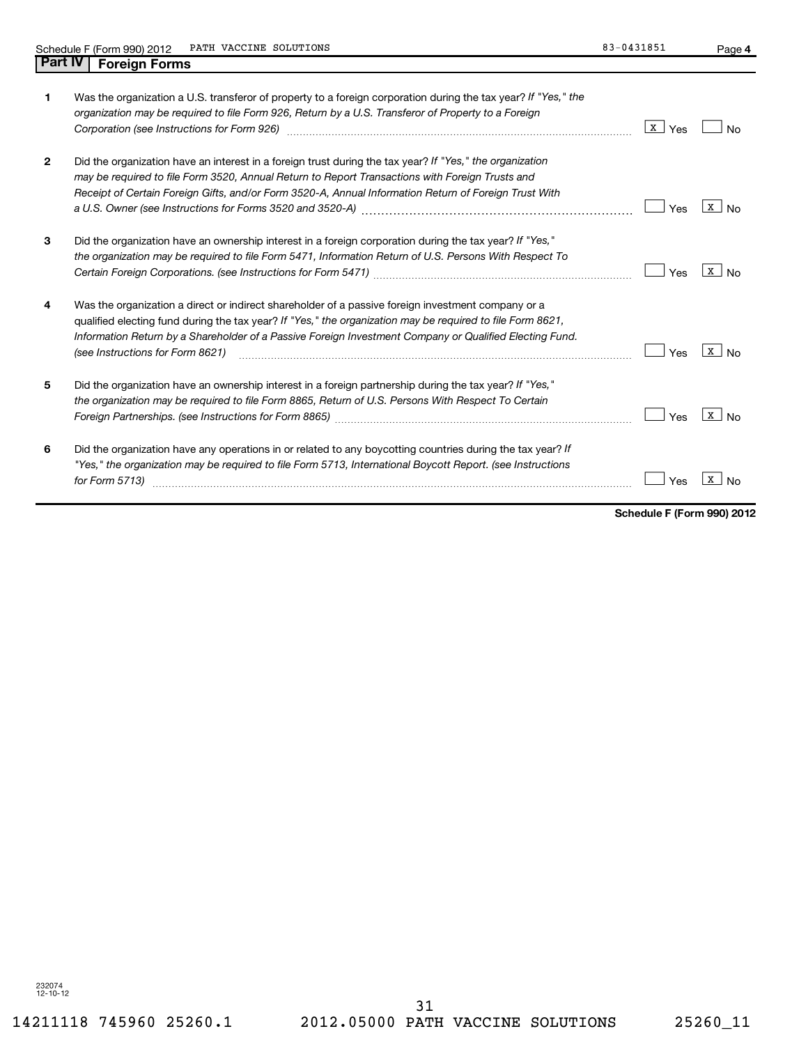|--|

| 1.           | Was the organization a U.S. transferor of property to a foreign corporation during the tax year? If "Yes," the<br>organization may be required to file Form 926, Return by a U.S. Transferor of Property to a Foreign<br>Corporation (see Instructions for Form 926)                                                                                            | X<br>Yes |   |
|--------------|-----------------------------------------------------------------------------------------------------------------------------------------------------------------------------------------------------------------------------------------------------------------------------------------------------------------------------------------------------------------|----------|---|
| $\mathbf{2}$ | Did the organization have an interest in a foreign trust during the tax year? If "Yes," the organization<br>may be required to file Form 3520, Annual Return to Report Transactions with Foreign Trusts and<br>Receipt of Certain Foreign Gifts, and/or Form 3520-A, Annual Information Return of Foreign Trust With                                            | Yes      | x |
| 3            | Did the organization have an ownership interest in a foreign corporation during the tax year? If "Yes,"<br>the organization may be required to file Form 5471, Information Return of U.S. Persons With Respect To                                                                                                                                               | Yes      | X |
| 4            | Was the organization a direct or indirect shareholder of a passive foreign investment company or a<br>qualified electing fund during the tax year? If "Yes," the organization may be required to file Form 8621,<br>Information Return by a Shareholder of a Passive Foreign Investment Company or Qualified Electing Fund.<br>(see Instructions for Form 8621) | Yes      | X |
| 5            | Did the organization have an ownership interest in a foreign partnership during the tax year? If "Yes,"<br>the organization may be required to file Form 8865, Return of U.S. Persons With Respect To Certain                                                                                                                                                   | Yes      | X |
| 6            | Did the organization have any operations in or related to any boycotting countries during the tax year? If<br>"Yes," the organization may be required to file Form 5713, International Boycott Report. (see Instructions<br>for Form 5713)                                                                                                                      | Yes      |   |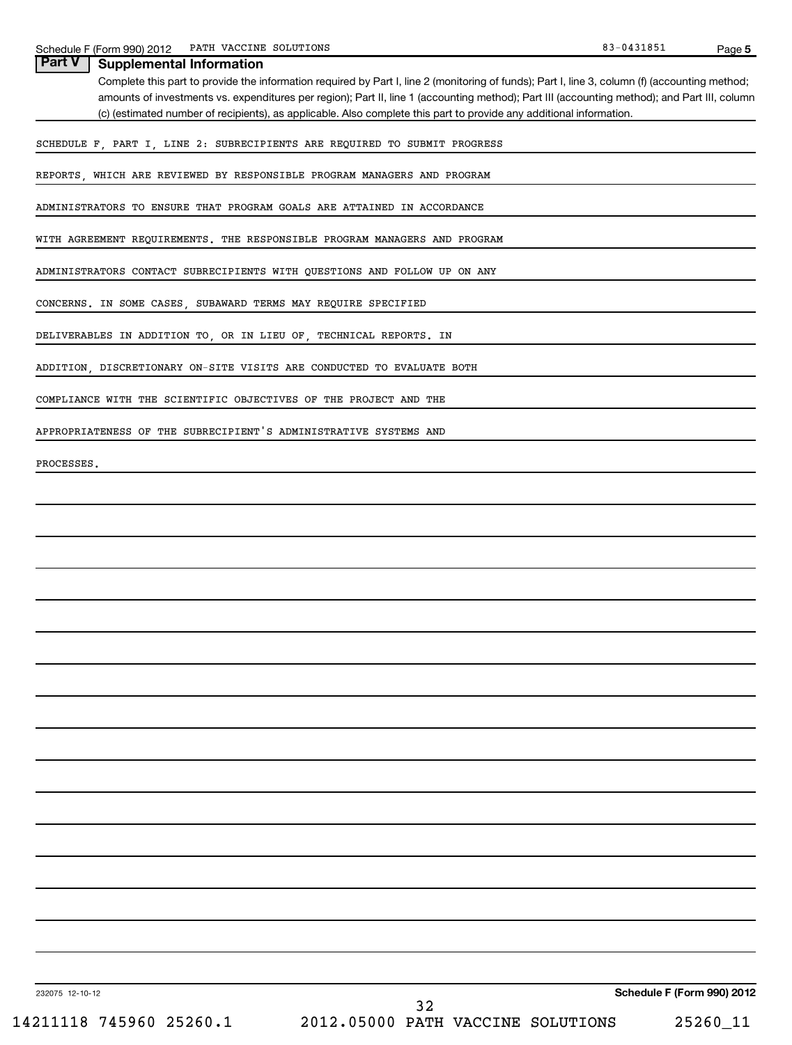| Part V<br><b>Supplemental Information</b>                                                                                                                                                                                                                                                      |
|------------------------------------------------------------------------------------------------------------------------------------------------------------------------------------------------------------------------------------------------------------------------------------------------|
| Complete this part to provide the information required by Part I, line 2 (monitoring of funds); Part I, line 3, column (f) (accounting method;<br>amounts of investments vs. expenditures per region); Part II, line 1 (accounting method); Part III (accounting method); and Part III, column |
| (c) (estimated number of recipients), as applicable. Also complete this part to provide any additional information.                                                                                                                                                                            |
| SCHEDULE F, PART I, LINE 2: SUBRECIPIENTS ARE REQUIRED TO SUBMIT PROGRESS                                                                                                                                                                                                                      |
| REPORTS, WHICH ARE REVIEWED BY RESPONSIBLE PROGRAM MANAGERS AND PROGRAM                                                                                                                                                                                                                        |
| ADMINISTRATORS TO ENSURE THAT PROGRAM GOALS ARE ATTAINED IN ACCORDANCE                                                                                                                                                                                                                         |
| WITH AGREEMENT REQUIREMENTS. THE RESPONSIBLE PROGRAM MANAGERS AND PROGRAM                                                                                                                                                                                                                      |
| ADMINISTRATORS CONTACT SUBRECIPIENTS WITH QUESTIONS AND FOLLOW UP ON ANY                                                                                                                                                                                                                       |
| CONCERNS. IN SOME CASES, SUBAWARD TERMS MAY REQUIRE SPECIFIED                                                                                                                                                                                                                                  |
| DELIVERABLES IN ADDITION TO, OR IN LIEU OF, TECHNICAL REPORTS. IN                                                                                                                                                                                                                              |
| ADDITION, DISCRETIONARY ON-SITE VISITS ARE CONDUCTED TO EVALUATE BOTH                                                                                                                                                                                                                          |
| COMPLIANCE WITH THE SCIENTIFIC OBJECTIVES OF THE PROJECT AND THE                                                                                                                                                                                                                               |
| APPROPRIATENESS OF THE SUBRECIPIENT'S ADMINISTRATIVE SYSTEMS AND                                                                                                                                                                                                                               |
| PROCESSES.                                                                                                                                                                                                                                                                                     |
|                                                                                                                                                                                                                                                                                                |
|                                                                                                                                                                                                                                                                                                |
|                                                                                                                                                                                                                                                                                                |
|                                                                                                                                                                                                                                                                                                |
|                                                                                                                                                                                                                                                                                                |
|                                                                                                                                                                                                                                                                                                |
|                                                                                                                                                                                                                                                                                                |
|                                                                                                                                                                                                                                                                                                |
|                                                                                                                                                                                                                                                                                                |
|                                                                                                                                                                                                                                                                                                |
|                                                                                                                                                                                                                                                                                                |
|                                                                                                                                                                                                                                                                                                |
|                                                                                                                                                                                                                                                                                                |
|                                                                                                                                                                                                                                                                                                |
|                                                                                                                                                                                                                                                                                                |

32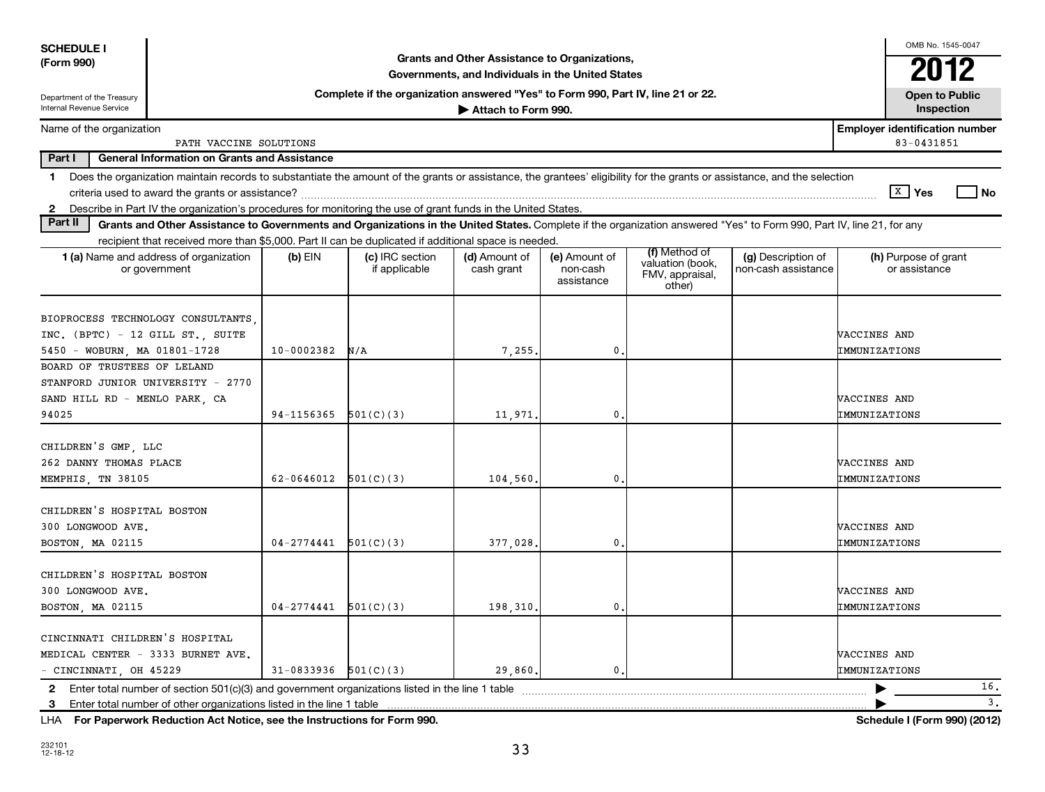| <b>SCHEDULE I</b>                                                                                                             |                                                                                                                                                                          |                            |                                                                                  |                                                                                                    |                                         |                                                                |                                           |                               | OMB No. 1545-0047                                   |                    |
|-------------------------------------------------------------------------------------------------------------------------------|--------------------------------------------------------------------------------------------------------------------------------------------------------------------------|----------------------------|----------------------------------------------------------------------------------|----------------------------------------------------------------------------------------------------|-----------------------------------------|----------------------------------------------------------------|-------------------------------------------|-------------------------------|-----------------------------------------------------|--------------------|
| (Form 990)                                                                                                                    |                                                                                                                                                                          |                            |                                                                                  | Grants and Other Assistance to Organizations,<br>Governments, and Individuals in the United States |                                         |                                                                |                                           |                               | 2012                                                |                    |
| Department of the Treasury                                                                                                    |                                                                                                                                                                          |                            | Complete if the organization answered "Yes" to Form 990, Part IV, line 21 or 22. |                                                                                                    |                                         |                                                                |                                           |                               | <b>Open to Public</b>                               |                    |
| Internal Revenue Service                                                                                                      |                                                                                                                                                                          |                            |                                                                                  | Attach to Form 990.                                                                                |                                         |                                                                |                                           |                               | <b>Inspection</b>                                   |                    |
| Name of the organization                                                                                                      | PATH VACCINE SOLUTIONS                                                                                                                                                   |                            |                                                                                  |                                                                                                    |                                         |                                                                |                                           |                               | <b>Employer identification number</b><br>83-0431851 |                    |
| Part I                                                                                                                        | <b>General Information on Grants and Assistance</b>                                                                                                                      |                            |                                                                                  |                                                                                                    |                                         |                                                                |                                           |                               |                                                     |                    |
| 1.                                                                                                                            | Does the organization maintain records to substantiate the amount of the grants or assistance, the grantees' eligibility for the grants or assistance, and the selection |                            |                                                                                  |                                                                                                    |                                         |                                                                |                                           |                               |                                                     |                    |
|                                                                                                                               |                                                                                                                                                                          |                            |                                                                                  |                                                                                                    |                                         |                                                                |                                           |                               | $\boxed{\text{X}}$ Yes                              | l No               |
| Describe in Part IV the organization's procedures for monitoring the use of grant funds in the United States.<br>$\mathbf{2}$ |                                                                                                                                                                          |                            |                                                                                  |                                                                                                    |                                         |                                                                |                                           |                               |                                                     |                    |
| Part II                                                                                                                       | Grants and Other Assistance to Governments and Organizations in the United States. Complete if the organization answered "Yes" to Form 990, Part IV, line 21, for any    |                            |                                                                                  |                                                                                                    |                                         |                                                                |                                           |                               |                                                     |                    |
|                                                                                                                               | recipient that received more than \$5,000. Part II can be duplicated if additional space is needed.                                                                      |                            |                                                                                  |                                                                                                    |                                         |                                                                |                                           |                               |                                                     |                    |
|                                                                                                                               | 1 (a) Name and address of organization<br>or government                                                                                                                  | $(b)$ EIN                  | (c) IRC section<br>if applicable                                                 | (d) Amount of<br>cash grant                                                                        | (e) Amount of<br>non-cash<br>assistance | (f) Method of<br>valuation (book,<br>FMV, appraisal,<br>other) | (g) Description of<br>non-cash assistance |                               | (h) Purpose of grant<br>or assistance               |                    |
| INC. (BPTC) - 12 GILL ST., SUITE<br>5450 - WOBURN, MA 01801-1728                                                              | BIOPROCESS TECHNOLOGY CONSULTANTS                                                                                                                                        | $10 - 0002382$             | N/A                                                                              | 7,255                                                                                              | 0                                       |                                                                |                                           | VACCINES AND<br>IMMUNIZATIONS |                                                     |                    |
| BOARD OF TRUSTEES OF LELAND<br>STANFORD JUNIOR UNIVERSITY - 2770<br>SAND HILL RD - MENLO PARK, CA<br>94025                    |                                                                                                                                                                          | 94-1156365                 | 501(C)(3)                                                                        | 11,971                                                                                             | 0                                       |                                                                |                                           | VACCINES AND<br>IMMUNIZATIONS |                                                     |                    |
| CHILDREN'S GMP, LLC<br>262 DANNY THOMAS PLACE<br>MEMPHIS, TN 38105                                                            |                                                                                                                                                                          | 62-0646012                 | 501(C)(3)                                                                        | 104,560                                                                                            | 0                                       |                                                                |                                           | VACCINES AND<br>IMMUNIZATIONS |                                                     |                    |
| CHILDREN'S HOSPITAL BOSTON<br>300 LONGWOOD AVE.<br>BOSTON, MA 02115                                                           |                                                                                                                                                                          | $04 - 2774441$ $501(C)(3)$ |                                                                                  | 377,028                                                                                            | 0                                       |                                                                |                                           | VACCINES AND<br>IMMUNIZATIONS |                                                     |                    |
| CHILDREN'S HOSPITAL BOSTON<br>300 LONGWOOD AVE.<br>BOSTON, MA 02115                                                           |                                                                                                                                                                          | $04 - 2774441$             | 501(C)(3)                                                                        | 198,310                                                                                            | 0                                       |                                                                |                                           | VACCINES AND<br>IMMUNIZATIONS |                                                     |                    |
| CINCINNATI CHILDREN'S HOSPITAL<br>MEDICAL CENTER - 3333 BURNET AVE.<br>- CINCINNATI, OH 45229                                 |                                                                                                                                                                          | $31-0833936$ $501(C)(3)$   |                                                                                  | 29,860.                                                                                            | $\mathbf{0}$ .                          |                                                                |                                           | VACCINES AND<br>IMMUNIZATIONS |                                                     |                    |
|                                                                                                                               |                                                                                                                                                                          |                            |                                                                                  |                                                                                                    |                                         |                                                                |                                           |                               |                                                     | 16.                |
|                                                                                                                               | 3 Enter total number of other organizations listed in the line 1 table                                                                                                   |                            |                                                                                  |                                                                                                    |                                         |                                                                |                                           |                               |                                                     | 3.                 |
|                                                                                                                               | 14. Exchanged British Art Nation are the location for France Co.                                                                                                         |                            |                                                                                  |                                                                                                    |                                         |                                                                |                                           |                               |                                                     | $0.001$ $(0.0101)$ |

**For Paperwork Reduction Act Notice, see the Instructions for Form 990. Schedule I (Form 990) (2012)** LHA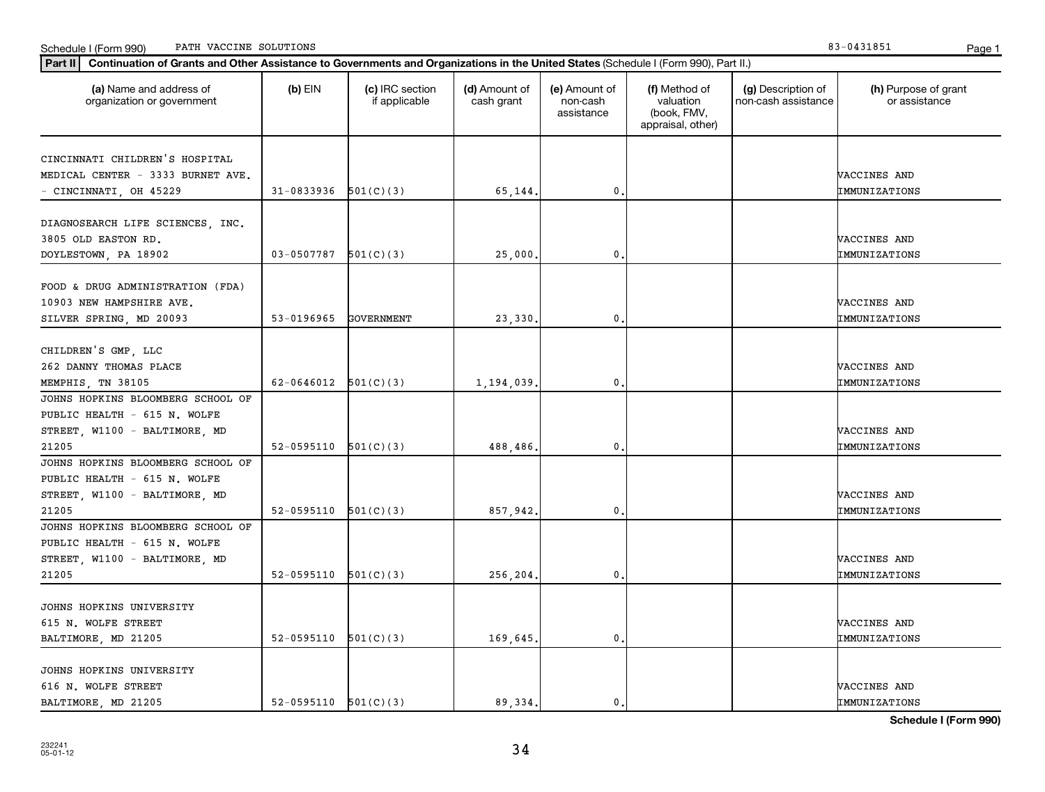| Continuation of Grants and Other Assistance to Governments and Organizations in the United States (Schedule I (Form 990), Part II.)<br>  Part II |                          |                                  |                             |                                         |                                                                |                                           |                                       |
|--------------------------------------------------------------------------------------------------------------------------------------------------|--------------------------|----------------------------------|-----------------------------|-----------------------------------------|----------------------------------------------------------------|-------------------------------------------|---------------------------------------|
| (a) Name and address of<br>organization or government                                                                                            | $(b)$ EIN                | (c) IRC section<br>if applicable | (d) Amount of<br>cash grant | (e) Amount of<br>non-cash<br>assistance | (f) Method of<br>valuation<br>(book, FMV,<br>appraisal, other) | (g) Description of<br>non-cash assistance | (h) Purpose of grant<br>or assistance |
|                                                                                                                                                  |                          |                                  |                             |                                         |                                                                |                                           |                                       |
| CINCINNATI CHILDREN'S HOSPITAL                                                                                                                   |                          |                                  |                             |                                         |                                                                |                                           |                                       |
| MEDICAL CENTER - 3333 BURNET AVE.                                                                                                                | 31-0833936               | 501(C)(3)                        | 65,144.                     | 0.                                      |                                                                |                                           | VACCINES AND                          |
| - CINCINNATI, OH 45229                                                                                                                           |                          |                                  |                             |                                         |                                                                |                                           | IMMUNIZATIONS                         |
| DIAGNOSEARCH LIFE SCIENCES, INC.                                                                                                                 |                          |                                  |                             |                                         |                                                                |                                           |                                       |
| 3805 OLD EASTON RD.                                                                                                                              |                          |                                  |                             |                                         |                                                                |                                           | VACCINES AND                          |
| DOYLESTOWN, PA 18902                                                                                                                             | 03-0507787               | 501(C)(3)                        | 25,000                      | 0.                                      |                                                                |                                           | IMMUNIZATIONS                         |
|                                                                                                                                                  |                          |                                  |                             |                                         |                                                                |                                           |                                       |
| FOOD & DRUG ADMINISTRATION (FDA)                                                                                                                 |                          |                                  |                             |                                         |                                                                |                                           |                                       |
| 10903 NEW HAMPSHIRE AVE.                                                                                                                         |                          |                                  |                             |                                         |                                                                |                                           | VACCINES AND                          |
| SILVER SPRING, MD 20093                                                                                                                          | 53-0196965               | GOVERNMENT                       | 23,330                      | 0                                       |                                                                |                                           | IMMUNIZATIONS                         |
|                                                                                                                                                  |                          |                                  |                             |                                         |                                                                |                                           |                                       |
| CHILDREN'S GMP, LLC                                                                                                                              |                          |                                  |                             |                                         |                                                                |                                           |                                       |
| 262 DANNY THOMAS PLACE                                                                                                                           |                          |                                  |                             |                                         |                                                                |                                           | VACCINES AND                          |
| MEMPHIS, TN 38105                                                                                                                                | 62-0646012               | 501(C)(3)                        | 1,194,039                   | $\mathbf{0}$                            |                                                                |                                           | IMMUNIZATIONS                         |
| JOHNS HOPKINS BLOOMBERG SCHOOL OF                                                                                                                |                          |                                  |                             |                                         |                                                                |                                           |                                       |
| PUBLIC HEALTH - 615 N. WOLFE                                                                                                                     |                          |                                  |                             |                                         |                                                                |                                           |                                       |
| STREET, W1100 - BALTIMORE, MD                                                                                                                    |                          |                                  |                             |                                         |                                                                |                                           | VACCINES AND                          |
| 21205                                                                                                                                            | 52-0595110               | 501(C)(3)                        | 488,486                     | 0.                                      |                                                                |                                           | IMMUNIZATIONS                         |
| JOHNS HOPKINS BLOOMBERG SCHOOL OF                                                                                                                |                          |                                  |                             |                                         |                                                                |                                           |                                       |
| PUBLIC HEALTH - 615 N. WOLFE                                                                                                                     |                          |                                  |                             |                                         |                                                                |                                           |                                       |
| STREET, W1100 - BALTIMORE, MD                                                                                                                    |                          |                                  |                             |                                         |                                                                |                                           | VACCINES AND                          |
| 21205                                                                                                                                            | $52-0595110$ $501(C)(3)$ |                                  | 857,942                     | 0.                                      |                                                                |                                           | IMMUNIZATIONS                         |
| JOHNS HOPKINS BLOOMBERG SCHOOL OF                                                                                                                |                          |                                  |                             |                                         |                                                                |                                           |                                       |
| PUBLIC HEALTH - 615 N. WOLFE                                                                                                                     |                          |                                  |                             |                                         |                                                                |                                           |                                       |
| STREET, W1100 - BALTIMORE, MD                                                                                                                    |                          |                                  |                             |                                         |                                                                |                                           | VACCINES AND                          |
| 21205                                                                                                                                            | 52-0595110               | 501(C)(3)                        | 256,204.                    | $\mathbf{0}$                            |                                                                |                                           | IMMUNIZATIONS                         |
|                                                                                                                                                  |                          |                                  |                             |                                         |                                                                |                                           |                                       |
| JOHNS HOPKINS UNIVERSITY                                                                                                                         |                          |                                  |                             |                                         |                                                                |                                           |                                       |
| 615 N. WOLFE STREET                                                                                                                              |                          |                                  |                             |                                         |                                                                |                                           | VACCINES AND                          |
| BALTIMORE, MD 21205                                                                                                                              | 52-0595110               | 501(C)(3)                        | 169,645.                    | 0.                                      |                                                                |                                           | IMMUNIZATIONS                         |
|                                                                                                                                                  |                          |                                  |                             |                                         |                                                                |                                           |                                       |
| JOHNS HOPKINS UNIVERSITY                                                                                                                         |                          |                                  |                             |                                         |                                                                |                                           |                                       |
| 616 N. WOLFE STREET                                                                                                                              |                          |                                  |                             |                                         |                                                                |                                           | VACCINES AND                          |
| BALTIMORE, MD 21205                                                                                                                              | $52-0595110$ $501(C)(3)$ |                                  | 89, 334.                    | 0.                                      |                                                                |                                           | IMMUNIZATIONS                         |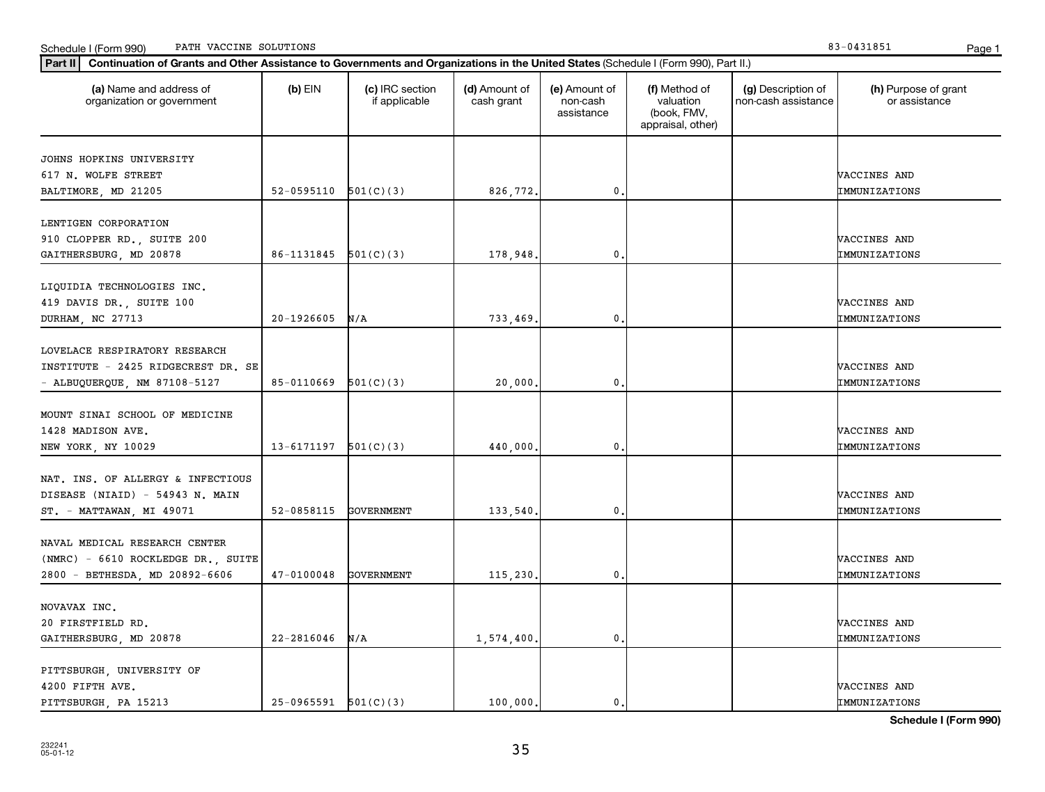| Part II   Continuation of Grants and Other Assistance to Governments and Organizations in the United States (Schedule I (Form 990), Part II.) |                          |                                  |                             |                                         |                                                                |                                           |                                       |
|-----------------------------------------------------------------------------------------------------------------------------------------------|--------------------------|----------------------------------|-----------------------------|-----------------------------------------|----------------------------------------------------------------|-------------------------------------------|---------------------------------------|
| (a) Name and address of<br>organization or government                                                                                         | $(b)$ EIN                | (c) IRC section<br>if applicable | (d) Amount of<br>cash grant | (e) Amount of<br>non-cash<br>assistance | (f) Method of<br>valuation<br>(book, FMV,<br>appraisal, other) | (g) Description of<br>non-cash assistance | (h) Purpose of grant<br>or assistance |
|                                                                                                                                               |                          |                                  |                             |                                         |                                                                |                                           |                                       |
| JOHNS HOPKINS UNIVERSITY<br>617 N. WOLFE STREET                                                                                               |                          |                                  |                             |                                         |                                                                |                                           | VACCINES AND                          |
| BALTIMORE, MD 21205                                                                                                                           | 52-0595110 $501(C)(3)$   |                                  | 826,772.                    | $\mathbf 0$ .                           |                                                                |                                           | IMMUNIZATIONS                         |
|                                                                                                                                               |                          |                                  |                             |                                         |                                                                |                                           |                                       |
| LENTIGEN CORPORATION                                                                                                                          |                          |                                  |                             |                                         |                                                                |                                           |                                       |
| 910 CLOPPER RD., SUITE 200                                                                                                                    |                          |                                  |                             |                                         |                                                                |                                           | VACCINES AND                          |
| GAITHERSBURG, MD 20878                                                                                                                        | 86-1131845               | 501(C)(3)                        | 178,948.                    | $\mathbf{0}$                            |                                                                |                                           | IMMUNIZATIONS                         |
|                                                                                                                                               |                          |                                  |                             |                                         |                                                                |                                           |                                       |
| LIQUIDIA TECHNOLOGIES INC.                                                                                                                    |                          |                                  |                             |                                         |                                                                |                                           |                                       |
| 419 DAVIS DR., SUITE 100                                                                                                                      |                          |                                  |                             |                                         |                                                                |                                           | VACCINES AND                          |
| DURHAM, NC 27713                                                                                                                              | 20-1926605               | N/A                              | 733,469.                    | $\mathbf 0$ .                           |                                                                |                                           | IMMUNIZATIONS                         |
|                                                                                                                                               |                          |                                  |                             |                                         |                                                                |                                           |                                       |
| LOVELACE RESPIRATORY RESEARCH                                                                                                                 |                          |                                  |                             |                                         |                                                                |                                           |                                       |
| INSTITUTE - 2425 RIDGECREST DR. SE                                                                                                            |                          |                                  |                             |                                         |                                                                |                                           | VACCINES AND                          |
|                                                                                                                                               | $85-0110669$ $501(C)(3)$ |                                  |                             | $\mathbf{0}$                            |                                                                |                                           | IMMUNIZATIONS                         |
| - ALBUQUERQUE, NM 87108-5127                                                                                                                  |                          |                                  | 20,000.                     |                                         |                                                                |                                           |                                       |
| MOUNT SINAI SCHOOL OF MEDICINE                                                                                                                |                          |                                  |                             |                                         |                                                                |                                           |                                       |
|                                                                                                                                               |                          |                                  |                             |                                         |                                                                |                                           |                                       |
| 1428 MADISON AVE.                                                                                                                             |                          |                                  |                             |                                         |                                                                |                                           | VACCINES AND                          |
| NEW YORK, NY 10029                                                                                                                            | 13-6171197               | 501(C)(3)                        | 440,000.                    | $\mathbf 0$ .                           |                                                                |                                           | IMMUNIZATIONS                         |
|                                                                                                                                               |                          |                                  |                             |                                         |                                                                |                                           |                                       |
| NAT. INS. OF ALLERGY & INFECTIOUS                                                                                                             |                          |                                  |                             |                                         |                                                                |                                           |                                       |
| DISEASE (NIAID) - 54943 N. MAIN                                                                                                               |                          |                                  |                             |                                         |                                                                |                                           | VACCINES AND                          |
| ST. - MATTAWAN, MI 49071                                                                                                                      | 52-0858115               | GOVERNMENT                       | 133,540,                    | $\mathbf 0$ .                           |                                                                |                                           | IMMUNIZATIONS                         |
|                                                                                                                                               |                          |                                  |                             |                                         |                                                                |                                           |                                       |
| NAVAL MEDICAL RESEARCH CENTER                                                                                                                 |                          |                                  |                             |                                         |                                                                |                                           |                                       |
| (NMRC) - 6610 ROCKLEDGE DR., SUITE                                                                                                            |                          |                                  |                             |                                         |                                                                |                                           | VACCINES AND                          |
| 2800 - BETHESDA, MD 20892-6606                                                                                                                | $47 - 0100048$           | GOVERNMENT                       | 115,230.                    | $\mathbf{0}$                            |                                                                |                                           | IMMUNIZATIONS                         |
|                                                                                                                                               |                          |                                  |                             |                                         |                                                                |                                           |                                       |
| NOVAVAX INC.                                                                                                                                  |                          |                                  |                             |                                         |                                                                |                                           |                                       |
| 20 FIRSTFIELD RD.                                                                                                                             |                          |                                  |                             |                                         |                                                                |                                           | VACCINES AND                          |
| GAITHERSBURG, MD 20878                                                                                                                        | $22 - 2816046$           | N/A                              | 1,574,400.                  | $\mathbf{0}$                            |                                                                |                                           | IMMUNIZATIONS                         |
|                                                                                                                                               |                          |                                  |                             |                                         |                                                                |                                           |                                       |
| PITTSBURGH, UNIVERSITY OF                                                                                                                     |                          |                                  |                             |                                         |                                                                |                                           |                                       |
| 4200 FIFTH AVE.                                                                                                                               |                          |                                  |                             |                                         |                                                                |                                           | VACCINES AND                          |
| PITTSBURGH, PA 15213                                                                                                                          | $25-0965591$ $501(C)(3)$ |                                  | 100,000.                    | 0.                                      |                                                                |                                           | IMMUNIZATIONS                         |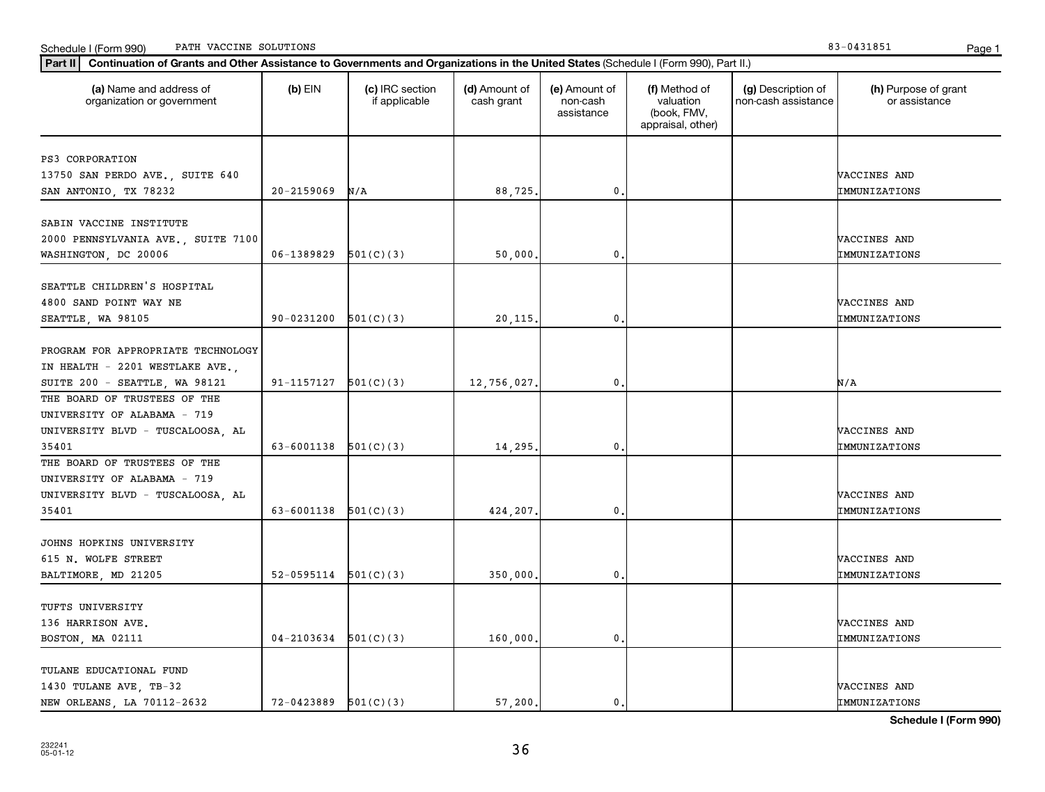| (a) Name and address of<br>organization or government | $(b)$ EIN                | (c) IRC section<br>if applicable | (d) Amount of<br>cash grant | (e) Amount of<br>non-cash<br>assistance | (f) Method of<br>valuation<br>(book, FMV,<br>appraisal, other) | (g) Description of<br>non-cash assistance | (h) Purpose of grant<br>or assistance |
|-------------------------------------------------------|--------------------------|----------------------------------|-----------------------------|-----------------------------------------|----------------------------------------------------------------|-------------------------------------------|---------------------------------------|
| PS3 CORPORATION                                       |                          |                                  |                             |                                         |                                                                |                                           |                                       |
| 13750 SAN PERDO AVE., SUITE 640                       |                          |                                  |                             |                                         |                                                                |                                           | VACCINES AND                          |
| SAN ANTONIO, TX 78232                                 | $20 - 2159069$           | N/A                              | 88,725.                     | 0                                       |                                                                |                                           | IMMUNIZATIONS                         |
|                                                       |                          |                                  |                             |                                         |                                                                |                                           |                                       |
| SABIN VACCINE INSTITUTE                               |                          |                                  |                             |                                         |                                                                |                                           |                                       |
| 2000 PENNSYLVANIA AVE., SUITE 7100                    |                          |                                  |                             |                                         |                                                                |                                           | VACCINES AND                          |
| WASHINGTON, DC 20006                                  | 06-1389829               | 501(C)(3)                        | 50,000.                     | 0                                       |                                                                |                                           | IMMUNIZATIONS                         |
|                                                       |                          |                                  |                             |                                         |                                                                |                                           |                                       |
| SEATTLE CHILDREN'S HOSPITAL                           |                          |                                  |                             |                                         |                                                                |                                           |                                       |
| 4800 SAND POINT WAY NE                                |                          |                                  |                             |                                         |                                                                |                                           | VACCINES AND                          |
| SEATTLE, WA 98105                                     | 90-0231200               | 501(C)(3)                        | 20, 115.                    | $\mathbf 0$ .                           |                                                                |                                           | IMMUNIZATIONS                         |
| PROGRAM FOR APPROPRIATE TECHNOLOGY                    |                          |                                  |                             |                                         |                                                                |                                           |                                       |
| IN HEALTH - 2201 WESTLAKE AVE.,                       |                          |                                  |                             |                                         |                                                                |                                           |                                       |
|                                                       | 91-1157127               | 501(C)(3)                        |                             | 0                                       |                                                                |                                           |                                       |
| SUITE 200 - SEATTLE, WA 98121                         |                          |                                  | 12,756,027.                 |                                         |                                                                |                                           | N/A                                   |
| THE BOARD OF TRUSTEES OF THE                          |                          |                                  |                             |                                         |                                                                |                                           |                                       |
| UNIVERSITY OF ALABAMA - 719                           |                          |                                  |                             |                                         |                                                                |                                           |                                       |
| UNIVERSITY BLVD - TUSCALOOSA, AL                      |                          |                                  |                             |                                         |                                                                |                                           | VACCINES AND                          |
| 35401                                                 | 63-6001138               | 501(C)(3)                        | 14,295.                     | 0                                       |                                                                |                                           | IMMUNIZATIONS                         |
| THE BOARD OF TRUSTEES OF THE                          |                          |                                  |                             |                                         |                                                                |                                           |                                       |
| UNIVERSITY OF ALABAMA - 719                           |                          |                                  |                             |                                         |                                                                |                                           |                                       |
| UNIVERSITY BLVD - TUSCALOOSA, AL                      |                          |                                  |                             |                                         |                                                                |                                           | VACCINES AND                          |
| 35401                                                 | 63-6001138               | 501(C)(3)                        | 424,207.                    | $\mathbf 0$ .                           |                                                                |                                           | IMMUNIZATIONS                         |
| JOHNS HOPKINS UNIVERSITY                              |                          |                                  |                             |                                         |                                                                |                                           |                                       |
| 615 N. WOLFE STREET                                   |                          |                                  |                             |                                         |                                                                |                                           | VACCINES AND                          |
|                                                       | 52-0595114               | 501(C)(3)                        |                             | 0                                       |                                                                |                                           |                                       |
| BALTIMORE, MD 21205                                   |                          |                                  | 350,000.                    |                                         |                                                                |                                           | IMMUNIZATIONS                         |
| TUFTS UNIVERSITY                                      |                          |                                  |                             |                                         |                                                                |                                           |                                       |
| 136 HARRISON AVE.                                     |                          |                                  |                             |                                         |                                                                |                                           | VACCINES AND                          |
| BOSTON, MA 02111                                      | 04-2103634               | 501(C)(3)                        | 160,000.                    | 0                                       |                                                                |                                           | IMMUNIZATIONS                         |
|                                                       |                          |                                  |                             |                                         |                                                                |                                           |                                       |
| TULANE EDUCATIONAL FUND                               |                          |                                  |                             |                                         |                                                                |                                           |                                       |
| 1430 TULANE AVE, TB-32                                |                          |                                  |                             |                                         |                                                                |                                           | VACCINES AND                          |
| NEW ORLEANS, LA 70112-2632                            | $72-0423889$ $501(C)(3)$ |                                  | 57,200.                     | 0.                                      |                                                                |                                           | IMMUNIZATIONS                         |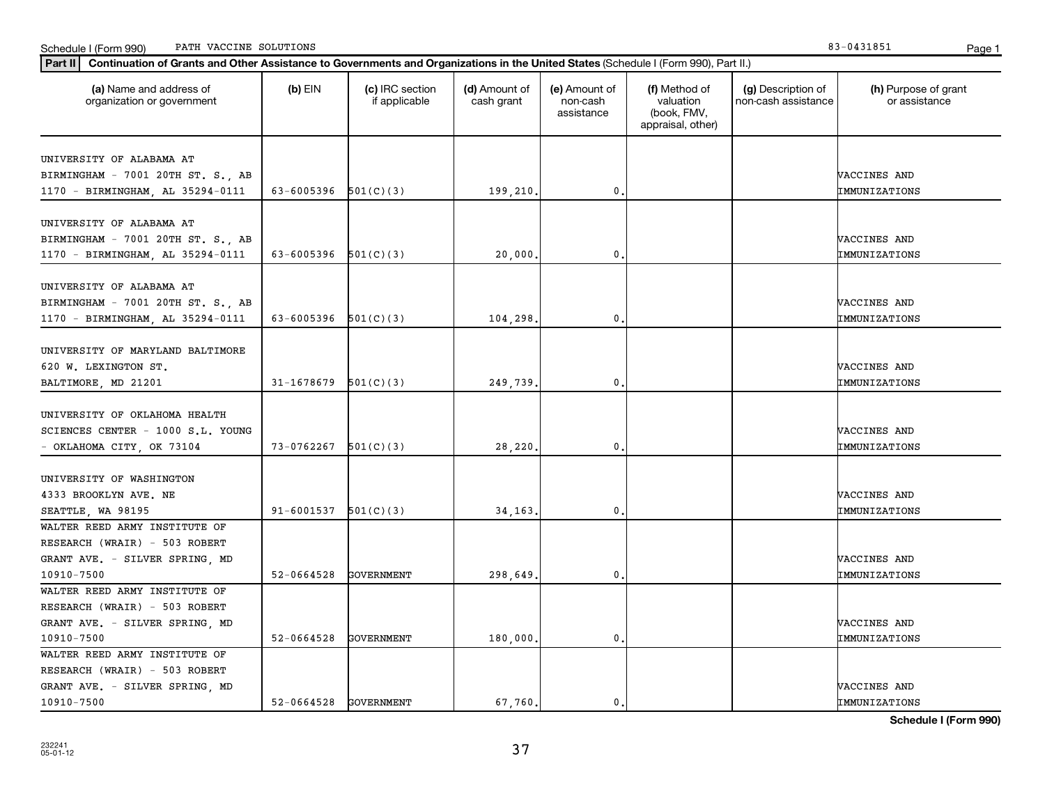| Part II   Continuation of Grants and Other Assistance to Governments and Organizations in the United States (Schedule I (Form 990), Part II.) |                            |                                  |                             |                                         |                                                                |                                           |                                       |
|-----------------------------------------------------------------------------------------------------------------------------------------------|----------------------------|----------------------------------|-----------------------------|-----------------------------------------|----------------------------------------------------------------|-------------------------------------------|---------------------------------------|
| (a) Name and address of<br>organization or government                                                                                         | $(b)$ EIN                  | (c) IRC section<br>if applicable | (d) Amount of<br>cash grant | (e) Amount of<br>non-cash<br>assistance | (f) Method of<br>valuation<br>(book, FMV,<br>appraisal, other) | (g) Description of<br>non-cash assistance | (h) Purpose of grant<br>or assistance |
| UNIVERSITY OF ALABAMA AT                                                                                                                      |                            |                                  |                             |                                         |                                                                |                                           |                                       |
| BIRMINGHAM - 7001 20TH ST. S., AB                                                                                                             |                            |                                  |                             |                                         |                                                                |                                           | VACCINES AND                          |
| 1170 - BIRMINGHAM, AL 35294-0111                                                                                                              | 63-6005396 $501(C)(3)$     |                                  | 199,210.                    | 0                                       |                                                                |                                           | IMMUNIZATIONS                         |
|                                                                                                                                               |                            |                                  |                             |                                         |                                                                |                                           |                                       |
| UNIVERSITY OF ALABAMA AT                                                                                                                      |                            |                                  |                             |                                         |                                                                |                                           |                                       |
| BIRMINGHAM - 7001 20TH ST. S., AB                                                                                                             |                            |                                  |                             |                                         |                                                                |                                           | VACCINES AND                          |
| 1170 - BIRMINGHAM, AL 35294-0111                                                                                                              | 63-6005396                 | 501(C)(3)                        | 20,000                      | 0                                       |                                                                |                                           | IMMUNIZATIONS                         |
|                                                                                                                                               |                            |                                  |                             |                                         |                                                                |                                           |                                       |
| UNIVERSITY OF ALABAMA AT                                                                                                                      |                            |                                  |                             |                                         |                                                                |                                           |                                       |
| BIRMINGHAM - 7001 20TH ST. S., AB                                                                                                             |                            |                                  |                             |                                         |                                                                |                                           | VACCINES AND                          |
| 1170 - BIRMINGHAM, AL 35294-0111                                                                                                              | 63-6005396 $501(C)(3)$     |                                  | 104,298.                    | $\mathbf{0}$                            |                                                                |                                           | IMMUNIZATIONS                         |
|                                                                                                                                               |                            |                                  |                             |                                         |                                                                |                                           |                                       |
| UNIVERSITY OF MARYLAND BALTIMORE                                                                                                              |                            |                                  |                             |                                         |                                                                |                                           |                                       |
| 620 W. LEXINGTON ST.                                                                                                                          |                            |                                  |                             |                                         |                                                                |                                           | VACCINES AND                          |
| BALTIMORE, MD 21201                                                                                                                           | 31-1678679                 | 501(C)(3)                        | 249,739.                    | 0                                       |                                                                |                                           | IMMUNIZATIONS                         |
|                                                                                                                                               |                            |                                  |                             |                                         |                                                                |                                           |                                       |
| UNIVERSITY OF OKLAHOMA HEALTH                                                                                                                 |                            |                                  |                             |                                         |                                                                |                                           |                                       |
| SCIENCES CENTER - 1000 S.L. YOUNG                                                                                                             |                            |                                  |                             |                                         |                                                                |                                           | VACCINES AND                          |
| - OKLAHOMA CITY, OK 73104                                                                                                                     | 73-0762267                 | 501(C)(3)                        | 28,220                      | 0                                       |                                                                |                                           | IMMUNIZATIONS                         |
|                                                                                                                                               |                            |                                  |                             |                                         |                                                                |                                           |                                       |
| UNIVERSITY OF WASHINGTON                                                                                                                      |                            |                                  |                             |                                         |                                                                |                                           |                                       |
| 4333 BROOKLYN AVE. NE                                                                                                                         |                            |                                  |                             |                                         |                                                                |                                           | VACCINES AND                          |
| SEATTLE, WA 98195                                                                                                                             | $91 - 6001537$ $501(C)(3)$ |                                  | 34.163.                     | 0.                                      |                                                                |                                           | IMMUNIZATIONS                         |
| WALTER REED ARMY INSTITUTE OF                                                                                                                 |                            |                                  |                             |                                         |                                                                |                                           |                                       |
| RESEARCH (WRAIR) - 503 ROBERT                                                                                                                 |                            |                                  |                             |                                         |                                                                |                                           |                                       |
| GRANT AVE. - SILVER SPRING, MD                                                                                                                |                            |                                  |                             |                                         |                                                                |                                           | VACCINES AND                          |
| 10910-7500                                                                                                                                    | 52-0664528                 | <b>GOVERNMENT</b>                | 298,649.                    | $\mathbf{0}$                            |                                                                |                                           | IMMUNIZATIONS                         |
| WALTER REED ARMY INSTITUTE OF                                                                                                                 |                            |                                  |                             |                                         |                                                                |                                           |                                       |
| RESEARCH (WRAIR) - 503 ROBERT                                                                                                                 |                            |                                  |                             |                                         |                                                                |                                           |                                       |
| GRANT AVE. - SILVER SPRING, MD                                                                                                                |                            |                                  |                             |                                         |                                                                |                                           | VACCINES AND                          |
| 10910-7500                                                                                                                                    | 52-0664528                 | <b>GOVERNMENT</b>                | 180,000.                    | 0                                       |                                                                |                                           | IMMUNIZATIONS                         |
| WALTER REED ARMY INSTITUTE OF                                                                                                                 |                            |                                  |                             |                                         |                                                                |                                           |                                       |
| RESEARCH (WRAIR) - 503 ROBERT                                                                                                                 |                            |                                  |                             |                                         |                                                                |                                           |                                       |
| GRANT AVE. - SILVER SPRING, MD                                                                                                                |                            |                                  |                             |                                         |                                                                |                                           | VACCINES AND                          |
| 10910-7500                                                                                                                                    | 52-0664528 GOVERNMENT      |                                  | 67,760.                     | $\mathfrak{o}$ .                        |                                                                |                                           | IMMUNIZATIONS                         |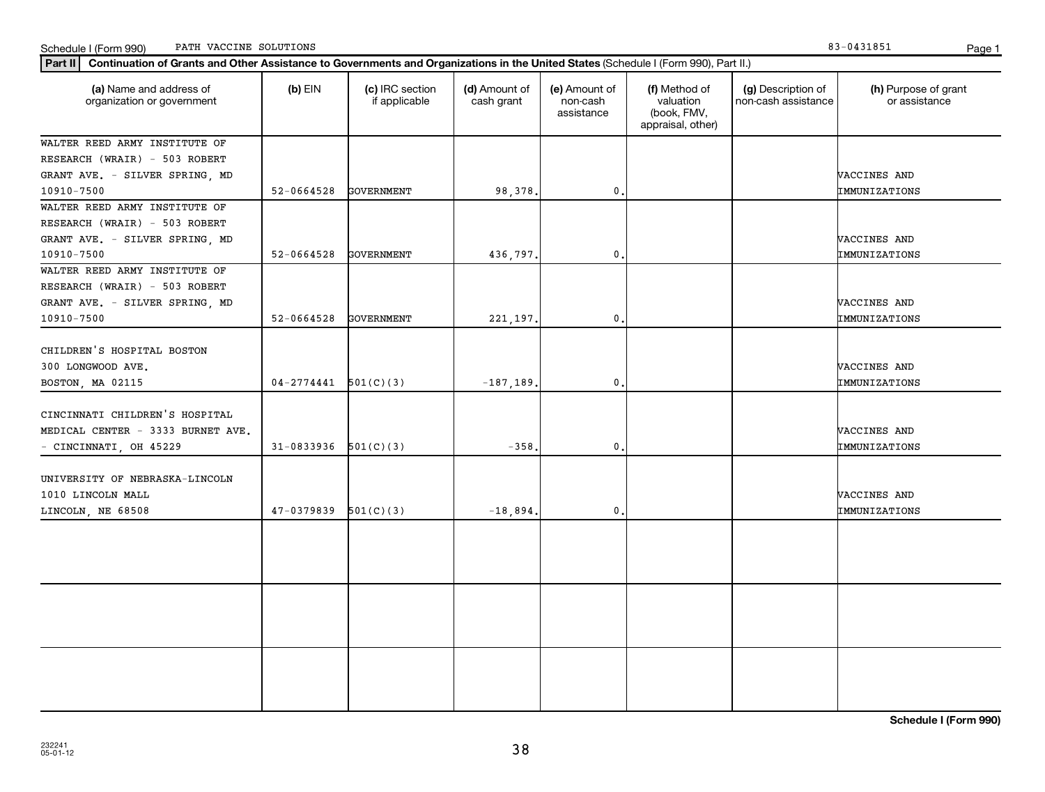| (a) Name and address of<br>organization or government | $(b)$ EIN                | Part II   Continuation of Grants and Other Assistance to Governments and Organizations in the United States (Schedule I (Form 990), Part II.)<br>(c) IRC section<br>if applicable | (d) Amount of<br>cash grant | (e) Amount of<br>non-cash<br>assistance | (f) Method of<br>valuation<br>(book, FMV, | (g) Description of<br>non-cash assistance | (h) Purpose of grant<br>or assistance |
|-------------------------------------------------------|--------------------------|-----------------------------------------------------------------------------------------------------------------------------------------------------------------------------------|-----------------------------|-----------------------------------------|-------------------------------------------|-------------------------------------------|---------------------------------------|
|                                                       |                          |                                                                                                                                                                                   |                             |                                         | appraisal, other)                         |                                           |                                       |
| WALTER REED ARMY INSTITUTE OF                         |                          |                                                                                                                                                                                   |                             |                                         |                                           |                                           |                                       |
| RESEARCH (WRAIR) - 503 ROBERT                         |                          |                                                                                                                                                                                   |                             |                                         |                                           |                                           |                                       |
| GRANT AVE. - SILVER SPRING, MD                        |                          |                                                                                                                                                                                   |                             |                                         |                                           |                                           | VACCINES AND                          |
| 10910-7500                                            | 52-0664528               | <b>GOVERNMENT</b>                                                                                                                                                                 | 98,378.                     | $\mathbf{0}$ .                          |                                           |                                           | IMMUNIZATIONS                         |
| WALTER REED ARMY INSTITUTE OF                         |                          |                                                                                                                                                                                   |                             |                                         |                                           |                                           |                                       |
| RESEARCH (WRAIR) - 503 ROBERT                         |                          |                                                                                                                                                                                   |                             |                                         |                                           |                                           |                                       |
| GRANT AVE. - SILVER SPRING, MD                        |                          |                                                                                                                                                                                   |                             |                                         |                                           |                                           | VACCINES AND                          |
| 10910-7500                                            | 52-0664528               | <b>GOVERNMENT</b>                                                                                                                                                                 | 436,797                     | $\mathbf{0}$ .                          |                                           |                                           | IMMUNIZATIONS                         |
| WALTER REED ARMY INSTITUTE OF                         |                          |                                                                                                                                                                                   |                             |                                         |                                           |                                           |                                       |
| RESEARCH (WRAIR) - 503 ROBERT                         |                          |                                                                                                                                                                                   |                             |                                         |                                           |                                           |                                       |
| GRANT AVE. - SILVER SPRING, MD                        |                          |                                                                                                                                                                                   |                             |                                         |                                           |                                           | VACCINES AND                          |
| 10910-7500                                            | $52 - 0664528$           | GOVERNMENT                                                                                                                                                                        | 221, 197.                   | $\mathbf{0}$ .                          |                                           |                                           | IMMUNIZATIONS                         |
|                                                       |                          |                                                                                                                                                                                   |                             |                                         |                                           |                                           |                                       |
| CHILDREN'S HOSPITAL BOSTON                            |                          |                                                                                                                                                                                   |                             |                                         |                                           |                                           |                                       |
| 300 LONGWOOD AVE.                                     |                          |                                                                                                                                                                                   |                             |                                         |                                           |                                           | VACCINES AND                          |
| BOSTON, MA 02115                                      | $04-2774441$ $501(C)(3)$ |                                                                                                                                                                                   | $-187, 189$                 | $\mathbf{0}$ .                          |                                           |                                           | IMMUNIZATIONS                         |
|                                                       |                          |                                                                                                                                                                                   |                             |                                         |                                           |                                           |                                       |
| CINCINNATI CHILDREN'S HOSPITAL                        |                          |                                                                                                                                                                                   |                             |                                         |                                           |                                           |                                       |
| MEDICAL CENTER - 3333 BURNET AVE.                     |                          |                                                                                                                                                                                   |                             |                                         |                                           |                                           | VACCINES AND                          |
| - CINCINNATI, OH 45229                                | 31-0833936               | 501(C)(3)                                                                                                                                                                         | $-358$                      | 0.                                      |                                           |                                           | IMMUNIZATIONS                         |
| UNIVERSITY OF NEBRASKA-LINCOLN                        |                          |                                                                                                                                                                                   |                             |                                         |                                           |                                           |                                       |
| 1010 LINCOLN MALL                                     |                          |                                                                                                                                                                                   |                             |                                         |                                           |                                           | VACCINES AND                          |
| LINCOLN, NE 68508                                     | 47-0379839               | 501(C)(3)                                                                                                                                                                         | $-18,894$                   | 0.                                      |                                           |                                           | IMMUNIZATIONS                         |
|                                                       |                          |                                                                                                                                                                                   |                             |                                         |                                           |                                           |                                       |
|                                                       |                          |                                                                                                                                                                                   |                             |                                         |                                           |                                           |                                       |
|                                                       |                          |                                                                                                                                                                                   |                             |                                         |                                           |                                           |                                       |
|                                                       |                          |                                                                                                                                                                                   |                             |                                         |                                           |                                           |                                       |
|                                                       |                          |                                                                                                                                                                                   |                             |                                         |                                           |                                           |                                       |
|                                                       |                          |                                                                                                                                                                                   |                             |                                         |                                           |                                           |                                       |
|                                                       |                          |                                                                                                                                                                                   |                             |                                         |                                           |                                           |                                       |
|                                                       |                          |                                                                                                                                                                                   |                             |                                         |                                           |                                           |                                       |
|                                                       |                          |                                                                                                                                                                                   |                             |                                         |                                           |                                           |                                       |
|                                                       |                          |                                                                                                                                                                                   |                             |                                         |                                           |                                           |                                       |
|                                                       |                          |                                                                                                                                                                                   |                             |                                         |                                           |                                           |                                       |
|                                                       |                          |                                                                                                                                                                                   |                             |                                         |                                           |                                           |                                       |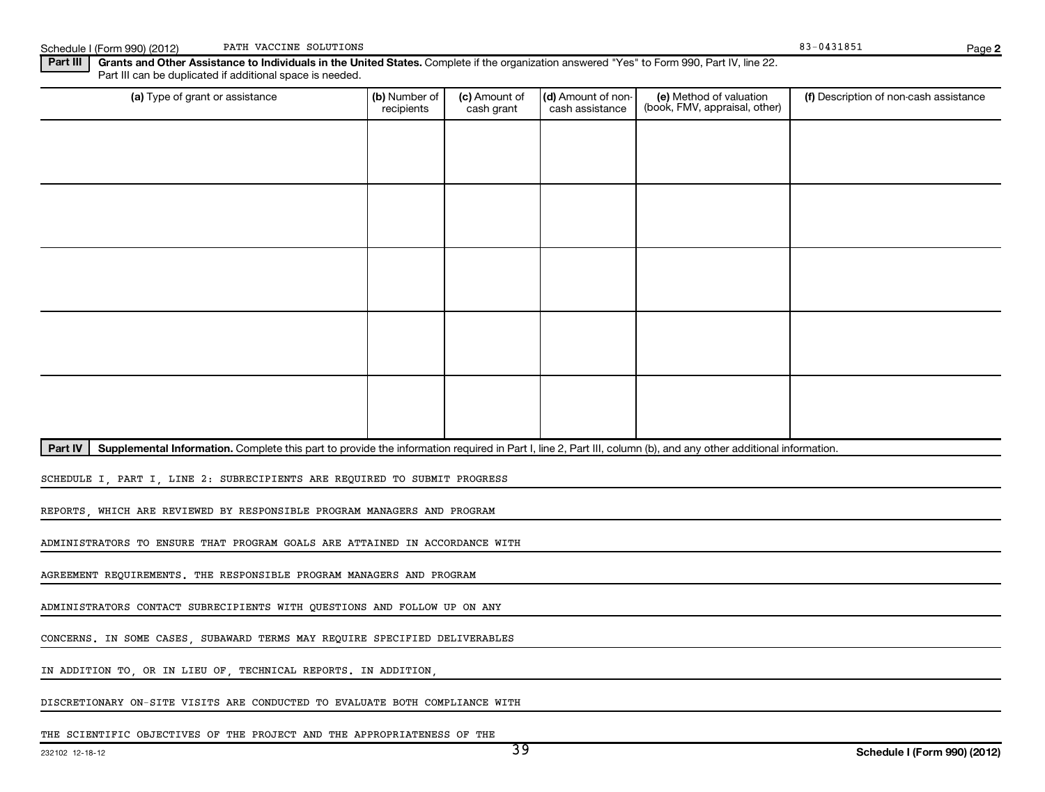Part III | Grants and Other Assistance to Individuals in the United States. Complete if the organization answered "Yes" to Form 990, Part IV, line 22. (a) Type of grant or assistance **Audity Commet Audio Commet Commet Commet Commet Commet Commet Commet Commet Comme** Schedule I (Form 990) (2012) PATH VACCINE SOLUTIONS (1999) PATH VACCINE SOLUTIONS Part III can be duplicated if additional space is needed. (e) Method of valuation (book, FMV, appraisal, other) recipients (c) Amount of cash grant (d) Amount of noncash assistance (f) Description of non-cash assistance PATH VACCINE SOLUTIONS

Part IV | Supplemental Information. Complete this part to provide the information required in Part I, line 2, Part III, column (b), and any other additional information.

SCHEDULE I, PART I, LINE 2: SUBRECIPIENTS ARE REQUIRED TO SUBMIT PROGRESS

REPORTS, WHICH ARE REVIEWED BY RESPONSIBLE PROGRAM MANAGERS AND PROGRAM

ADMINISTRATORS TO ENSURE THAT PROGRAM GOALS ARE ATTAINED IN ACCORDANCE WITH

AGREEMENT REQUIREMENTS. THE RESPONSIBLE PROGRAM MANAGERS AND PROGRAM

ADMINISTRATORS CONTACT SUBRECIPIENTS WITH QUESTIONS AND FOLLOW UP ON ANY

CONCERNS. IN SOME CASES, SUBAWARD TERMS MAY REQUIRE SPECIFIED DELIVERABLES

IN ADDITION TO, OR IN LIEU OF, TECHNICAL REPORTS. IN ADDITION,

DISCRETIONARY ON-SITE VISITS ARE CONDUCTED TO EVALUATE BOTH COMPLIANCE WITH

THE SCIENTIFIC OBJECTIVES OF THE PROJECT AND THE APPROPRIATENESS OF THE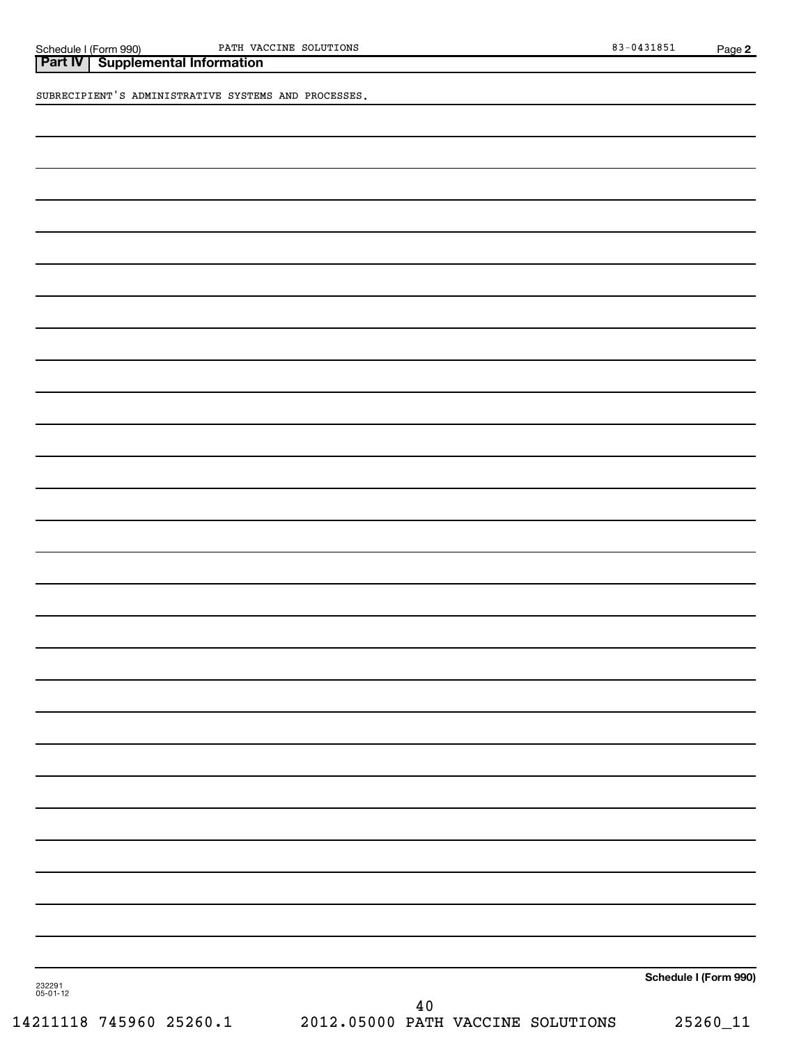**Part IV Supplemental Information**

SUBRECIPIENT'S ADMINISTRATIVE SYSTEMS AND PROCESSES.

**Schedule I (Form 990)**

232291 05-01-12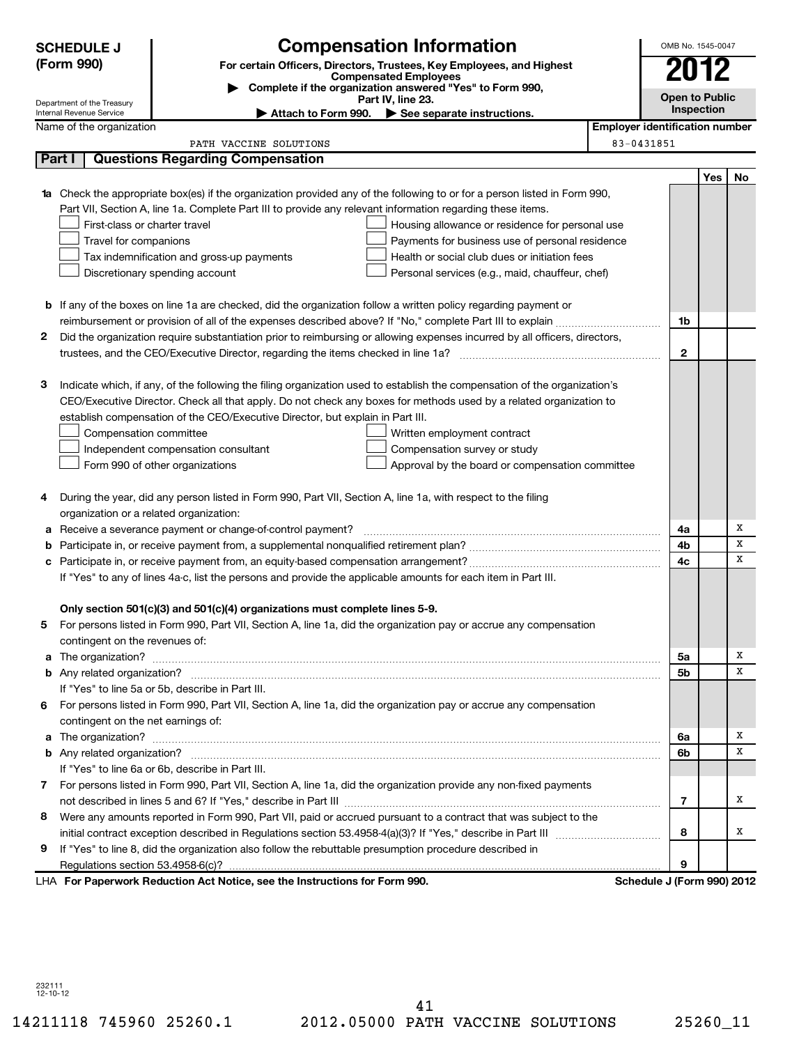|    | <b>Compensation Information</b><br><b>SCHEDULE J</b><br>OMB No. 1545-0047                                                       |                                                                                                                           |                                       |                |     |    |  |  |
|----|---------------------------------------------------------------------------------------------------------------------------------|---------------------------------------------------------------------------------------------------------------------------|---------------------------------------|----------------|-----|----|--|--|
|    | (Form 990)<br>For certain Officers, Directors, Trustees, Key Employees, and Highest<br><b>Compensated Employees</b>             |                                                                                                                           |                                       |                |     |    |  |  |
|    |                                                                                                                                 |                                                                                                                           | 2012                                  |                |     |    |  |  |
|    | Complete if the organization answered "Yes" to Form 990,<br>Part IV, line 23.<br>Department of the Treasury                     |                                                                                                                           |                                       |                |     |    |  |  |
|    | Internal Revenue Service                                                                                                        | Attach to Form 990.<br>See separate instructions.                                                                         |                                       | Inspection     |     |    |  |  |
|    | Name of the organization                                                                                                        |                                                                                                                           | <b>Employer identification number</b> |                |     |    |  |  |
|    |                                                                                                                                 | PATH VACCINE SOLUTIONS                                                                                                    | 83-0431851                            |                |     |    |  |  |
|    | Part I                                                                                                                          | <b>Questions Regarding Compensation</b>                                                                                   |                                       |                |     |    |  |  |
|    |                                                                                                                                 |                                                                                                                           |                                       |                | Yes | No |  |  |
| 1a |                                                                                                                                 | Check the appropriate box(es) if the organization provided any of the following to or for a person listed in Form 990,    |                                       |                |     |    |  |  |
|    |                                                                                                                                 | Part VII, Section A, line 1a. Complete Part III to provide any relevant information regarding these items.                |                                       |                |     |    |  |  |
|    | First-class or charter travel                                                                                                   | Housing allowance or residence for personal use                                                                           |                                       |                |     |    |  |  |
|    | Travel for companions<br>Payments for business use of personal residence                                                        |                                                                                                                           |                                       |                |     |    |  |  |
|    | Health or social club dues or initiation fees<br>Tax indemnification and gross-up payments<br>Discretionary spending account    |                                                                                                                           |                                       |                |     |    |  |  |
|    |                                                                                                                                 | Personal services (e.g., maid, chauffeur, chef)                                                                           |                                       |                |     |    |  |  |
|    |                                                                                                                                 |                                                                                                                           |                                       |                |     |    |  |  |
|    |                                                                                                                                 | <b>b</b> If any of the boxes on line 1a are checked, did the organization follow a written policy regarding payment or    |                                       | 1b             |     |    |  |  |
|    |                                                                                                                                 |                                                                                                                           |                                       |                |     |    |  |  |
|    | 2<br>Did the organization require substantiation prior to reimbursing or allowing expenses incurred by all officers, directors, |                                                                                                                           |                                       |                |     |    |  |  |
|    |                                                                                                                                 |                                                                                                                           |                                       | 2              |     |    |  |  |
| З  |                                                                                                                                 | Indicate which, if any, of the following the filing organization used to establish the compensation of the organization's |                                       |                |     |    |  |  |
|    |                                                                                                                                 | CEO/Executive Director. Check all that apply. Do not check any boxes for methods used by a related organization to        |                                       |                |     |    |  |  |
|    |                                                                                                                                 | establish compensation of the CEO/Executive Director, but explain in Part III.                                            |                                       |                |     |    |  |  |
|    | Compensation committee                                                                                                          | Written employment contract                                                                                               |                                       |                |     |    |  |  |
|    |                                                                                                                                 | Compensation survey or study<br>Independent compensation consultant                                                       |                                       |                |     |    |  |  |
|    |                                                                                                                                 | Form 990 of other organizations<br>Approval by the board or compensation committee                                        |                                       |                |     |    |  |  |
|    |                                                                                                                                 |                                                                                                                           |                                       |                |     |    |  |  |
| 4  |                                                                                                                                 | During the year, did any person listed in Form 990, Part VII, Section A, line 1a, with respect to the filing              |                                       |                |     |    |  |  |
|    | organization or a related organization:                                                                                         |                                                                                                                           |                                       |                |     |    |  |  |
|    |                                                                                                                                 | Receive a severance payment or change-of-control payment?                                                                 |                                       | 4a             |     | х  |  |  |
|    |                                                                                                                                 |                                                                                                                           |                                       |                |     | х  |  |  |
| с  |                                                                                                                                 |                                                                                                                           |                                       |                |     |    |  |  |
|    | If "Yes" to any of lines 4a-c, list the persons and provide the applicable amounts for each item in Part III.                   |                                                                                                                           |                                       |                |     |    |  |  |
|    |                                                                                                                                 |                                                                                                                           |                                       |                |     |    |  |  |
|    |                                                                                                                                 | Only section 501(c)(3) and 501(c)(4) organizations must complete lines 5-9.                                               |                                       |                |     |    |  |  |
|    |                                                                                                                                 | For persons listed in Form 990, Part VII, Section A, line 1a, did the organization pay or accrue any compensation         |                                       |                |     |    |  |  |
|    | contingent on the revenues of:                                                                                                  |                                                                                                                           |                                       |                |     |    |  |  |
|    |                                                                                                                                 |                                                                                                                           |                                       | 5a             |     | x  |  |  |
|    |                                                                                                                                 |                                                                                                                           |                                       | 5b             |     | х  |  |  |
|    |                                                                                                                                 | If "Yes" to line 5a or 5b, describe in Part III.                                                                          |                                       |                |     |    |  |  |
| 6. |                                                                                                                                 | For persons listed in Form 990, Part VII, Section A, line 1a, did the organization pay or accrue any compensation         |                                       |                |     |    |  |  |
|    | contingent on the net earnings of:                                                                                              |                                                                                                                           |                                       |                |     |    |  |  |
|    |                                                                                                                                 |                                                                                                                           |                                       | 6a             |     | х  |  |  |
|    |                                                                                                                                 |                                                                                                                           |                                       | 6b             |     | х  |  |  |
|    |                                                                                                                                 | If "Yes" to line 6a or 6b, describe in Part III.                                                                          |                                       |                |     |    |  |  |
|    |                                                                                                                                 | 7 For persons listed in Form 990, Part VII, Section A, line 1a, did the organization provide any non-fixed payments       |                                       |                |     |    |  |  |
|    |                                                                                                                                 |                                                                                                                           |                                       | $\overline{7}$ |     | х  |  |  |
| 8  |                                                                                                                                 | Were any amounts reported in Form 990, Part VII, paid or accrued pursuant to a contract that was subject to the           |                                       |                |     |    |  |  |
|    |                                                                                                                                 |                                                                                                                           |                                       | 8              |     | x  |  |  |
| 9  |                                                                                                                                 | If "Yes" to line 8, did the organization also follow the rebuttable presumption procedure described in                    |                                       |                |     |    |  |  |
|    |                                                                                                                                 |                                                                                                                           |                                       | 9              |     |    |  |  |
|    |                                                                                                                                 | LHA For Paperwork Reduction Act Notice, see the Instructions for Form 990.                                                | Schedule J (Form 990) 2012            |                |     |    |  |  |

232111 12-10-12

14211118 745960 25260.1 2012.05000 PATH VACCINE SOLUTIONS 25260\_11 41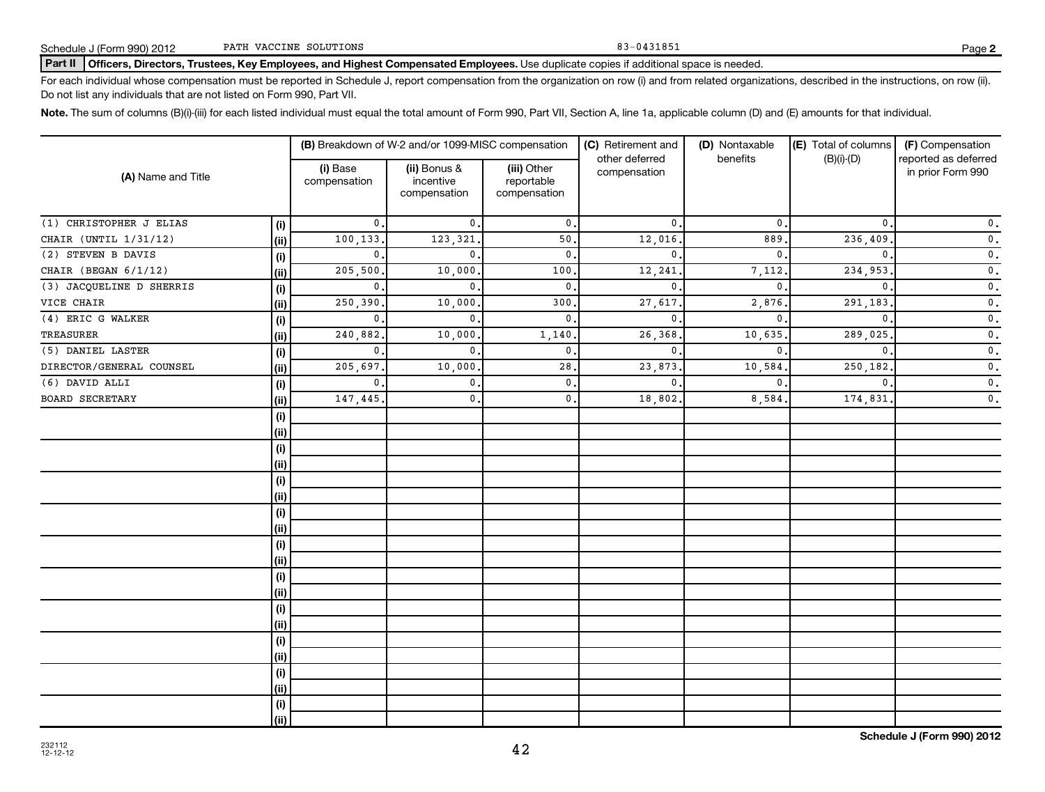### Part II | Officers, Directors, Trustees, Key Employees, and Highest Compensated Employees. Use duplicate copies if additional space is needed.

For each individual whose compensation must be reported in Schedule J, report compensation from the organization on row (i) and from related organizations, described in the instructions, on row (ii). Do not list any individuals that are not listed on Form 990, Part VII.

Note. The sum of columns (B)(i)-(iii) for each listed individual must equal the total amount of Form 990, Part VII, Section A, line 1a, applicable column (D) and (E) amounts for that individual.

| (A) Name and Title        |      |                          | (B) Breakdown of W-2 and/or 1099-MISC compensation |                                           | (C) Retirement and<br>other deferred | (D) Nontaxable<br>benefits | (E) Total of columns<br>$(B)(i)-(D)$ | (F) Compensation<br>reported as deferred |
|---------------------------|------|--------------------------|----------------------------------------------------|-------------------------------------------|--------------------------------------|----------------------------|--------------------------------------|------------------------------------------|
|                           |      | (i) Base<br>compensation | (ii) Bonus &<br>incentive<br>compensation          | (iii) Other<br>reportable<br>compensation | compensation                         |                            |                                      | in prior Form 990                        |
| $(1)$ CHRISTOPHER J ELIAS | (i)  | $\mathbf{0}$ .           | $\mathfrak{o}$ .                                   | $\mathbf{0}$ .                            | $\mathbf{0}$ .                       | $\mathbf{0}$               | 0.                                   | $\mathfrak o$ .                          |
| CHAIR (UNTIL 1/31/12)     | (ii) | 100,133                  | 123,321                                            | 50.                                       | 12,016                               | 889                        | 236,409                              | $\mathfrak o$ .                          |
| (2) STEVEN B DAVIS        | (i)  | $\mathbf{0}$ .           | $\mathbf{0}$                                       | 0.                                        | $\mathbf{0}$ .                       | $\mathbf{0}$               | $\mathbf{0}$ .                       | $\mathfrak o$ .                          |
| CHAIR (BEGAN 6/1/12)      | (ii) | 205,500                  | 10,000                                             | 100.                                      | 12,241                               | 7,112.                     | 234,953                              | $\overline{\mathbf{0}}$ .                |
| (3) JACQUELINE D SHERRIS  | (i)  | $\mathbf{0}$ .           | $\mathbf{0}$                                       | $\mathbf{0}$ .                            | $\mathbf{0}$ .                       | $\mathbf{0}$               | $\mathbf{0}$                         | $\mathfrak o$ .                          |
| VICE CHAIR                | (ii) | 250,390                  | 10,000                                             | 300.                                      | 27,617                               | 2,876.                     | 291,183                              | $\mathfrak o$ .                          |
| (4) ERIC G WALKER         | (i)  | 0.                       | $\mathbf{0}$                                       | 0.                                        | 0.                                   | 0.                         | $\mathbf 0$ .                        | $\mathbf 0$ .                            |
| <b>TREASURER</b>          | (ii) | 240,882                  | 10,000                                             | 1,140.                                    | 26,368                               | 10,635.                    | 289,025                              | $\mathfrak o$ .                          |
| (5) DANIEL LASTER         | (i)  | $\mathbf{0}$ .           | $\mathbf{0}$                                       | $\mathbf{0}$ .                            | $\mathbf{0}$ .                       | $\mathbf{0}$ .             | $\mathbf{0}$                         | $\mathfrak o$ .                          |
| DIRECTOR/GENERAL COUNSEL  | (ii) | 205,697                  | 10,000                                             | 28.                                       | 23,873                               | 10,584.                    | 250,182                              | $\mathfrak o$ .                          |
| $(6)$ DAVID ALLI          | (i)  | $\mathbf{0}$ .           | $\mathbf{0}$                                       | $\mathfrak{o}$ .                          | $\mathbf{0}$                         | $\mathbf{0}$ .             | $\mathbf{0}$                         | $\mathfrak o$ .                          |
| <b>BOARD SECRETARY</b>    | (ii) | 147,445                  | $\mathbf{0}$ .                                     | 0.                                        | 18,802                               | 8,584.                     | 174,831                              | $\mathfrak o$ .                          |
|                           | (i)  |                          |                                                    |                                           |                                      |                            |                                      |                                          |
|                           | (ii) |                          |                                                    |                                           |                                      |                            |                                      |                                          |
|                           | (i)  |                          |                                                    |                                           |                                      |                            |                                      |                                          |
|                           | (ii) |                          |                                                    |                                           |                                      |                            |                                      |                                          |
|                           | (i)  |                          |                                                    |                                           |                                      |                            |                                      |                                          |
|                           | (ii) |                          |                                                    |                                           |                                      |                            |                                      |                                          |
|                           | (i)  |                          |                                                    |                                           |                                      |                            |                                      |                                          |
|                           | (ii) |                          |                                                    |                                           |                                      |                            |                                      |                                          |
|                           | (i)  |                          |                                                    |                                           |                                      |                            |                                      |                                          |
|                           | (ii) |                          |                                                    |                                           |                                      |                            |                                      |                                          |
|                           | (i)  |                          |                                                    |                                           |                                      |                            |                                      |                                          |
|                           | (ii) |                          |                                                    |                                           |                                      |                            |                                      |                                          |
|                           | (i)  |                          |                                                    |                                           |                                      |                            |                                      |                                          |
|                           | (ii) |                          |                                                    |                                           |                                      |                            |                                      |                                          |
|                           | (i)  |                          |                                                    |                                           |                                      |                            |                                      |                                          |
|                           | (ii) |                          |                                                    |                                           |                                      |                            |                                      |                                          |
|                           | (i)  |                          |                                                    |                                           |                                      |                            |                                      |                                          |
|                           | (ii) |                          |                                                    |                                           |                                      |                            |                                      |                                          |
|                           | (i)  |                          |                                                    |                                           |                                      |                            |                                      |                                          |
|                           | (ii) |                          |                                                    |                                           |                                      |                            |                                      |                                          |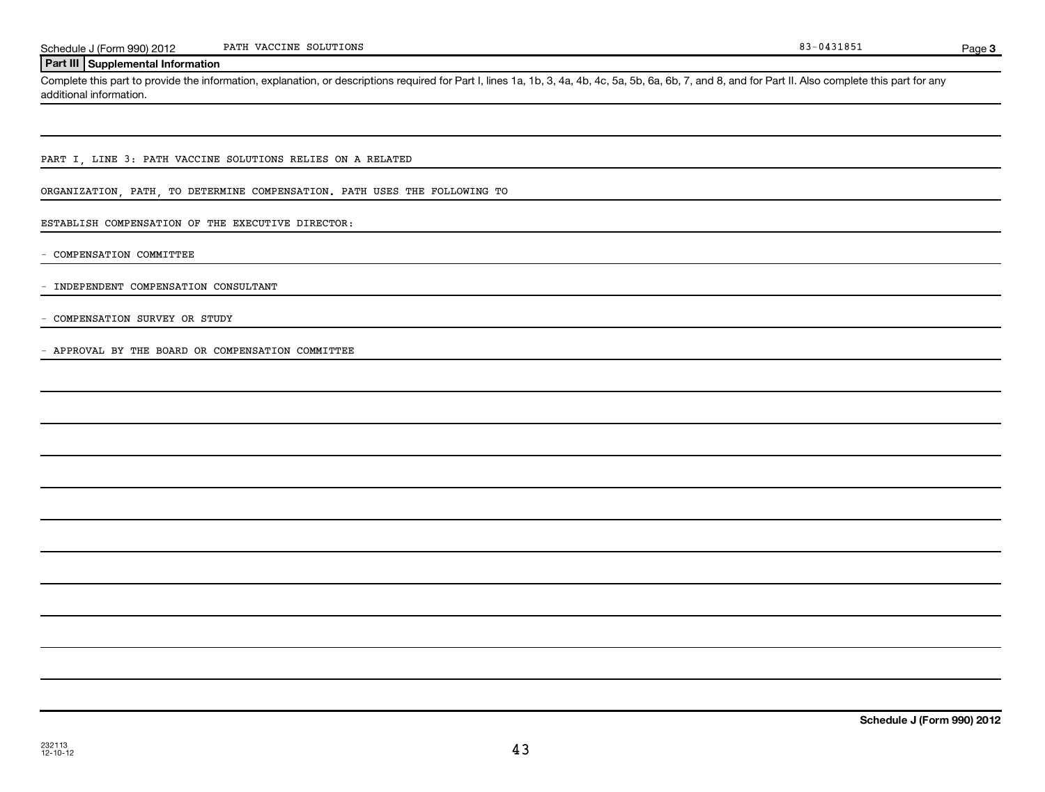Page 3

## **Part III Supplemental Information**

Complete this part to provide the information, explanation, or descriptions required for Part I, lines 1a, 1b, 3, 4a, 4b, 4c, 5a, 5b, 6a, 6b, 7, and 8, and for Part II. Also complete this part for any additional information.

PART I, LINE 3: PATH VACCINE SOLUTIONS RELIES ON A RELATED

ORGANIZATION, PATH, TO DETERMINE COMPENSATION. PATH USES THE FOLLOWING TO

ESTABLISH COMPENSATION OF THE EXECUTIVE DIRECTOR:

- COMPENSATION COMMITTEE

- INDEPENDENT COMPENSATION CONSULTANT

- COMPENSATION SURVEY OR STUDY

- APPROVAL BY THE BOARD OR COMPENSATION COMMITTEE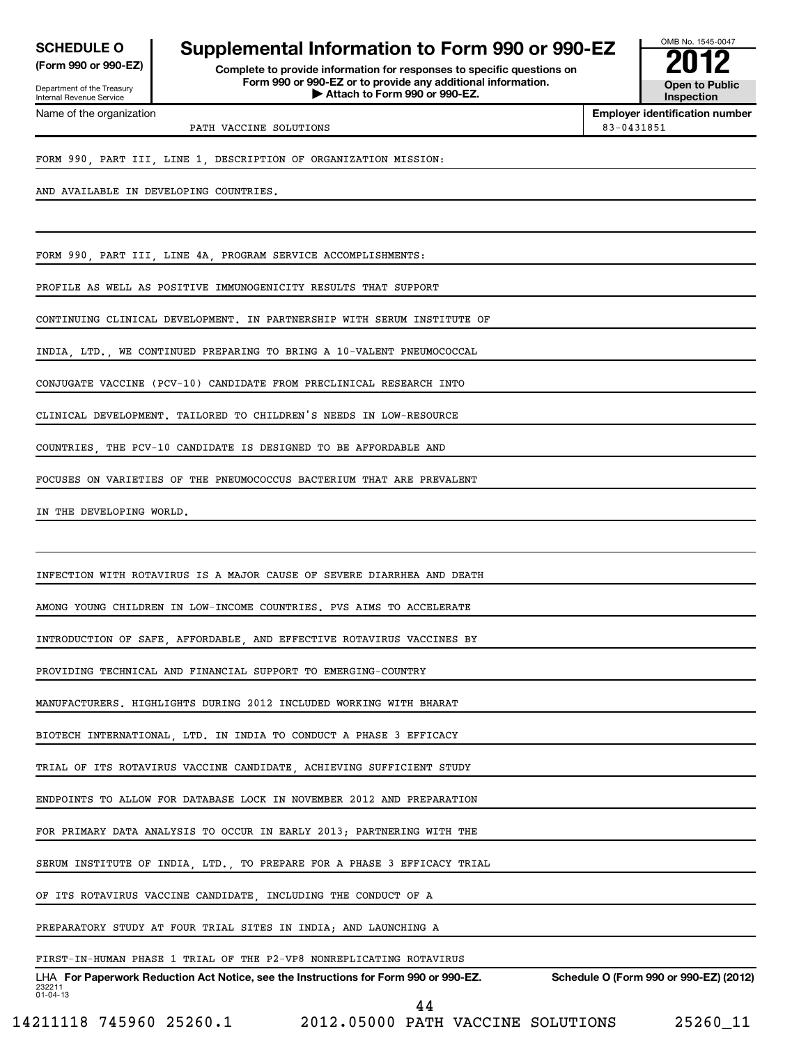Department of the Treasury Internal Revenue Service

Name of the organization

## **SCHEDULE O Supplemental Information to Form 990 or 990-EZ 2012**

**(Form 990 or 990-EZ) Complete to provide information for responses to specific questions on Form 990 or 990-EZ or to provide any additional information. | Attach to Form 990 or 990-EZ. Open to Public**



**Employer identification number**

PATH VACCINE SOLUTIONS 83-0431851

FORM 990, PART III, LINE 1, DESCRIPTION OF ORGANIZATION MISSION:

AND AVAILABLE IN DEVELOPING COUNTRIES.

FORM 990, PART III, LINE 4A, PROGRAM SERVICE ACCOMPLISHMENTS:

PROFILE AS WELL AS POSITIVE IMMUNOGENICITY RESULTS THAT SUPPORT

CONTINUING CLINICAL DEVELOPMENT. IN PARTNERSHIP WITH SERUM INSTITUTE OF

INDIA, LTD., WE CONTINUED PREPARING TO BRING A 10-VALENT PNEUMOCOCCAL

CONJUGATE VACCINE (PCV-10) CANDIDATE FROM PRECLINICAL RESEARCH INTO

CLINICAL DEVELOPMENT. TAILORED TO CHILDREN'S NEEDS IN LOW-RESOURCE

COUNTRIES, THE PCV-10 CANDIDATE IS DESIGNED TO BE AFFORDABLE AND

FOCUSES ON VARIETIES OF THE PNEUMOCOCCUS BACTERIUM THAT ARE PREVALENT

IN THE DEVELOPING WORLD.

INFECTION WITH ROTAVIRUS IS A MAJOR CAUSE OF SEVERE DIARRHEA AND DEATH

AMONG YOUNG CHILDREN IN LOW-INCOME COUNTRIES. PVS AIMS TO ACCELERATE

INTRODUCTION OF SAFE, AFFORDABLE, AND EFFECTIVE ROTAVIRUS VACCINES BY

PROVIDING TECHNICAL AND FINANCIAL SUPPORT TO EMERGING-COUNTRY

MANUFACTURERS. HIGHLIGHTS DURING 2012 INCLUDED WORKING WITH BHARAT

BIOTECH INTERNATIONAL, LTD. IN INDIA TO CONDUCT A PHASE 3 EFFICACY

TRIAL OF ITS ROTAVIRUS VACCINE CANDIDATE, ACHIEVING SUFFICIENT STUDY

ENDPOINTS TO ALLOW FOR DATABASE LOCK IN NOVEMBER 2012 AND PREPARATION

FOR PRIMARY DATA ANALYSIS TO OCCUR IN EARLY 2013; PARTNERING WITH THE

SERUM INSTITUTE OF INDIA, LTD., TO PREPARE FOR A PHASE 3 EFFICACY TRIAL

OF ITS ROTAVIRUS VACCINE CANDIDATE, INCLUDING THE CONDUCT OF A

PREPARATORY STUDY AT FOUR TRIAL SITES IN INDIA; AND LAUNCHING A

### FIRST-IN-HUMAN PHASE 1 TRIAL OF THE P2-VP8 NONREPLICATING ROTAVIRUS

232211 01-04-13 LHA For Paperwork Reduction Act Notice, see the Instructions for Form 990 or 990-EZ. Schedule O (Form 990 or 990-EZ) (2012) 44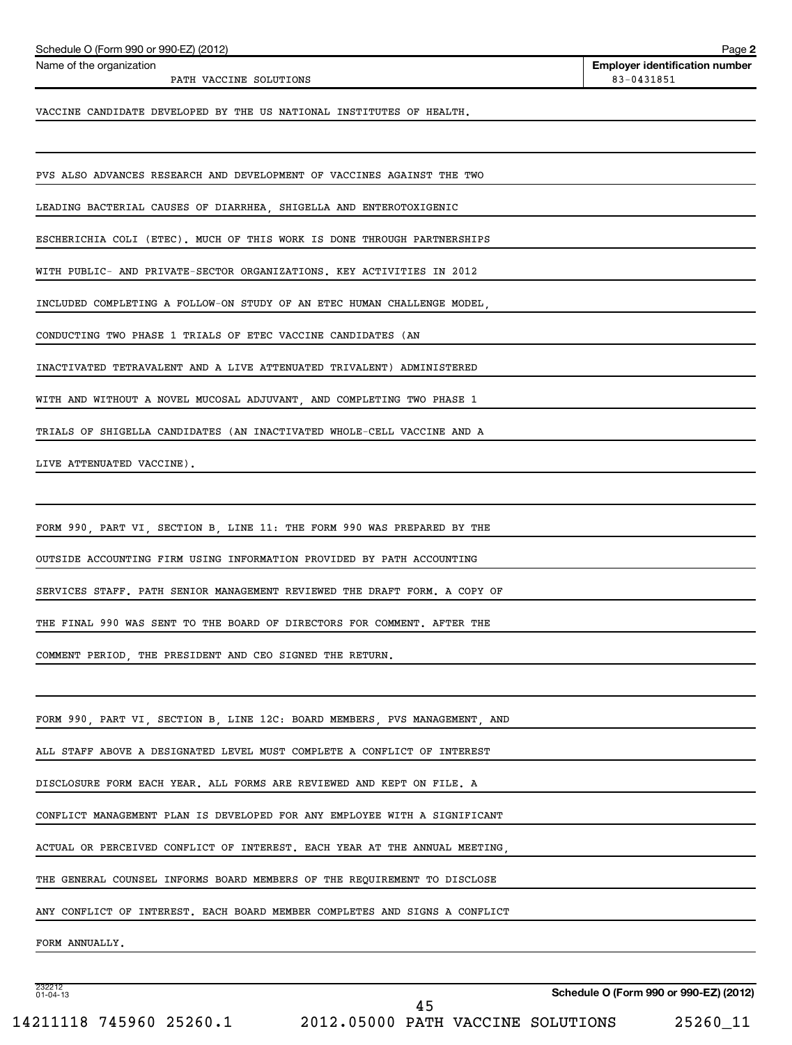| Schedule O (Form 990 or 990-EZ) (2012)                                     | Page 2                                              |
|----------------------------------------------------------------------------|-----------------------------------------------------|
| Name of the organization<br>PATH VACCINE SOLUTIONS                         | <b>Employer identification number</b><br>83-0431851 |
| VACCINE CANDIDATE DEVELOPED BY THE US NATIONAL INSTITUTES OF HEALTH.       |                                                     |
|                                                                            |                                                     |
| PVS ALSO ADVANCES RESEARCH AND DEVELOPMENT OF VACCINES AGAINST THE TWO     |                                                     |
| LEADING BACTERIAL CAUSES OF DIARRHEA, SHIGELLA AND ENTEROTOXIGENIC         |                                                     |
| ESCHERICHIA COLI (ETEC). MUCH OF THIS WORK IS DONE THROUGH PARTNERSHIPS    |                                                     |
| WITH PUBLIC- AND PRIVATE-SECTOR ORGANIZATIONS. KEY ACTIVITIES IN 2012      |                                                     |
| INCLUDED COMPLETING A FOLLOW-ON STUDY OF AN ETEC HUMAN CHALLENGE MODEL.    |                                                     |
| CONDUCTING TWO PHASE 1 TRIALS OF ETEC VACCINE CANDIDATES (AN               |                                                     |
| INACTIVATED TETRAVALENT AND A LIVE ATTENUATED TRIVALENT) ADMINISTERED      |                                                     |
| WITH AND WITHOUT A NOVEL MUCOSAL ADJUVANT, AND COMPLETING TWO PHASE 1      |                                                     |
| TRIALS OF SHIGELLA CANDIDATES (AN INACTIVATED WHOLE-CELL VACCINE AND A     |                                                     |
| LIVE ATTENUATED VACCINE).                                                  |                                                     |
|                                                                            |                                                     |
| FORM 990, PART VI, SECTION B, LINE 11: THE FORM 990 WAS PREPARED BY THE    |                                                     |
| OUTSIDE ACCOUNTING FIRM USING INFORMATION PROVIDED BY PATH ACCOUNTING      |                                                     |
| SERVICES STAFF. PATH SENIOR MANAGEMENT REVIEWED THE DRAFT FORM. A COPY OF  |                                                     |
| THE FINAL 990 WAS SENT TO THE BOARD OF DIRECTORS FOR COMMENT. AFTER THE    |                                                     |
| COMMENT PERIOD, THE PRESIDENT AND CEO SIGNED THE RETURN.                   |                                                     |
|                                                                            |                                                     |
| FORM 990, PART VI, SECTION B, LINE 12C: BOARD MEMBERS, PVS MANAGEMENT, AND |                                                     |
| ALL STAFF ABOVE A DESIGNATED LEVEL MUST COMPLETE A CONFLICT OF INTEREST    |                                                     |
| DISCLOSURE FORM EACH YEAR. ALL FORMS ARE REVIEWED AND KEPT ON FILE. A      |                                                     |
| CONFLICT MANAGEMENT PLAN IS DEVELOPED FOR ANY EMPLOYEE WITH A SIGNIFICANT  |                                                     |
| ACTUAL OR PERCEIVED CONFLICT OF INTEREST. EACH YEAR AT THE ANNUAL MEETING, |                                                     |
| THE GENERAL COUNSEL INFORMS BOARD MEMBERS OF THE REQUIREMENT TO DISCLOSE   |                                                     |
| ANY CONFLICT OF INTEREST. EACH BOARD MEMBER COMPLETES AND SIGNS A CONFLICT |                                                     |
| FORM ANNUALLY.                                                             |                                                     |
|                                                                            |                                                     |

232212 01-04-13

**Schedule O (Form 990 or 990-EZ) (2012)**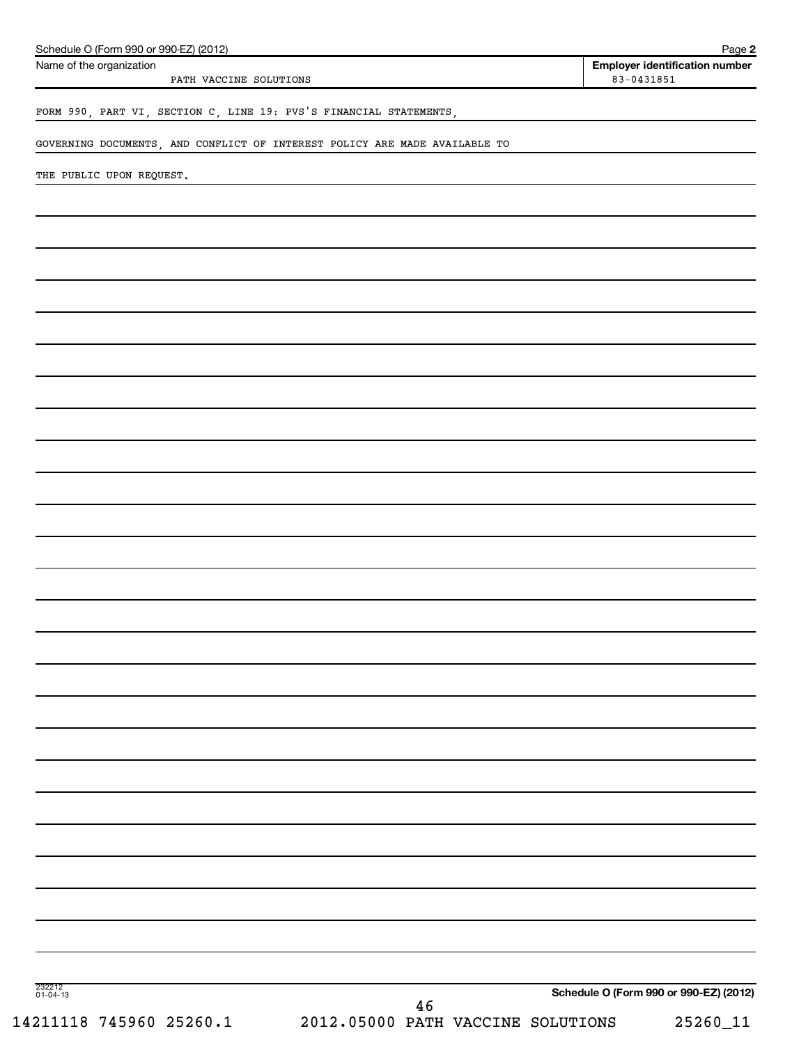| Schedule O (Form 990 or 990-EZ) (2012)<br>Name of the organization         |                                   |    |  | Page 2<br><b>Employer identification number</b> |
|----------------------------------------------------------------------------|-----------------------------------|----|--|-------------------------------------------------|
| PATH VACCINE SOLUTIONS                                                     |                                   |    |  | $83 - 0431851$                                  |
| FORM 990, PART VI, SECTION C, LINE 19: PVS'S FINANCIAL STATEMENTS,         |                                   |    |  |                                                 |
| GOVERNING DOCUMENTS, AND CONFLICT OF INTEREST POLICY ARE MADE AVAILABLE TO |                                   |    |  |                                                 |
| THE PUBLIC UPON REQUEST.                                                   |                                   |    |  |                                                 |
|                                                                            |                                   |    |  |                                                 |
|                                                                            |                                   |    |  |                                                 |
|                                                                            |                                   |    |  |                                                 |
|                                                                            |                                   |    |  |                                                 |
|                                                                            |                                   |    |  |                                                 |
|                                                                            |                                   |    |  |                                                 |
|                                                                            |                                   |    |  |                                                 |
|                                                                            |                                   |    |  |                                                 |
|                                                                            |                                   |    |  |                                                 |
|                                                                            |                                   |    |  |                                                 |
|                                                                            |                                   |    |  |                                                 |
|                                                                            |                                   |    |  |                                                 |
|                                                                            |                                   |    |  |                                                 |
|                                                                            |                                   |    |  |                                                 |
|                                                                            |                                   |    |  |                                                 |
|                                                                            |                                   |    |  |                                                 |
|                                                                            |                                   |    |  |                                                 |
|                                                                            |                                   |    |  |                                                 |
|                                                                            |                                   |    |  |                                                 |
|                                                                            |                                   |    |  |                                                 |
|                                                                            |                                   |    |  |                                                 |
|                                                                            |                                   |    |  |                                                 |
|                                                                            |                                   |    |  |                                                 |
|                                                                            |                                   |    |  |                                                 |
|                                                                            |                                   |    |  |                                                 |
|                                                                            |                                   |    |  |                                                 |
|                                                                            |                                   |    |  |                                                 |
|                                                                            |                                   |    |  |                                                 |
| 232212<br>01-04-13                                                         |                                   |    |  |                                                 |
|                                                                            |                                   | 46 |  | Schedule O (Form 990 or 990-EZ) (2012)          |
| 14211118 745960 25260.1                                                    | 2012.05000 PATH VACCINE SOLUTIONS |    |  | $25260 - 11$                                    |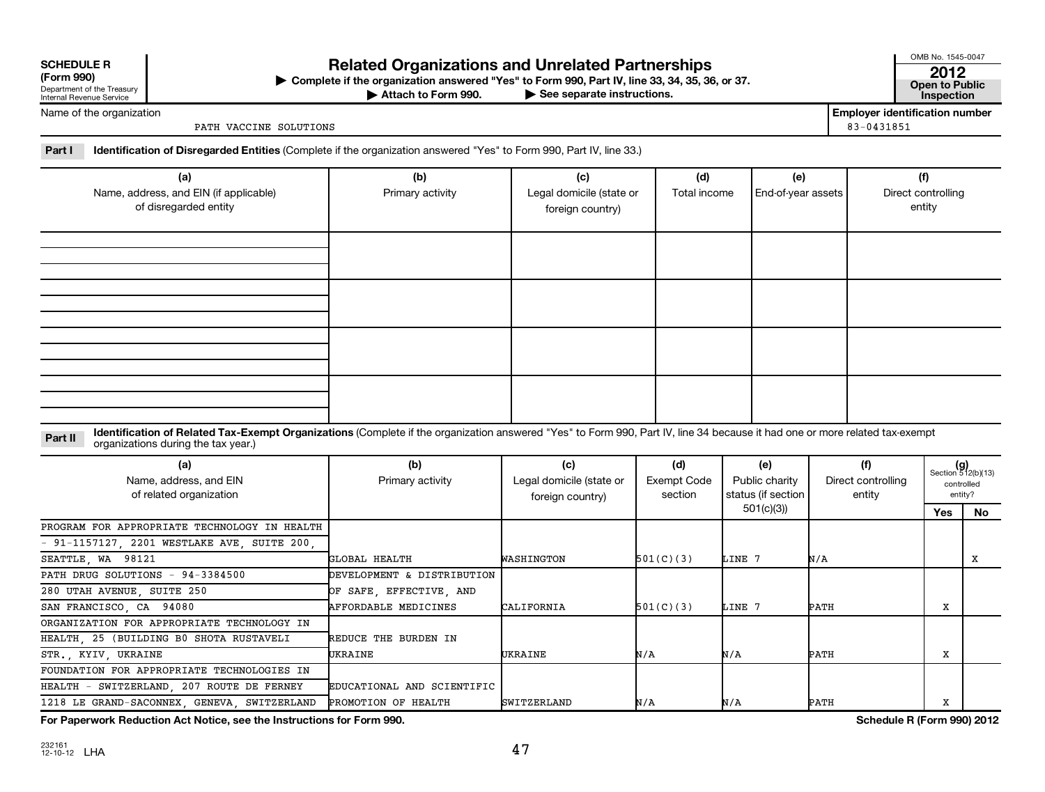| <b>SCHEDULE R</b> |
|-------------------|
|-------------------|

| וטכפוווט וו                |
|----------------------------|
| Department of the Treasury |
| Internal Revenue Service   |

## **Related Organizations and Unrelated Partnerships <sup>2012</sup>**

**(Form 990) Complete if the organization answered "Yes" to Form 990, Part IV, line 33, 34, 35, 36, or 37. Open to Public** | **At to Form 990. Part IV, line 33, 34, 35, 36, or 37.**<br>
<del>• See</del> separate instructions. Inspection

Attach to Form 990.

OMB No. 1545-0047

Name of the organization

PATH VACCINE SOLUTIONS 83-0431851

**Employer identification number**

**Part I Identification of Disregarded Entities**  (Complete if the organization answered "Yes" to Form 990, Part IV, line 33.)

| (a)<br>Name, address, and EIN (if applicable)<br>of disregarded entity | (b)<br>Primary activity | (c)<br>Legal domicile (state or<br>foreign country) | (d)<br>Total income | (e)<br>End-of-year assets | (f)<br>Direct controlling<br>entity |
|------------------------------------------------------------------------|-------------------------|-----------------------------------------------------|---------------------|---------------------------|-------------------------------------|
|                                                                        |                         |                                                     |                     |                           |                                     |
|                                                                        |                         |                                                     |                     |                           |                                     |
|                                                                        |                         |                                                     |                     |                           |                                     |
|                                                                        |                         |                                                     |                     |                           |                                     |

Part II ldentification of Related Tax-Exempt Organizations (Complete if the organization answered "Yes" to Form 990, Part IV, line 34 because it had one or more related tax-exempt<br>example: croanizations during the tax veas organizations during the tax year.)

| (a)<br>Name, address, and EIN<br>of related organization | (b)<br>Primary activity    | (c)<br>Legal domicile (state or<br>foreign country) | (d)<br>Exempt Code<br>section | (e)<br>Public charity<br>status (if section | (f)<br>Direct controlling<br>entity |     | $(g)$<br>Section 512(b)(13)<br>controlled<br>entity? |
|----------------------------------------------------------|----------------------------|-----------------------------------------------------|-------------------------------|---------------------------------------------|-------------------------------------|-----|------------------------------------------------------|
|                                                          |                            |                                                     |                               | 501(c)(3)                                   |                                     | Yes | No.                                                  |
| PROGRAM FOR APPROPRIATE TECHNOLOGY IN HEALTH             |                            |                                                     |                               |                                             |                                     |     |                                                      |
| $-91-1157127$ , 2201 WESTLAKE AVE, SUITE 200,            |                            |                                                     |                               |                                             |                                     |     |                                                      |
| SEATTLE, WA 98121                                        | GLOBAL HEALTH              | WASHINGTON                                          | 501(C)(3)                     | LINE 7                                      | N/A                                 |     | х                                                    |
| PATH DRUG SOLUTIONS - 94-3384500                         | DEVELOPMENT & DISTRIBUTION |                                                     |                               |                                             |                                     |     |                                                      |
| 280 UTAH AVENUE, SUITE 250                               | OF SAFE, EFFECTIVE, AND    |                                                     |                               |                                             |                                     |     |                                                      |
| SAN FRANCISCO, CA 94080                                  | AFFORDABLE MEDICINES       | CALIFORNIA                                          | 501(C)(3)                     | LINE 7                                      | PATH                                | x   |                                                      |
| ORGANIZATION FOR APPROPRIATE TECHNOLOGY IN               |                            |                                                     |                               |                                             |                                     |     |                                                      |
| HEALTH 25 (BUILDING B0 SHOTA RUSTAVELI                   | REDUCE THE BURDEN IN       |                                                     |                               |                                             |                                     |     |                                                      |
| STR., KYIV, UKRAINE                                      | UKRAINE                    | UKRAINE                                             | N/A                           | N/A                                         | PATH                                | х   |                                                      |
| FOUNDATION FOR APPROPRIATE TECHNOLOGIES IN               |                            |                                                     |                               |                                             |                                     |     |                                                      |
| HEALTH - SWITZERLAND, 207 ROUTE DE FERNEY                | EDUCATIONAL AND SCIENTIFIC |                                                     |                               |                                             |                                     |     |                                                      |
| 1218 LE GRAND-SACONNEX, GENEVA, SWITZERLAND              | PROMOTION OF HEALTH        | <b>SWITZERLAND</b>                                  | N/A                           | N/A                                         | PATH                                | х   |                                                      |

**For Paperwork Reduction Act Notice, see the Instructions for Form 990. Schedule R (Form 990) 2012**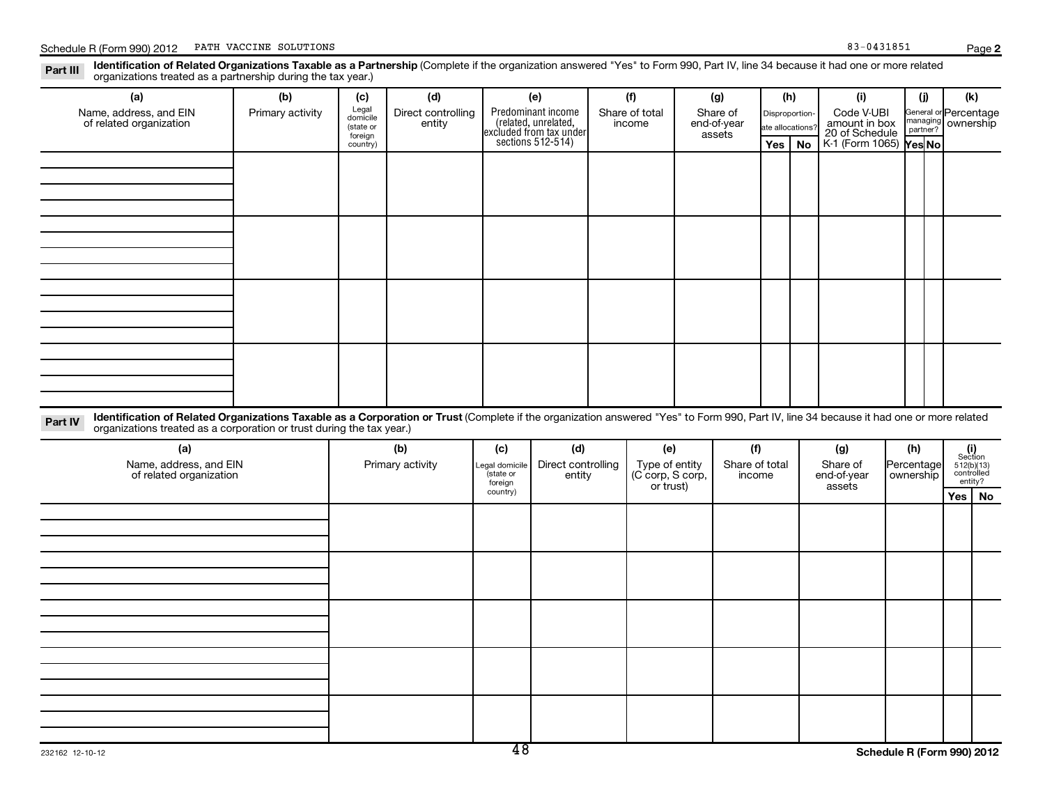**2**

Legal domicile (state or foreign country) General or managing ownership partner? Disproportionate allocations? Section 512(b)(13) controlled entity? Legal domicile (state or foreign country) Part III Identification of Related Organizations Taxable as a Partnership (Complete if the organization answered "Yes" to Form 990, Part IV, line 34 because it had one or more related<br>Read to reconizations tracted as a par **(a) (b) (c) (d) (e) (f) (g) (h) (i) (j) (k) Yes No Yes No** K-1 (Form 1065) Part IV Identification of Related Organizations Taxable as a Corporation or Trust (Complete if the organization answered "Yes" to Form 990, Part IV, line 34 because it had one or more related<br>Computations tracted as a corp **(a) (b) (c) (d) (e) (f) (g) (h) (i) Yes No** Predominant income<br>(related, unrelated, xcluded from tax under sections 512-514) Schedule R (Form 990) 2012 PATH VACCINE SOLUTIONS (Page 1999) 2013 1851 organizations treated as a partnership during the tax year.) Name, address, and EIN of related organization Primary activity  $\left| \begin{array}{c} \text{Legal} \\ \text{domicile} \end{array} \right|$  Direct controlling entity Share of total income Share of end-of-year assets Code V-UBI<br>amount in box 20 of Schedule Percentage organizations treated as a corporation or trust during the tax year.) Name, address, and EIN of related organization Primary activity |Legal domicile | Direct controlling entity Type of entity (C corp, S corp, or trust) Share of total income Share of end-of-year assets Percentage ownership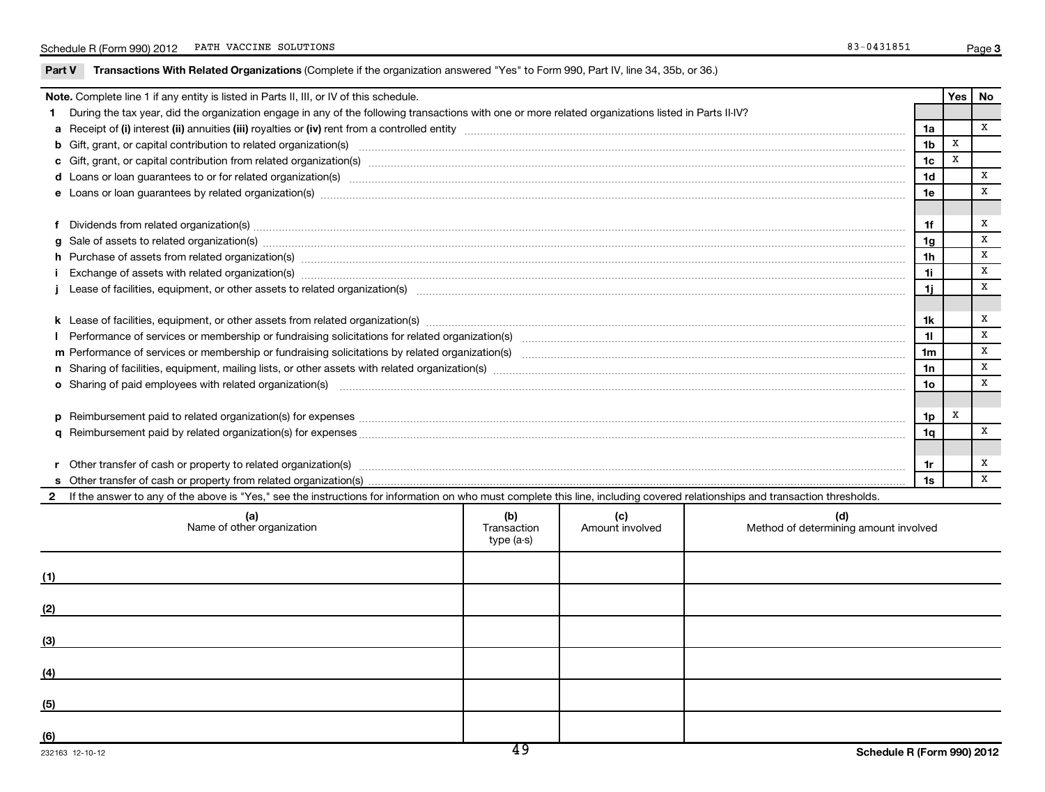|     | Note. Complete line 1 if any entity is listed in Parts II, III, or IV of this schedule.                                                                                                                                        |  |                 |                                       |                |             | Yes   No     |
|-----|--------------------------------------------------------------------------------------------------------------------------------------------------------------------------------------------------------------------------------|--|-----------------|---------------------------------------|----------------|-------------|--------------|
|     | During the tax year, did the organization engage in any of the following transactions with one or more related organizations listed in Parts II-IV?                                                                            |  |                 |                                       |                |             |              |
|     |                                                                                                                                                                                                                                |  |                 |                                       |                |             | X            |
|     |                                                                                                                                                                                                                                |  |                 |                                       |                |             |              |
|     |                                                                                                                                                                                                                                |  |                 |                                       | 1 <sub>c</sub> | $\mathbf x$ |              |
|     | d Loans or loan guarantees to or for related organization(s) encourance contains and contains a container and container and container and container and container and container and container and container and container and  |  |                 |                                       | 1 <sub>d</sub> |             | X            |
|     |                                                                                                                                                                                                                                |  |                 |                                       | 1e             |             | X            |
|     |                                                                                                                                                                                                                                |  |                 |                                       |                |             |              |
| f   | Dividends from related organization(s) machinesis and contract and contract and contract and contract and contract and contract and contract and contract and contract and contract and contract and contract and contract and |  |                 |                                       | 1f             |             | x            |
|     |                                                                                                                                                                                                                                |  |                 |                                       | 1g             |             | x            |
|     | h Purchase of assets from related organization(s) manufactured and content to content the content of an architecture of assets from related organization(s) manufactured and content of the content of the content of the cont |  |                 |                                       | 1 <sub>h</sub> |             | X            |
|     | Exchange of assets with related organization(s) machinesis and content to the content of the content of the content of the content of the content of the content of the content of the content of the content of the content o |  |                 |                                       | 1i.            |             | $\, {\bf X}$ |
|     |                                                                                                                                                                                                                                |  |                 |                                       | 1i.            |             | x            |
|     |                                                                                                                                                                                                                                |  |                 |                                       |                |             |              |
|     |                                                                                                                                                                                                                                |  |                 |                                       | 1k             |             | x            |
|     |                                                                                                                                                                                                                                |  |                 |                                       | 11             |             | x            |
|     |                                                                                                                                                                                                                                |  |                 |                                       | 1 <sub>m</sub> |             | x            |
|     | n Sharing of facilities, equipment, mailing lists, or other assets with related organization(s) marror manufactured material contents and the state of facilities, equipment, mailing lists, or other assets with related orga |  |                 |                                       | 1n             |             | X            |
|     | o Sharing of paid employees with related organization(s) manufactured content to the state of paid employees with related organization(s) manufactured content to the state of the state of the state of the state of the stat |  |                 |                                       | 1 <sub>o</sub> |             | $\mathbf X$  |
|     |                                                                                                                                                                                                                                |  |                 |                                       |                |             |              |
|     |                                                                                                                                                                                                                                |  |                 |                                       | 1p             | x           |              |
|     |                                                                                                                                                                                                                                |  |                 |                                       | 1q             |             | x            |
|     |                                                                                                                                                                                                                                |  |                 |                                       |                |             |              |
|     |                                                                                                                                                                                                                                |  |                 |                                       | 1r             |             | x            |
|     |                                                                                                                                                                                                                                |  |                 |                                       | 1s             |             | $\mathbf x$  |
|     | If the answer to any of the above is "Yes," see the instructions for information on who must complete this line, including covered relationships and transaction thresholds.                                                   |  |                 |                                       |                |             |              |
|     | (b)<br>(a)                                                                                                                                                                                                                     |  | (c)             | (d)                                   |                |             |              |
|     | Name of other organization<br>Transaction                                                                                                                                                                                      |  | Amount involved | Method of determining amount involved |                |             |              |
|     | type (a-s)                                                                                                                                                                                                                     |  |                 |                                       |                |             |              |
| (1) |                                                                                                                                                                                                                                |  |                 |                                       |                |             |              |
|     |                                                                                                                                                                                                                                |  |                 |                                       |                |             |              |
| (2) |                                                                                                                                                                                                                                |  |                 |                                       |                |             |              |
|     |                                                                                                                                                                                                                                |  |                 |                                       |                |             |              |
| (3) |                                                                                                                                                                                                                                |  |                 |                                       |                |             |              |
| (4) |                                                                                                                                                                                                                                |  |                 |                                       |                |             |              |
|     |                                                                                                                                                                                                                                |  |                 |                                       |                |             |              |
| (5) |                                                                                                                                                                                                                                |  |                 |                                       |                |             |              |
| (6) |                                                                                                                                                                                                                                |  |                 |                                       |                |             |              |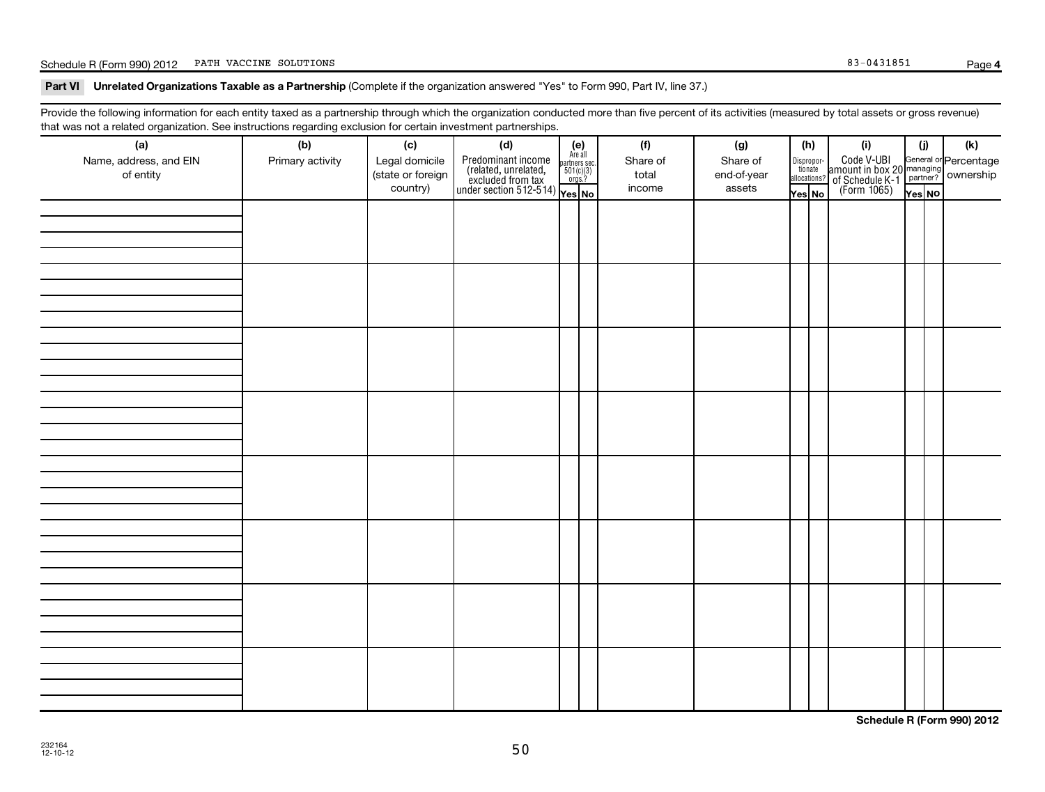## Schedule R (Form 990) 2012 PATH VACCINE SOLUTIONS (Page 1999) 2013 1851

**4**

### Part VI Unrelated Organizations Taxable as a Partnership (Complete if the organization answered "Yes" to Form 990, Part IV, line 37.)

Provide the following information for each entity taxed as a partnership through which the organization conducted more than five percent of its activities (measured by total assets or gross revenue) that was not a related organization. See instructions regarding exclusion for certain investment partnerships.

| (a)<br>Name, address, and EIN<br>of entity | ~<br>$\tilde{\phantom{a}}$<br>(b)<br>Primary activity | (c)<br>Legal domicile<br>(state or foreign<br>country) | (d)<br>$\begin{array}{ l l } \hline \text{Predfominant income} & \text{Area} \\ \hline \text{(related, unrelated,} & \text{501(c)(3)} \\ \text{excluded from tax} & \text{501(c)(3)} \\ \text{under section 512-514)} & \text{Yes. No} \\\hline \end{array}$ | $(e)$<br>Are all | (f)<br>Share of<br>total<br>income | (g)<br>Share of<br>end-of-year<br>assets | (h)<br>Dispropor-<br>tionate | allocations?<br>Yes No | (i)<br>Code V-UBI<br>amount in box 20<br>of Schedule K-1<br>(Form 1065)<br>$\frac{1}{\sqrt{1+\frac{1}{2}}}\sqrt{\frac{1}{2}}$<br>(Form 1065)<br>These No | (i)<br>Yes NO | (k) |
|--------------------------------------------|-------------------------------------------------------|--------------------------------------------------------|--------------------------------------------------------------------------------------------------------------------------------------------------------------------------------------------------------------------------------------------------------------|------------------|------------------------------------|------------------------------------------|------------------------------|------------------------|----------------------------------------------------------------------------------------------------------------------------------------------------------|---------------|-----|
|                                            |                                                       |                                                        |                                                                                                                                                                                                                                                              |                  |                                    |                                          |                              |                        |                                                                                                                                                          |               |     |
|                                            |                                                       |                                                        |                                                                                                                                                                                                                                                              |                  |                                    |                                          |                              |                        |                                                                                                                                                          |               |     |
|                                            |                                                       |                                                        |                                                                                                                                                                                                                                                              |                  |                                    |                                          |                              |                        |                                                                                                                                                          |               |     |
|                                            |                                                       |                                                        |                                                                                                                                                                                                                                                              |                  |                                    |                                          |                              |                        |                                                                                                                                                          |               |     |
|                                            |                                                       |                                                        |                                                                                                                                                                                                                                                              |                  |                                    |                                          |                              |                        |                                                                                                                                                          |               |     |
|                                            |                                                       |                                                        |                                                                                                                                                                                                                                                              |                  |                                    |                                          |                              |                        |                                                                                                                                                          |               |     |
|                                            |                                                       |                                                        |                                                                                                                                                                                                                                                              |                  |                                    |                                          |                              |                        |                                                                                                                                                          |               |     |
|                                            |                                                       |                                                        |                                                                                                                                                                                                                                                              |                  |                                    |                                          |                              |                        |                                                                                                                                                          |               |     |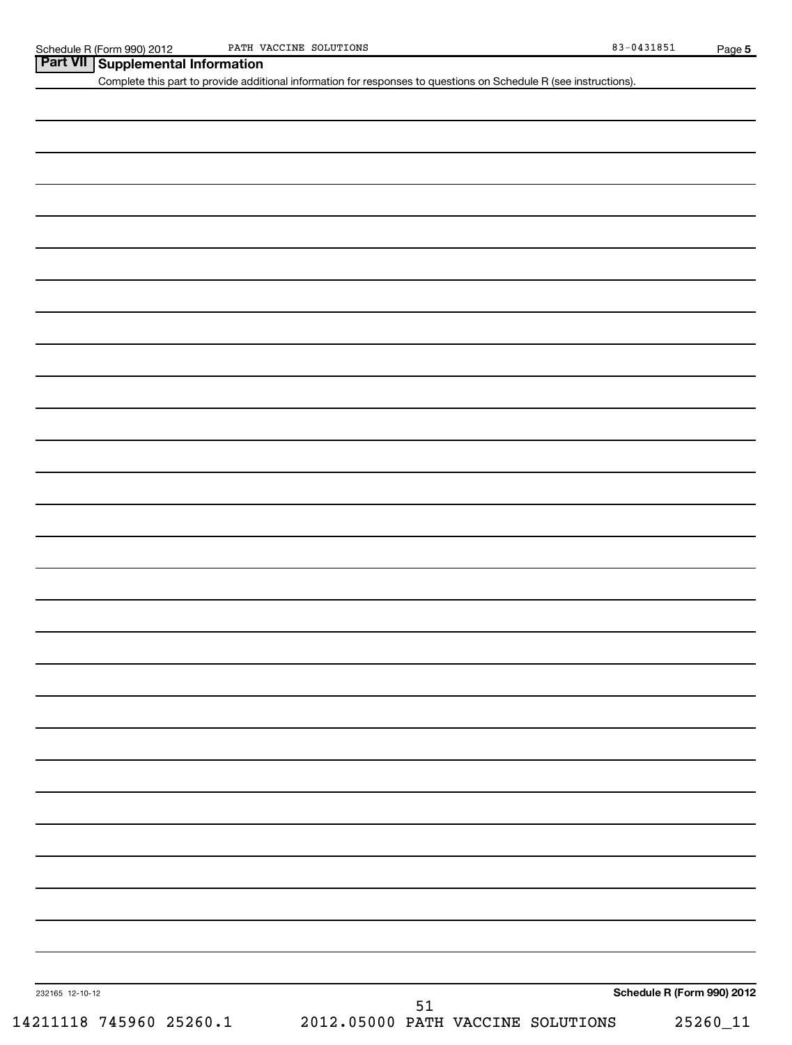| Part VII   Supplemental Information |  |
|-------------------------------------|--|
|-------------------------------------|--|

Complete this part to provide additional information for responses to questions on Schedule R (see instructions).

| 232165 12-10-12 |  |
|-----------------|--|
|-----------------|--|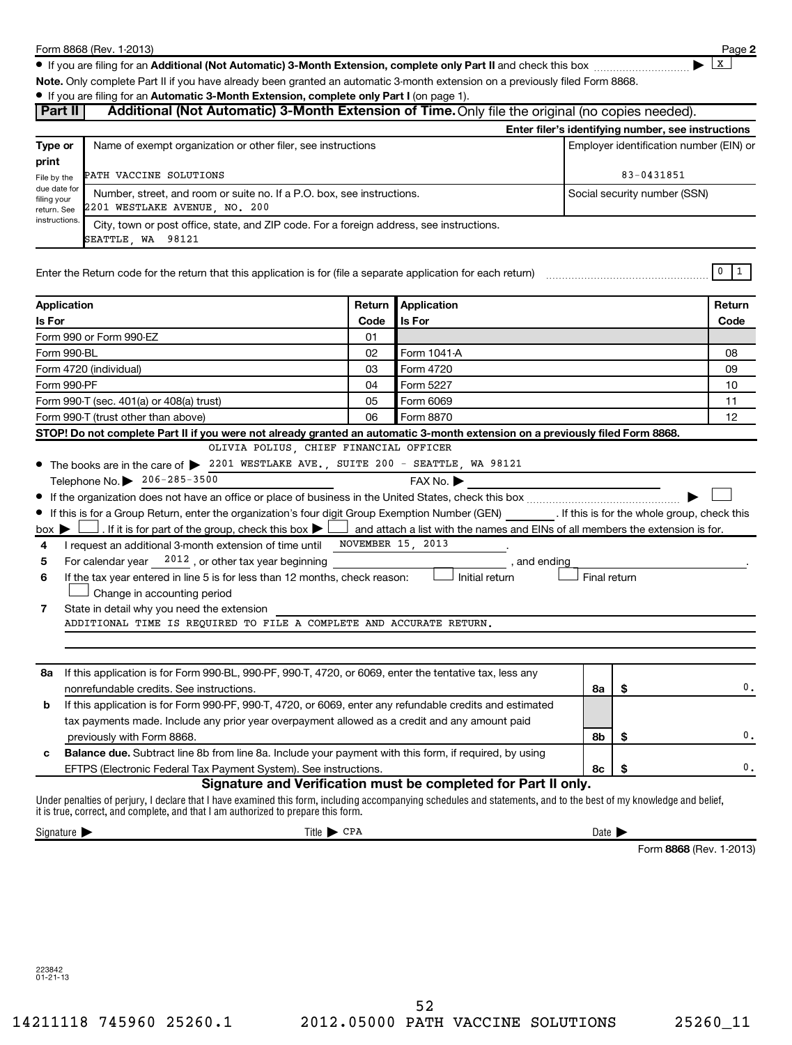**2**

 $\lfloor x \rfloor$ 

● If you are filing for an Additional (Not Automatic) 3-Month Extension, complete only Part II and check this box <sub>……………………</sub>………

**Note.**  Only complete Part II if you have already been granted an automatic 3-month extension on a previously filed Form 8868.

### **• If you are filing for an Automatic 3-Month Extension, complete only Part I (on page 1).**

| Additional (Not Automatic) 3-Month Extension of Time. Only file the original (no copies needed).<br>Part II                   |                                                                                                                                                                                                                                                         |                                 |                                                                |                              |                                         |                                                    |  |
|-------------------------------------------------------------------------------------------------------------------------------|---------------------------------------------------------------------------------------------------------------------------------------------------------------------------------------------------------------------------------------------------------|---------------------------------|----------------------------------------------------------------|------------------------------|-----------------------------------------|----------------------------------------------------|--|
|                                                                                                                               |                                                                                                                                                                                                                                                         |                                 |                                                                |                              |                                         | Enter filer's identifying number, see instructions |  |
| Type or<br>print                                                                                                              | Name of exempt organization or other filer, see instructions                                                                                                                                                                                            |                                 |                                                                |                              | Employer identification number (EIN) or |                                                    |  |
| File by the                                                                                                                   | PATH VACCINE SOLUTIONS                                                                                                                                                                                                                                  |                                 |                                                                | 83-0431851                   |                                         |                                                    |  |
| due date for<br>filing your<br>return. See                                                                                    | Number, street, and room or suite no. If a P.O. box, see instructions.<br>2201 WESTLAKE AVENUE, NO. 200                                                                                                                                                 |                                 |                                                                | Social security number (SSN) |                                         |                                                    |  |
| instructions<br>City, town or post office, state, and ZIP code. For a foreign address, see instructions.<br>SEATTLE, WA 98121 |                                                                                                                                                                                                                                                         |                                 |                                                                |                              |                                         |                                                    |  |
|                                                                                                                               |                                                                                                                                                                                                                                                         |                                 |                                                                |                              |                                         | 0<br>$\vert 1 \vert$                               |  |
| Application                                                                                                                   |                                                                                                                                                                                                                                                         | Return                          | Application                                                    |                              |                                         | Return                                             |  |
| Is For                                                                                                                        |                                                                                                                                                                                                                                                         | Code                            | Is For                                                         |                              |                                         | Code                                               |  |
|                                                                                                                               | Form 990 or Form 990-EZ                                                                                                                                                                                                                                 | 01                              |                                                                |                              |                                         |                                                    |  |
| Form 990-BL                                                                                                                   |                                                                                                                                                                                                                                                         | 02                              | Form 1041-A                                                    |                              |                                         | 08                                                 |  |
|                                                                                                                               | Form 4720 (individual)                                                                                                                                                                                                                                  | 03                              | Form 4720                                                      |                              |                                         | 09                                                 |  |
| Form 990-PF                                                                                                                   |                                                                                                                                                                                                                                                         | 04                              | Form 5227                                                      |                              |                                         | 10                                                 |  |
|                                                                                                                               | Form 990-T (sec. 401(a) or 408(a) trust)                                                                                                                                                                                                                | 05                              | Form 6069                                                      |                              |                                         | 11                                                 |  |
|                                                                                                                               | Form 990-T (trust other than above)                                                                                                                                                                                                                     | 06                              | Form 8870                                                      |                              |                                         | 12                                                 |  |
|                                                                                                                               | STOP! Do not complete Part II if you were not already granted an automatic 3-month extension on a previously filed Form 8868.                                                                                                                           |                                 |                                                                |                              |                                         |                                                    |  |
|                                                                                                                               | OLIVIA POLIUS, CHIEF FINANCIAL OFFICER<br>• The books are in the care of > 2201 WESTLAKE AVE., SUITE 200 - SEATTLE, WA 98121                                                                                                                            |                                 |                                                                |                              |                                         |                                                    |  |
|                                                                                                                               | Telephone No. 206-285-3500                                                                                                                                                                                                                              |                                 | FAX No. ▶                                                      |                              |                                         |                                                    |  |
|                                                                                                                               |                                                                                                                                                                                                                                                         |                                 |                                                                |                              |                                         |                                                    |  |
|                                                                                                                               | If this is for a Group Return, enter the organization's four digit Group Exemption Number (GEN) _________. If this is for the whole group, check this                                                                                                   |                                 |                                                                |                              |                                         |                                                    |  |
| $box \triangleright$                                                                                                          | . If it is for part of the group, check this box $\blacktriangleright$ $\Box$ and attach a list with the names and EINs of all members the extension is for.                                                                                            |                                 |                                                                |                              |                                         |                                                    |  |
| 4                                                                                                                             | I request an additional 3-month extension of time until                                                                                                                                                                                                 | NOVEMBER 15, 2013               |                                                                |                              |                                         |                                                    |  |
| 5                                                                                                                             | For calendar year $2012$ , or other tax year beginning                                                                                                                                                                                                  |                                 | , and ending                                                   |                              |                                         |                                                    |  |
| 6                                                                                                                             | If the tax year entered in line 5 is for less than 12 months, check reason:                                                                                                                                                                             |                                 | Initial return                                                 | Final return                 |                                         |                                                    |  |
|                                                                                                                               | Change in accounting period                                                                                                                                                                                                                             |                                 |                                                                |                              |                                         |                                                    |  |
| 7                                                                                                                             | State in detail why you need the extension                                                                                                                                                                                                              |                                 |                                                                |                              |                                         |                                                    |  |
|                                                                                                                               | ADDITIONAL TIME IS REQUIRED TO FILE A COMPLETE AND ACCURATE RETURN.                                                                                                                                                                                     |                                 |                                                                |                              |                                         |                                                    |  |
|                                                                                                                               |                                                                                                                                                                                                                                                         |                                 |                                                                |                              |                                         |                                                    |  |
|                                                                                                                               |                                                                                                                                                                                                                                                         |                                 |                                                                |                              |                                         |                                                    |  |
| 8a                                                                                                                            | If this application is for Form 990-BL, 990-PF, 990-T, 4720, or 6069, enter the tentative tax, less any                                                                                                                                                 |                                 |                                                                |                              |                                         |                                                    |  |
|                                                                                                                               | nonrefundable credits. See instructions.                                                                                                                                                                                                                |                                 |                                                                | 8а                           | \$                                      | 0.                                                 |  |
| b                                                                                                                             | If this application is for Form 990-PF, 990-T, 4720, or 6069, enter any refundable credits and estimated                                                                                                                                                |                                 |                                                                |                              |                                         |                                                    |  |
|                                                                                                                               | tax payments made. Include any prior year overpayment allowed as a credit and any amount paid                                                                                                                                                           |                                 |                                                                |                              |                                         |                                                    |  |
|                                                                                                                               | previously with Form 8868.                                                                                                                                                                                                                              |                                 |                                                                | 8b                           | \$                                      | 0.                                                 |  |
| с                                                                                                                             | Balance due. Subtract line 8b from line 8a. Include your payment with this form, if required, by using                                                                                                                                                  |                                 |                                                                |                              |                                         |                                                    |  |
|                                                                                                                               | EFTPS (Electronic Federal Tax Payment System). See instructions.                                                                                                                                                                                        |                                 | Signature and Verification must be completed for Part II only. | 8с                           | \$                                      | 0.                                                 |  |
|                                                                                                                               | Under penalties of perjury, I declare that I have examined this form, including accompanying schedules and statements, and to the best of my knowledge and belief,<br>it is true, correct, and complete, and that I am authorized to prepare this form. |                                 |                                                                |                              |                                         |                                                    |  |
| Signature >                                                                                                                   |                                                                                                                                                                                                                                                         | Title $\blacktriangleright$ CPA |                                                                | Date $\blacktriangleright$   |                                         |                                                    |  |
|                                                                                                                               |                                                                                                                                                                                                                                                         |                                 |                                                                |                              |                                         | Form 8868 (Rev. 1-2013)                            |  |
|                                                                                                                               |                                                                                                                                                                                                                                                         |                                 |                                                                |                              |                                         |                                                    |  |